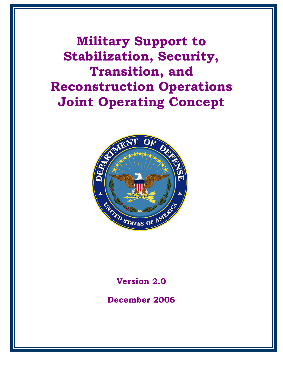**Military Support to Stabilization, Security, Transition, and Reconstruction Operations Joint Operating Concept**



**Version 2.0**

**December 2006**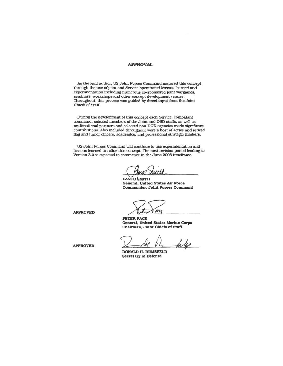#### **APPROVAL**

As the lead author, US Joint Forces Command matured this concept through the use of joint and Service operational lessons learned and experimentation including numerous co-sponsored joint wargames, seminars, workshops and other concept development venues. Throughout, this process was guided by direct input from the Joint Chiefs of Staff.

During the development of this concept each Service, combatant command, selected members of the Joint and OSD staffs, as well as multinational partners and selected non-DOD agencies made significant contributions. Also included throughout were a host of active and retired flag and junior officers, academics, and professional strategic thinkers.

US Joint Forces Command will continue to use experimentation and lessons learned to refine this concept. The next revision period leading to Version 3.0 is expected to commence in the June 2008 timeframe.

Muth

LANCE SMITH General, United States Air Force Commander, Joint Forces Command

**APPROVED** 

 $ac$ 

PETER PACE General, United States Marine Corps Chairman, Joint Chiefs of Staff

ls 40

DONALD H. RUMSFELD **Secretary of Defense** 

**APPROVED**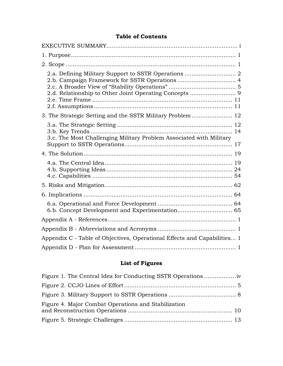### **Table of Contents**

| 2.a. Defining Military Support to SSTR Operations  2                     |  |
|--------------------------------------------------------------------------|--|
| 3. The Strategic Setting and the SSTR Military Problem  12               |  |
| 3.c. The Most Challenging Military Problem Associated with Military      |  |
|                                                                          |  |
|                                                                          |  |
|                                                                          |  |
|                                                                          |  |
|                                                                          |  |
|                                                                          |  |
|                                                                          |  |
| Appendix C - Table of Objectives, Operational Effects and Capabilities 1 |  |
|                                                                          |  |

# **List of Figures**

| Figure 4. Major Combat Operations and Stabilization |  |
|-----------------------------------------------------|--|
|                                                     |  |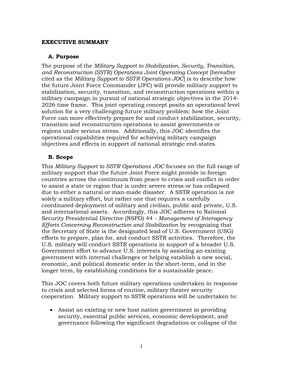#### <span id="page-3-0"></span>**EXECUTIVE SUMMARY**

#### **A. Purpose**

The purpose of the *Military Support to Stabilization, Security, Transition, and Reconstruction (SSTR) Operations Joint Operating Concept* [hereafter cited as the *Military Support to SSTR Operations JOC*] is to describe how the future Joint Force Commander (JFC) will provide military support to stabilization, security, transition, and reconstruction operations within a military campaign in pursuit of national strategic objectives in the 2014- 2026 time frame. This joint operating concept posits an operational level solution for a very challenging future military problem: how the Joint Force can more effectively prepare for and conduct stabilization, security, transition and reconstruction operations to assist governments or regions under serious stress. Additionally, this JOC identifies the operational capabilities required for achieving military campaign objectives and effects in support of national strategic end-states.

#### **B. Scope**

This *Military Support to SSTR Operations JOC* focuses on the full range of military support that the future Joint Force might provide in foreign countries across the continuum from peace to crisis and conflict in order to assist a state or region that is under severe stress or has collapsed due to either a natural or man-made disaster. A SSTR operation is not solely a military effort, but rather one that requires a carefully coordinated deployment of military and civilian, public and private, U.S. and international assets. Accordingly, this JOC adheres to National Security Presidential Directive (NSPD) 44 - *Management of Interagency Efforts Concerning Reconstruction and Stabilization* by recognizing that the Secretary of State is the designated lead of U.S. Government (USG) efforts to prepare, plan for, and conduct SSTR activities. Therefore, the U.S. military will conduct SSTR operations in support of a broader U.S. Government effort to advance U.S. interests by assisting an existing government with internal challenges or helping establish a new social, economic, and political domestic order in the short-term, and in the longer term, by establishing conditions for a sustainable peace.

This JOC covers both future military operations undertaken in response to crisis and selected forms of routine, military theater security cooperation. Military support to SSTR operations will be undertaken to:

• Assist an existing or new host nation government in providing security, essential public services, economic development, and governance following the significant degradation or collapse of the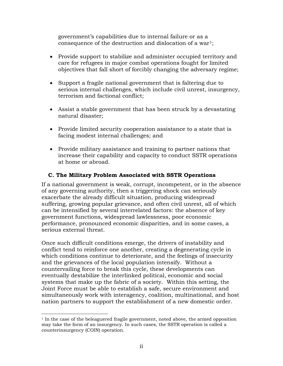government's capabilities due to internal failure or as a consequence of the destruction and dislocation of a war<sup>1</sup>;

- Provide support to stabilize and administer occupied territory and care for refugees in major combat operations fought for limited objectives that fall short of forcibly changing the adversary regime;
- Support a fragile national government that is faltering due to serious internal challenges, which include civil unrest, insurgency, terrorism and factional conflict;
- Assist a stable government that has been struck by a devastating natural disaster;
- Provide limited security cooperation assistance to a state that is facing modest internal challenges; and
- Provide military assistance and training to partner nations that increase their capability and capacity to conduct SSTR operations at home or abroad.

### **C. The Military Problem Associated with SSTR Operations**

If a national government is weak, corrupt, incompetent, or in the absence of any governing authority, then a triggering shock can seriously exacerbate the already difficult situation, producing widespread suffering, growing popular grievance, and often civil unrest, all of which can be intensified by several interrelated factors: the absence of key government functions, widespread lawlessness, poor economic performance, pronounced economic disparities, and in some cases, a serious external threat.

Once such difficult conditions emerge, the drivers of instability and conflict tend to reinforce one another, creating a degenerating cycle in which conditions continue to deteriorate, and the feelings of insecurity and the grievances of the local population intensify. Without a countervailing force to break this cycle, these developments can eventually destabilize the interlinked political, economic and social systems that make up the fabric of a society. Within this setting, the Joint Force must be able to establish a safe, secure environment and simultaneously work with interagency, coalition, multinational, and host nation partners to support the establishment of a new domestic order.

<span id="page-4-0"></span> $\overline{a}$  $1$  In the case of the beleaguered fragile government, noted above, the armed opposition may take the form of an insurgency. In such cases, the SSTR operation is called a counterinsurgency (COIN) operation.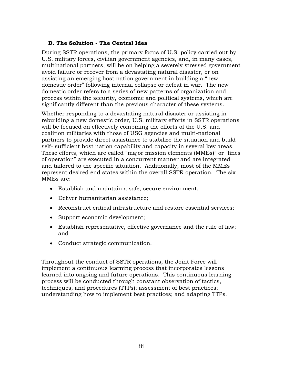### **D. The Solution - The Central Idea**

During SSTR operations, the primary focus of U.S. policy carried out by U.S. military forces, civilian government agencies, and, in many cases, multinational partners, will be on helping a severely stressed government avoid failure or recover from a devastating natural disaster, or on assisting an emerging host nation government in building a "new domestic order" following internal collapse or defeat in war. The new domestic order refers to a series of new patterns of organization and process within the security, economic and political systems, which are significantly different than the previous character of these systems.

Whether responding to a devastating natural disaster or assisting in rebuilding a new domestic order, U.S. military efforts in SSTR operations will be focused on effectively combining the efforts of the U.S. and coalition militaries with those of USG agencies and multi-national partners to provide direct assistance to stabilize the situation and build self- sufficient host nation capability and capacity in several key areas. These efforts, which are called "major mission elements (MMEs)" or "lines of operation" are executed in a concurrent manner and are integrated and tailored to the specific situation. Additionally, most of the MMEs represent desired end states within the overall SSTR operation. The six MMEs are:

- Establish and maintain a safe, secure environment;
- Deliver humanitarian assistance;
- Reconstruct critical infrastructure and restore essential services;
- Support economic development;
- Establish representative, effective governance and the rule of law; and
- Conduct strategic communication.

Throughout the conduct of SSTR operations, the Joint Force will implement a continuous learning process that incorporates lessons learned into ongoing and future operations. This continuous learning process will be conducted through constant observation of tactics, techniques, and procedures (TTPs); assessment of best practices; understanding how to implement best practices; and adapting TTPs.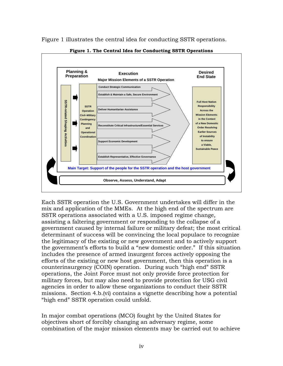<span id="page-6-0"></span>

Figure 1 illustrates the central idea for conducting SSTR operations.

**Figure 1. The Central Idea for Conducting SSTR Operations**

Each SSTR operation the U.S. Government undertakes will differ in the mix and application of the MMEs. At the high end of the spectrum are SSTR operations associated with a U.S. imposed regime change, assisting a faltering government or responding to the collapse of a government caused by internal failure or military defeat; the most critical determinant of success will be convincing the local populace to recognize the legitimacy of the existing or new government and to actively support the government's efforts to build a "new domestic order." If this situation includes the presence of armed insurgent forces actively opposing the efforts of the existing or new host government, then this operation is a counterinsurgency (COIN) operation. During such "high end" SSTR operations, the Joint Force must not only provide force protection for military forces, but may also need to provide protection for USG civil agencies in order to allow these organizations to conduct their SSTR missions. Section 4.b.(vi) contains a vignette describing how a potential "high end" SSTR operation could unfold.

In major combat operations (MCO) fought by the United States for objectives short of forcibly changing an adversary regime, some combination of the major mission elements may be carried out to achieve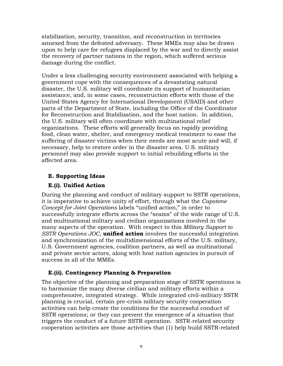stabilization, security, transition, and reconstruction in territories annexed from the defeated adversary. These MMEs may also be drawn upon to help care for refugees displaced by the war and to directly assist the recovery of partner nations in the region, which suffered serious damage during the conflict.

Under a less challenging security environment associated with helping a government cope with the consequences of a devastating natural disaster, the U.S. military will coordinate its support of humanitarian assistance, and, in some cases, reconstruction efforts with those of the United States Agency for International Development (USAID) and other parts of the Department of State, including the Office of the Coordinator for Reconstruction and Stabilization, and the host nation. In addition, the U.S. military will often coordinate with multinational relief organizations. These efforts will generally focus on rapidly providing food, clean water, shelter, and emergency medical treatment to ease the suffering of disaster victims when their needs are most acute and will, if necessary, help to restore order in the disaster area. U.S. military personnel may also provide support to initial rebuilding efforts in the affected area.

### **E. Supporting Ideas**

### **E.(i). Unified Action**

During the planning and conduct of military support to SSTR operations, it is imperative to achieve unity of effort, through what the *Capstone Concept for Joint Operations* labels "unified action," in order to successfully integrate efforts across the "seams" of the wide range of U.S. and multinational military and civilian organizations involved in the many aspects of the operation. With respect to this *Military Support to SSTR Operations JOC*, **unified action** involves the successful integration and synchronization of the multidimensional efforts of the U.S. military, U.S. Government agencies, coalition partners, as well as multinational and private sector actors, along with host nation agencies in pursuit of success in all of the MMEs.

#### **E.(ii). Contingency Planning & Preparation**

The objective of the planning and preparation stage of SSTR operations is to harmonize the many diverse civilian and military efforts within a comprehensive, integrated strategy. While integrated civil-military SSTR planning is crucial, certain pre-crisis military security cooperation activities can help create the conditions for the successful conduct of SSTR operations; or they can prevent the emergence of a situation that triggers the conduct of a future SSTR operation. SSTR-related security cooperation activities are those activities that (1) help build SSTR-related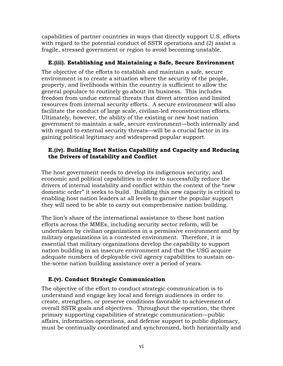capabilities of partner countries in ways that directly support U.S. efforts with regard to the potential conduct of SSTR operations and (2) assist a fragile, stressed government or region to avoid becoming unstable.

### **E.(iii). Establishing and Maintaining a Safe, Secure Environment**

The objective of the efforts to establish and maintain a safe, secure environment is to create a situation where the security of the people, property, and livelihoods within the country is sufficient to allow the general populace to routinely go about its business. This includes freedom from undue external threats that divert attention and limited resources from internal security efforts. A secure environment will also facilitate the conduct of large scale, civilian-led reconstruction efforts. Ultimately, however, the ability of the existing or new host nation government to maintain a safe, secure environment—both internally and with regard to external security threats—will be a crucial factor in its gaining political legitimacy and widespread popular support.

### **E.(iv). Building Host Nation Capability and Capacity and Reducing the Drivers of Instability and Conflict**

The host government needs to develop its indigenous security, and economic and political capabilities in order to successfully reduce the drivers of internal instability and conflict within the context of the "new domestic order" it seeks to build. Building this new capacity is critical to enabling host nation leaders at all levels to garner the popular support they will need to be able to carry out comprehensive nation building.

The lion's share of the international assistance to these host nation efforts across the MMEs, including security sector reform, will be undertaken by civilian organizations in a permissive environment and by military organizations in a contested environment. Therefore, it is essential that military organizations develop the capability to support nation building in an insecure environment and that the USG acquire adequate numbers of deployable civil agency capabilities to sustain onthe-scene nation building assistance over a period of years.

# **E.(v). Conduct Strategic Communication**

The objective of the effort to conduct strategic communication is to understand and engage key local and foreign audiences in order to create, strengthen, or preserve conditions favorable to achievement of overall SSTR goals and objectives. Throughout the operation, the three primary supporting capabilities of strategic communication—public affairs, information operations, and defense support to public diplomacy, must be continually coordinated and synchronized, both horizontally and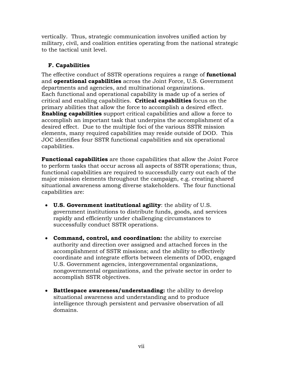vertically. Thus, strategic communication involves unified action by military, civil, and coalition entities operating from the national strategic to the tactical unit level.

# **F. Capabilities**

The effective conduct of SSTR operations requires a range of **functional**  and **operational capabilities** across the Joint Force, U.S. Government departments and agencies, and multinational organizations. Each functional and operational capability is made up of a series of critical and enabling capabilities. **Critical capabilities** focus on the primary abilities that allow the force to accomplish a desired effect. **Enabling capabilities** support critical capabilities and allow a force to accomplish an important task that underpins the accomplishment of a desired effect. Due to the multiple foci of the various SSTR mission elements, many required capabilities may reside outside of DOD. This JOC identifies four SSTR functional capabilities and six operational capabilities.

**Functional capabilities** are those capabilities that allow the Joint Force to perform tasks that occur across all aspects of SSTR operations; thus, functional capabilities are required to successfully carry out each of the major mission elements throughout the campaign, e.g. creating shared situational awareness among diverse stakeholders. The four functional capabilities are:

- **U.S. Government institutional agility**: the ability of U.S. government institutions to distribute funds, goods, and services rapidly and efficiently under challenging circumstances to successfully conduct SSTR operations.
- **Command, control, and coordination:** the ability to exercise authority and direction over assigned and attached forces in the accomplishment of SSTR missions; and the ability to effectively coordinate and integrate efforts between elements of DOD, engaged U.S. Government agencies, intergovernmental organizations, nongovernmental organizations, and the private sector in order to accomplish SSTR objectives.
- **Battlespace awareness/understanding:** the ability to develop situational awareness and understanding and to produce intelligence through persistent and pervasive observation of all domains.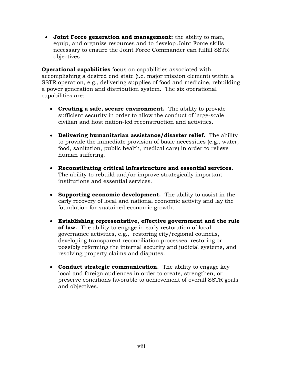• **Joint Force generation and management:** the ability to man, equip, and organize resources and to develop Joint Force skills necessary to ensure the Joint Force Commander can fulfill SSTR objectives

**Operational capabilities** focus on capabilities associated with accomplishing a desired end state (i.e. major mission element) within a SSTR operation, e.g., delivering supplies of food and medicine, rebuilding a power generation and distribution system. The six operational capabilities are:

- **Creating a safe, secure environment.** The ability to provide sufficient security in order to allow the conduct of large-scale civilian and host nation-led reconstruction and activities.
- **Delivering humanitarian assistance/disaster relief.** The ability to provide the immediate provision of basic necessities (e.g., water, food, sanitation, public health, medical care) in order to relieve human suffering.
- **Reconstituting critical infrastructure and essential services.**  The ability to rebuild and/or improve strategically important institutions and essential services.
- **Supporting economic development.** The ability to assist in the early recovery of local and national economic activity and lay the foundation for sustained economic growth.
- **Establishing representative, effective government and the rule of law.** The ability to engage in early restoration of local governance activities, e.g., restoring city/regional councils, developing transparent reconciliation processes, restoring or possibly reforming the internal security and judicial systems, and resolving property claims and disputes.
- **Conduct strategic communication.** The ability to engage key local and foreign audiences in order to create, strengthen, or preserve conditions favorable to achievement of overall SSTR goals and objectives.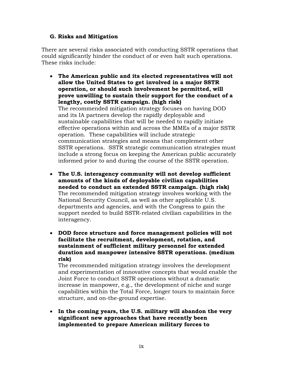#### **G. Risks and Mitigation**

There are several risks associated with conducting SSTR operations that could significantly hinder the conduct of or even halt such operations. These risks include:

- **The American public and its elected representatives will not allow the United States to get involved in a major SSTR operation, or should such involvement be permitted, will prove unwilling to sustain their support for the conduct of a lengthy, costly SSTR campaign. (high risk)** The recommended mitigation strategy focuses on having DOD and its IA partners develop the rapidly deployable and sustainable capabilities that will be needed to rapidly initiate effective operations within and across the MMEs of a major SSTR operation. These capabilities will include strategic communication strategies and means that complement other SSTR operations. SSTR strategic communication strategies must include a strong focus on keeping the American public accurately informed prior to and during the course of the SSTR operation.
- **The U.S. interagency community will not develop sufficient amounts of the kinds of deployable civilian capabilities needed to conduct an extended SSTR campaign. (high risk)** The recommended mitigation strategy involves working with the National Security Council, as well as other applicable U.S. departments and agencies, and with the Congress to gain the support needed to build SSTR-related civilian capabilities in the interagency.
- **DOD force structure and force management policies will not facilitate the recruitment, development, rotation, and sustainment of sufficient military personnel for extended duration and manpower intensive SSTR operations. (medium risk)**

The recommended mitigation strategy involves the development and experimentation of innovative concepts that would enable the Joint Force to conduct SSTR operations without a dramatic increase in manpower, e.g., the development of niche and surge capabilities within the Total Force, longer tours to maintain force structure, and on-the-ground expertise.

• **In the coming years, the U.S. military will abandon the very significant new approaches that have recently been implemented to prepare American military forces to**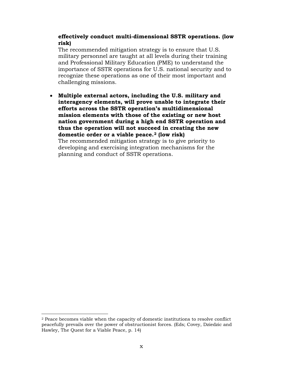#### **effectively conduct multi-dimensional SSTR operations. (low risk)**

The recommended mitigation strategy is to ensure that U.S. military personnel are taught at all levels during their training and Professional Military Education (PME) to understand the importance of SSTR operations for U.S. national security and to recognize these operations as one of their most important and challenging missions.

• **Multiple external actors, including the U.S. military and interagency elements, will prove unable to integrate their efforts across the SSTR operation's multidimensional mission elements with those of the existing or new host nation government during a high end SSTR operation and thus the operation will not succeed in creating the new domestic order or a viable peace.[2](#page-12-0) (low risk)** The recommended mitigation strategy is to give priority to developing and exercising integration mechanisms for the planning and conduct of SSTR operations.

 $\overline{a}$ 

<span id="page-12-0"></span><sup>2</sup> Peace becomes viable when the capacity of domestic institutions to resolve conflict peacefully prevails over the power of obstructionist forces. (Eds; Covey, Dziedzic and Hawley, The Quest for a Viable Peace, p. 14)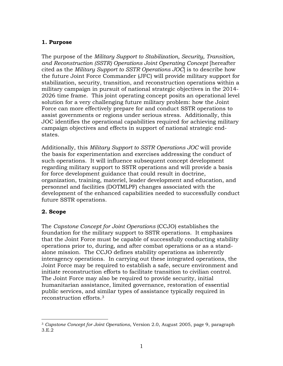### <span id="page-13-0"></span>**1. Purpose**

The purpose of the *Military Support to Stabilization, Security, Transition, and Reconstruction (SSTR) Operations Joint Operating Concept* [hereafter cited as the *Military Support to SSTR Operations JOC*] is to describe how the future Joint Force Commander (JFC) will provide military support for stabilization, security, transition, and reconstruction operations within a military campaign in pursuit of national strategic objectives in the 2014- 2026 time frame. This joint operating concept posits an operational level solution for a very challenging future military problem: how the Joint Force can more effectively prepare for and conduct SSTR operations to assist governments or regions under serious stress. Additionally, this JOC identifies the operational capabilities required for achieving military campaign objectives and effects in support of national strategic endstates.

Additionally, this *Military Support to SSTR Operations JOC* will provide the basis for experimentation and exercises addressing the conduct of such operations. It will influence subsequent concept development regarding military support to SSTR operations and will provide a basis for force development guidance that could result in doctrine, organization, training, materiel, leader development and education, and personnel and facilities (DOTMLPF) changes associated with the development of the enhanced capabilities needed to successfully conduct future SSTR operations.

### <span id="page-13-1"></span>**2. Scope**

The *Capstone Concept for Joint Operations* (CCJO) establishes the foundation for the military support to SSTR operations. It emphasizes that the Joint Force must be capable of successfully conducting stability operations prior to, during, and after combat operations or as a standalone mission. The CCJO defines stability operations as inherently interagency operations. In carrying out these integrated operations, the Joint Force may be required to establish a safe, secure environment and initiate reconstruction efforts to facilitate transition to civilian control. The Joint Force may also be required to provide security, initial humanitarian assistance, limited governance, restoration of essential public services, and similar types of assistance typically required in reconstruction efforts.[3](#page-13-2)

<span id="page-13-2"></span> $\overline{a}$ <sup>3</sup> *Capstone Concept for Joint Operations*, Version 2.0, August 2005, page 9, paragraph 3.E.2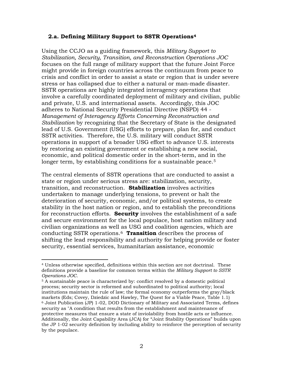#### <span id="page-14-0"></span>**2.a. Defining Military Support to SSTR Operations[4](#page-14-1)**

Using the CCJO as a guiding framework, this *Military Support to Stabilization, Security, Transition, and Reconstruction Operations JOC* focuses on the full range of military support that the future Joint Force might provide in foreign countries across the continuum from peace to crisis and conflict in order to assist a state or region that is under severe stress or has collapsed due to either a natural or man-made disaster. SSTR operations are highly integrated interagency operations that involve a carefully coordinated deployment of military and civilian, public and private, U.S. and international assets. Accordingly, this JOC adheres to National Security Presidential Directive (NSPD) 44 - *Management of Interagency Efforts Concerning Reconstruction and Stabilization* by recognizing that the Secretary of State is the designated lead of U.S. Government (USG) efforts to prepare, plan for, and conduct SSTR activities. Therefore, the U.S. military will conduct SSTR operations in support of a broader USG effort to advance U.S. interests by restoring an existing government or establishing a new social, economic, and political domestic order in the short-term, and in the longer term, by establishing conditions for a sustainable peace.<sup>[5](#page-14-2)</sup>

The central elements of SSTR operations that are conducted to assist a state or region under serious stress are: stabilization, security, transition, and reconstruction. **Stabilization** involves activities undertaken to manage underlying tensions, to prevent or halt the deterioration of security, economic, and/or political systems, to create stability in the host nation or region, and to establish the preconditions for reconstruction efforts. **Security** involves the establishment of a safe and secure environment for the local populace, host nation military and civilian organizations as well as USG and coalition agencies, which are conducting SSTR operations.[6](#page-14-3) **Transition** describes the process of shifting the lead responsibility and authority for helping provide or foster security, essential services, humanitarian assistance, economic

<span id="page-14-1"></span> $\overline{a}$ <sup>4</sup> Unless otherwise specified, definitions within this section are not doctrinal. These definitions provide a baseline for common terms within the *Military Support to SSTR Operations JOC*.

<span id="page-14-3"></span><span id="page-14-2"></span><sup>5</sup> A sustainable peace is characterized by: conflict resolved by a domestic political process; security sector is reformed and subordinated to political authority; local institutions maintain the rule of law; the formal economy outperforms the gray/black markets (Eds; Covey, Dziedzic and Hawley, The Quest for a Viable Peace, Table 1.1)  $6$  Joint Publication (JP) 1-02, DOD Dictionary of Military and Associated Terms, defines security as "A condition that results from the establishment and maintenance of protective measures that ensure a state of inviolability from hostile acts or influence. Additionally, the Joint Capability Area (JCA) for "Joint Stability Operations" builds upon the JP 1-02 security definition by including ability to reinforce the perception of security by the populace.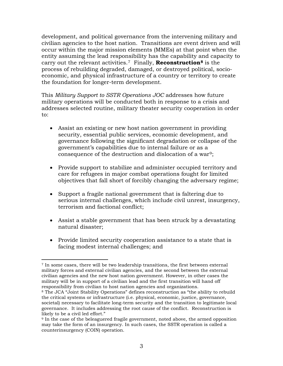development, and political governance from the intervening military and civilian agencies to the host nation. Transitions are event driven and will occur within the major mission elements (MMEs) at that point when the entity assuming the lead responsibility has the capability and capacity to carry out the relevant activities.[7](#page-15-0) Finally, **Reconstruction[8](#page-15-1)** is the process of rebuilding degraded, damaged, or destroyed political, socioeconomic, and physical infrastructure of a country or territory to create the foundation for longer-term development.

This *Military Support to SSTR Operations JOC* addresses how future military operations will be conducted both in response to a crisis and addresses selected routine, military theater security cooperation in order to:

- Assist an existing or new host nation government in providing security, essential public services, economic development, and governance following the significant degradation or collapse of the government's capabilities due to internal failure or as a consequence of the destruction and dislocation of a war[9;](#page-15-2)
- Provide support to stabilize and administer occupied territory and care for refugees in major combat operations fought for limited objectives that fall short of forcibly changing the adversary regime;
- Support a fragile national government that is faltering due to serious internal challenges, which include civil unrest, insurgency, terrorism and factional conflict;
- Assist a stable government that has been struck by a devastating natural disaster;
- Provide limited security cooperation assistance to a state that is facing modest internal challenges; and

<span id="page-15-0"></span> $\overline{a}$ <sup>7</sup> In some cases, there will be two leadership transitions, the first between external military forces and external civilian agencies, and the second between the external civilian agencies and the new host nation government. However, in other cases the military will be in support of a civilian lead and the first transition will hand off responsibility from civilian to host nation agencies and organizations.

<span id="page-15-1"></span><sup>8</sup> The JCA "Joint Stability Operations" defines reconstruction as "the ability to rebuild the critical systems or infrastructure (i.e. physical, economic, justice, governance, societal) necessary to facilitate long-term security and the transition to legitimate local governance. It includes addressing the root cause of the conflict. Reconstruction is likely to be a civil led effort."

<span id="page-15-2"></span><sup>9</sup> In the case of the beleaguered fragile government, noted above, the armed opposition may take the form of an insurgency. In such cases, the SSTR operation is called a counterinsurgency (COIN) operation.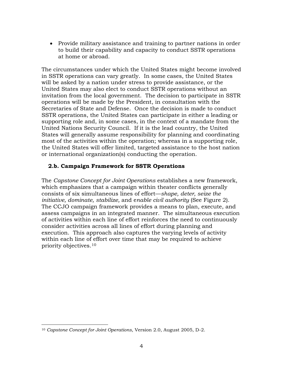• Provide military assistance and training to partner nations in order to build their capability and capacity to conduct SSTR operations at home or abroad.

The circumstances under which the United States might become involved in SSTR operations can vary greatly. In some cases, the United States will be asked by a nation under stress to provide assistance, or the United States may also elect to conduct SSTR operations without an invitation from the local government. The decision to participate in SSTR operations will be made by the President, in consultation with the Secretaries of State and Defense. Once the decision is made to conduct SSTR operations, the United States can participate in either a leading or supporting role and, in some cases, in the context of a mandate from the United Nations Security Council. If it is the lead country, the United States will generally assume responsibility for planning and coordinating most of the activities within the operation; whereas in a supporting role, the United States will offer limited, targeted assistance to the host nation or international organization(s) conducting the operation.

### <span id="page-16-0"></span>**2.b. Campaign Framework for SSTR Operations**

The *Capstone Concept for Joint Operations* establishes a new framework, which emphasizes that a campaign within theater conflicts generally consists of six simultaneous lines of effort—*shape, deter, seize the initiative, dominate, stabilize,* and e*nable civil authority* (See Figure 2)*.*  The CCJO campaign framework provides a means to plan, execute, and assess campaigns in an integrated manner. The simultaneous execution of activities within each line of effort reinforces the need to continuously consider activities across all lines of effort during planning and execution. This approach also captures the varying levels of activity within each line of effort over time that may be required to achieve priority objectives.[10](#page-16-1)

<span id="page-16-1"></span> $\overline{a}$ <sup>10</sup> *Capstone Concept for Joint Operations*, Version 2.0, August 2005, D-2.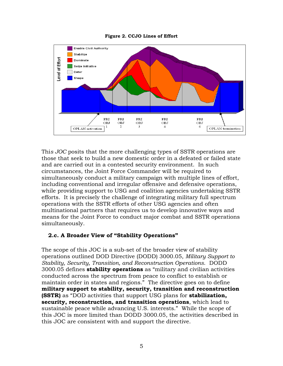<span id="page-17-1"></span>

#### **Figure 2. CCJO Lines of Effort**

Thi*s JOC* posits that the more challenging types of SSTR operations are those that seek to build a new domestic order in a defeated or failed state and are carried out in a contested security environment. In such circumstances, the Joint Force Commander will be required to simultaneously conduct a military campaign with multiple lines of effort, including conventional and irregular offensive and defensive operations, while providing support to USG and coalition agencies undertaking SSTR efforts. It is precisely the challenge of integrating military full spectrum operations with the SSTR efforts of other USG agencies and often multinational partners that requires us to develop innovative ways and means for the Joint Force to conduct major combat and SSTR operations simultaneously.

### <span id="page-17-0"></span>**2.c. A Broader View of "Stability Operations"**

The scope of this JOC is a sub-set of the broader view of stability operations outlined DOD Directive (DODD) 3000.05, *Military Support to Stability, Security, Transition, and Reconstruction Operations*. DODD 3000.05 defines **stability operations** as "military and civilian activities conducted across the spectrum from peace to conflict to establish or maintain order in states and regions." The directive goes on to define **military support to stability, security, transition and reconstruction (SSTR)** as "DOD activities that support USG plans for **stabilization, security, reconstruction, and transition operations**, which lead to sustainable peace while advancing U.S. interests." While the scope of this JOC is more limited than DODD 3000.05, the activities described in this JOC are consistent with and support the directive.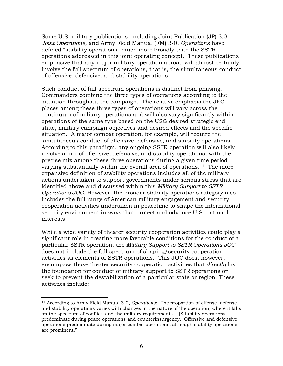Some U.S. military publications, including Joint Publication (JP) 3.0, *Joint Operations,* and Army Field Manual (FM) 3-0, *Operations* have defined "stability operations" much more broadly than the SSTR operations addressed in this joint operating concept. These publications emphasize that any major military operation abroad will almost certainly involve the full spectrum of operations, that is, the simultaneous conduct of offensive, defensive, and stability operations.

Such conduct of full spectrum operations is distinct from phasing. Commanders combine the three types of operations according to the situation throughout the campaign. The relative emphasis the JFC places among these three types of operations will vary across the continuum of military operations and will also vary significantly within operations of the same type based on the USG desired strategic end state, military campaign objectives and desired effects and the specific situation. A major combat operation, for example, will require the simultaneous conduct of offensive, defensive, and stability operations. According to this paradigm, any ongoing SSTR operation will also likely involve a mix of offensive, defensive, and stability operations, with the precise mix among these three operations during a given time period varying substantially within the overall area of operations.<sup>11</sup> The more expansive definition of stability operations includes all of the military actions undertaken to support governments under serious stress that are identified above and discussed within this *Military Support to SSTR Operations JOC*. However, the broader stability operations category also includes the full range of American military engagement and security cooperation activities undertaken in peacetime to shape the international security environment in ways that protect and advance U.S. national interests.

While a wide variety of theater security cooperation activities could play a significant role in creating more favorable conditions for the conduct of a particular SSTR operation, the *Military Support to SSTR Operations JOC* does not include the full spectrum of shaping/security cooperation activities as elements of SSTR operations. This JOC does, however, encompass those theater security cooperation activities that *directly* lay the foundation for conduct of military support to SSTR operations or seek to prevent the destabilization of a particular state or region. These activities include:

<span id="page-18-0"></span> $\overline{a}$ <sup>11</sup> According to Army Field Manual 3-0, *Operations*: "The proportion of offense, defense, and stability operations varies with changes in the nature of the operation, where it falls on the spectrum of conflict, and the military requirements….[S]tability operations predominate during peace operations and counterinsurgency. Offensive and defensive operations predominate during major combat operations, although stability operations are prominent."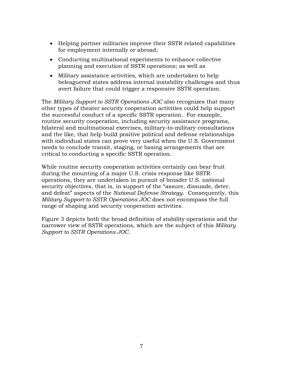- Helping partner militaries improve their SSTR related capabilities for employment internally or abroad;
- Conducting multinational experiments to enhance collective planning and execution of SSTR operations; as well as
- Military assistance activities, which are undertaken to help beleaguered states address internal instability challenges and thus avert failure that could trigger a responsive SSTR operation.

The *Military Support to SSTR Operations JOC* also recognizes that many other types of theater security cooperation activities could help support the successful conduct of a specific SSTR operation. For example, routine security cooperation, including security assistance programs, bilateral and multinational exercises, military-to-military consultations and the like, that help build positive political and defense relationships with individual states can prove very useful when the U.S. Government needs to conclude transit, staging, or basing arrangements that are critical to conducting a specific SSTR operation.

While routine security cooperation activities certainly can bear fruit during the mounting of a major U.S. crisis response like SSTR operations, they are undertaken in pursuit of broader U.S. national security objectives, that is, in support of the "assure, dissuade, deter, and defeat" aspects of the *National Defense Strategy*. Consequently, this *Military Support to SSTR Operations JOC* does not encompass the full range of shaping and security cooperation activities.

Figure 3 depicts both the broad definition of stability operations and the narrower view of SSTR operations, which are the subject of this *Military Support to SSTR Operations JOC*.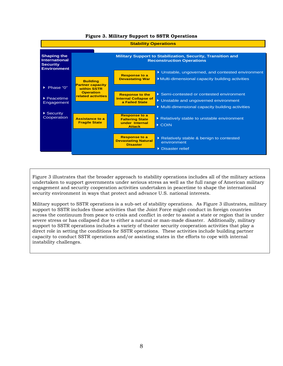<span id="page-20-0"></span>

**Figure 3. Military Support to SSTR Operations**

Figure 3 illustrates that the broader approach to stability operations includes all of the military actions undertaken to support governments under serious stress as well as the full range of American military engagement and security cooperation activities undertaken in peacetime to shape the international security environment in ways that protect and advance U.S. national interests.

Military support to SSTR operations is a sub-set of stability operations. As Figure 3 illustrates, military support to SSTR includes those activities that the Joint Force might conduct in foreign countries across the continuum from peace to crisis and conflict in order to assist a state or region that is under severe stress or has collapsed due to either a natural or man-made disaster. Additionally, military support to SSTR operations includes a variety of theater security cooperation activities that play a direct role in setting the conditions for SSTR operations. These activities include building partner capacity to conduct SSTR operations and/or assisting states in the efforts to cope with internal instability challenges.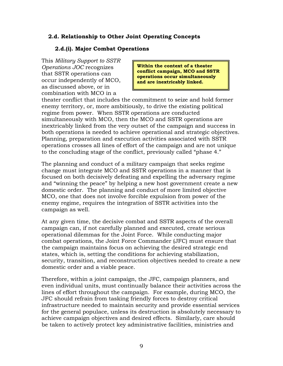### <span id="page-21-0"></span>**2.d. Relationship to Other Joint Operating Concepts**

#### **2.d.(i). Major Combat Operations**

This *Military Support to SSTR Operations JOC* recognizes that SSTR operations can occur independently of MCO, as discussed above, or in combination with MCO in a

**Within the context of a theater conflict campaign, MCO and SSTR operations occur simultaneously and are inextricably linked.** 

theater conflict that includes the commitment to seize and hold former enemy territory, or, more ambitiously, to drive the existing political regime from power. When SSTR operations are conducted simultaneously with MCO, then the MCO and SSTR operations are inextricably linked from the very outset of the campaign and success in both operations is needed to achieve operational and strategic objectives. Planning, preparation and execution activities associated with SSTR operations crosses all lines of effort of the campaign and are not unique to the concluding stage of the conflict, previously called "phase 4."

The planning and conduct of a military campaign that seeks regime change must integrate MCO and SSTR operations in a manner that is focused on both decisively defeating and expelling the adversary regime and "winning the peace" by helping a new host government create a new domestic order. The planning and conduct of more limited objective MCO, one that does not involve forcible expulsion from power of the enemy regime, requires the integration of SSTR activities into the campaign as well.

At any given time, the decisive combat and SSTR aspects of the overall campaign can, if not carefully planned and executed, create serious operational dilemmas for the Joint Force. While conducting major combat operations, the Joint Force Commander (JFC) must ensure that the campaign maintains focus on achieving the desired strategic end states, which is, setting the conditions for achieving stabilization, security, transition, and reconstruction objectives needed to create a new domestic order and a viable peace.

Therefore, within a joint campaign, the JFC, campaign planners, and even individual units, must continually balance their activities across the lines of effort throughout the campaign. For example, during MCO, the JFC should refrain from tasking friendly forces to destroy critical infrastructure needed to maintain security and provide essential services for the general populace, unless its destruction is absolutely necessary to achieve campaign objectives and desired effects. Similarly, care should be taken to actively protect key administrative facilities, ministries and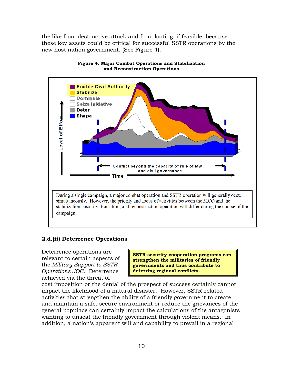the like from destructive attack and from looting, if feasible, because these key assets could be critical for successful SSTR operations by the new host nation government. (See Figure 4).

<span id="page-22-0"></span>



### **2.d.(ii) Deterrence Operations**

Deterrence operations are relevant to certain aspects of the *Military Support to SSTR Operations JOC*. Deterrence achieved via the threat of

**SSTR security cooperation programs can strengthen the militaries of friendly governments and thus contribute to deterring regional conflicts.**

cost imposition or the denial of the prospect of success certainly cannot impact the likelihood of a natural disaster. However, SSTR-related activities that strengthen the ability of a friendly government to create and maintain a safe, secure environment or reduce the grievances of the general populace can certainly impact the calculations of the antagonists wanting to unseat the friendly government through violent means. In addition, a nation's apparent will and capability to prevail in a regional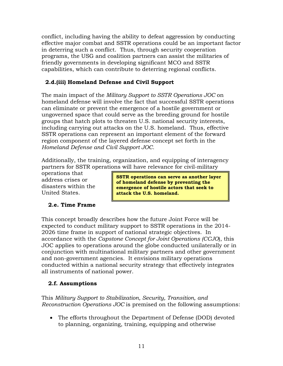conflict, including having the ability to defeat aggression by conducting effective major combat and SSTR operations could be an important factor in deterring such a conflict. Thus, through security cooperation programs, the USG and coalition partners can assist the militaries of friendly governments in developing significant MCO and SSTR capabilities, which can contribute to deterring regional conflicts.

# **2.d.(iii) Homeland Defense and Civil Support**

The main impact of the *Military Support to SSTR Operations JOC* on homeland defense will involve the fact that successful SSTR operations can eliminate or prevent the emergence of a hostile government or ungoverned space that could serve as the breeding ground for hostile groups that hatch plots to threaten U.S. national security interests, including carrying out attacks on the U.S. homeland. Thus, effective SSTR operations can represent an important element of the forward region component of the layered defense concept set forth in the *Homeland Defense and Civil Support JOC.* 

Additionally, the training, organization, and equipping of interagency partners for SSTR operations will have relevance for civil-military

operations that address crises or disasters within the United States.

**SSTR operations can serve as another layer of homeland defense by preventing the emergence of hostile actors that seek to attack the U.S. homeland.**

# <span id="page-23-0"></span>**2.e. Time Frame**

This concept broadly describes how the future Joint Force will be expected to conduct military support to SSTR operations in the 2014- 2026 time frame in support of national strategic objectives. In accordance with the *Capstone Concept for Joint Operations (CCJO*), this JOC applies to operations around the globe conducted unilaterally or in conjunction with multinational military partners and other government and non-government agencies. It envisions military operations conducted within a national security strategy that effectively integrates all instruments of national power.

# <span id="page-23-1"></span>**2.f. Assumptions**

This *Military Support to Stabilization, Security, Transition, and Reconstruction Operations JOC* is premised on the following assumptions:

• The efforts throughout the Department of Defense (DOD) devoted to planning, organizing, training, equipping and otherwise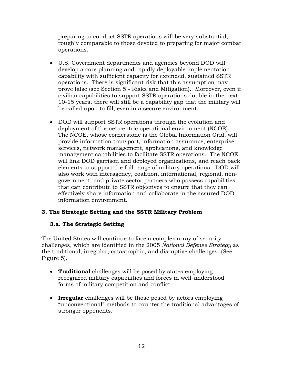preparing to conduct SSTR operations will be very substantial, roughly comparable to those devoted to preparing for major combat operations.

- U.S. Government departments and agencies beyond DOD will develop a core planning and rapidly deployable implementation capability with sufficient capacity for extended, sustained SSTR operations. There is significant risk that this assumption may prove false (see Section 5 - Risks and Mitigation). Moreover, even if civilian capabilities to support SSTR operations double in the next 10-15 years, there will still be a capability gap that the military will be called upon to fill, even in a secure environment.
- DOD will support SSTR operations through the evolution and deployment of the net-centric operational environment (NCOE). The NCOE, whose cornerstone is the Global Information Grid, will provide information transport, information assurance, enterprise services, network management, applications, and knowledge management capabilities to facilitate SSTR operations. The NCOE will link DOD garrison and deployed organizations, and reach back elements to support the full range of military operations. DOD will also work with interagency, coalition, international, regional, nongovernment, and private sector partners who possess capabilities that can contribute to SSTR objectives to ensure that they can effectively share information and collaborate in the assured DOD information environment.

# <span id="page-24-0"></span>**3. The Strategic Setting and the SSTR Military Problem**

### <span id="page-24-1"></span>**3.a. The Strategic Setting**

The United States will continue to face a complex array of security challenges, which are identified in the 2005 *National Defense Strategy* as the traditional, irregular, catastrophic, and disruptive challenges. (See Figure 5).

- **Traditional** challenges will be posed by states employing recognized military capabilities and forces in well-understood forms of military competition and conflict.
- **Irregular** challenges will be those posed by actors employing "unconventional" methods to counter the traditional advantages of stronger opponents.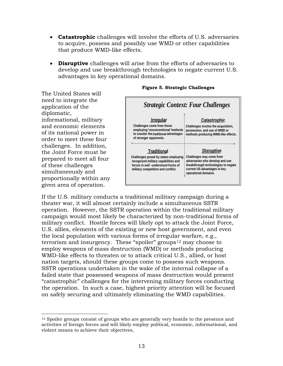- **Catastrophic** challenges will involve the efforts of U.S. adversaries to acquire, possess and possibly use WMD or other capabilities that produce WMD-like effects.
- **Disruptive** challenges will arise from the efforts of adversaries to develop and use breakthrough technologies to negate current U.S. advantages in key operational domains.

The United States will need to integrate the application of the diplomatic, informational, military and economic elements of its national power in order to meet these four challenges. In addition, the Joint Force must be prepared to meet all four of these challenges simultaneously and proportionally within any given area of operation.

 $\overline{a}$ 



#### <span id="page-25-0"></span> **Figure 5. Strategic Challenges**

If the U.S. military conducts a traditional military campaign during a theater war, it will almost certainly include a simultaneous SSTR operation. However, the SSTR operation within the traditional military campaign would most likely be characterized by non-traditional forms of military conflict. Hostile forces will likely opt to attack the Joint Force, U.S. allies, elements of the existing or new host government, and even the local population with various forms of irregular warfare, e.g., terrorism and insurgency. These "spoiler" groups<sup>[12](#page-25-1)</sup> may choose to employ weapons of mass destruction (WMD) or methods producing WMD-like effects to threaten or to attack critical U.S., allied, or host nation targets, should these groups come to possess such weapons. SSTR operations undertaken in the wake of the internal collapse of a failed state that possessed weapons of mass destruction would present "catastrophic" challenges for the intervening military forces conducting the operation. In such a case, highest priority attention will be focused on safely securing and ultimately eliminating the WMD capabilities.

<span id="page-25-1"></span><sup>&</sup>lt;sup>12</sup> Spoiler groups consist of groups who are generally very hostile to the presence and activities of foreign forces and will likely employ political, economic, informational, and violent means to achieve their objectives,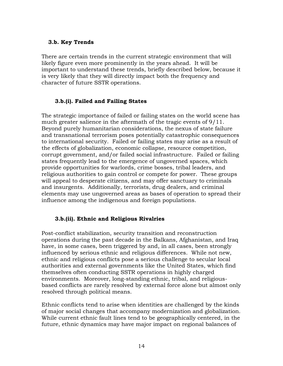#### <span id="page-26-0"></span>**3.b. Key Trends**

There are certain trends in the current strategic environment that will likely figure even more prominently in the years ahead. It will be important to understand these trends, briefly described below, because it is very likely that they will directly impact both the frequency and character of future SSTR operations.

#### **3.b.(i). Failed and Failing States**

The strategic importance of failed or failing states on the world scene has much greater salience in the aftermath of the tragic events of 9/11. Beyond purely humanitarian considerations, the nexus of state failure and transnational terrorism poses potentially catastrophic consequences to international security. Failed or failing states may arise as a result of the effects of globalization, economic collapse, resource competition, corrupt government, and/or failed social infrastructure. Failed or failing states frequently lead to the emergence of ungoverned spaces, which provide opportunities for warlords, crime bosses, tribal leaders, and religious authorities to gain control or compete for power. These groups will appeal to desperate citizens, and may offer sanctuary to criminals and insurgents. Additionally, terrorists, drug dealers, and criminal elements may use ungoverned areas as bases of operation to spread their influence among the indigenous and foreign populations.

### **3.b.(ii). Ethnic and Religious Rivalries**

Post-conflict stabilization, security transition and reconstruction operations during the past decade in the Balkans, Afghanistan, and Iraq have, in some cases, been triggered by and, in all cases, been strongly influenced by serious ethnic and religious differences. While not new, ethnic and religious conflicts pose a serious challenge to secular local authorities and external governments like the United States, which find themselves often conducting SSTR operations in highly charged environments. Moreover, long-standing ethnic, tribal, and religiousbased conflicts are rarely resolved by external force alone but almost only resolved through political means.

Ethnic conflicts tend to arise when identities are challenged by the kinds of major social changes that accompany modernization and globalization. While current ethnic fault lines tend to be geographically centered, in the future, ethnic dynamics may have major impact on regional balances of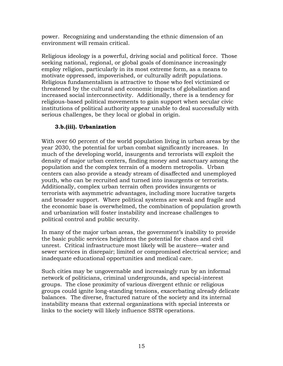power. Recognizing and understanding the ethnic dimension of an environment will remain critical.

Religious ideology is a powerful, driving social and political force. Those seeking national, regional, or global goals of dominance increasingly employ religion, particularly in its most extreme form, as a means to motivate oppressed, impoverished, or culturally adrift populations. Religious fundamentalism is attractive to those who feel victimized or threatened by the cultural and economic impacts of globalization and increased social interconnectivity. Additionally, there is a tendency for religious-based political movements to gain support when secular civic institutions of political authority appear unable to deal successfully with serious challenges, be they local or global in origin.

# **3.b.(iii). Urbanization**

With over 60 percent of the world population living in urban areas by the year 2030, the potential for urban combat significantly increases. In much of the developing world, insurgents and terrorists will exploit the density of major urban centers, finding money and sanctuary among the population and the complex terrain of a modern metropolis. Urban centers can also provide a steady stream of disaffected and unemployed youth, who can be recruited and turned into insurgents or terrorists. Additionally, complex urban terrain often provides insurgents or terrorists with asymmetric advantages, including more lucrative targets and broader support. Where political systems are weak and fragile and the economic base is overwhelmed, the combination of population growth and urbanization will foster instability and increase challenges to political control and public security.

In many of the major urban areas, the government's inability to provide the basic public services heightens the potential for chaos and civil unrest. Critical infrastructure most likely will be austere—water and sewer services in disrepair; limited or compromised electrical service; and inadequate educational opportunities and medical care.

Such cities may be ungovernable and increasingly run by an informal network of politicians, criminal undergrounds, and special-interest groups. The close proximity of various divergent ethnic or religious groups could ignite long-standing tensions, exacerbating already delicate balances. The diverse, fractured nature of the society and its internal instability means that external organizations with special interests or links to the society will likely influence SSTR operations.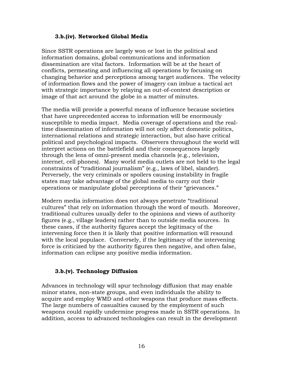#### **3.b.(iv). Networked Global Media**

Since SSTR operations are largely won or lost in the political and information domains, global communications and information dissemination are vital factors. Information will be at the heart of conflicts, permeating and influencing all operations by focusing on changing behavior and perceptions among target audiences. The velocity of information flows and the power of imagery can imbue a tactical act with strategic importance by relaying an out-of-context description or image of that act around the globe in a matter of minutes.

The media will provide a powerful means of influence because societies that have unprecedented access to information will be enormously susceptible to media impact. Media coverage of operations and the realtime dissemination of information will not only affect domestic politics, international relations and strategic interaction, but also have critical political and psychological impacts. Observers throughout the world will interpret actions on the battlefield and their consequences largely through the lens of omni-present media channels (e.g., television, internet, cell phones). Many world media outlets are not held to the legal constraints of "traditional journalism" (e.g., laws of libel, slander). Perversely, the very criminals or spoilers causing instability in fragile states may take advantage of the global media to carry out their operations or manipulate global perceptions of their "grievances."

Modern media information does not always penetrate "traditional cultures" that rely on information through the word of mouth. Moreover, traditional cultures usually defer to the opinions and views of authority figures (e.g., village leaders) rather than to outside media sources. In these cases, if the authority figures accept the legitimacy of the intervening force then it is likely that positive information will resound with the local populace. Conversely, if the legitimacy of the intervening force is criticized by the authority figures then negative, and often false, information can eclipse any positive media information.

### **3.b.(v). Technology Diffusion**

Advances in technology will spur technology diffusion that may enable minor states, non-state groups, and even individuals the ability to acquire and employ WMD and other weapons that produce mass effects. The large numbers of casualties caused by the employment of such weapons could rapidly undermine progress made in SSTR operations. In addition, access to advanced technologies can result in the development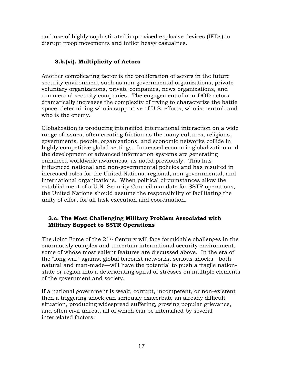and use of highly sophisticated improvised explosive devices (IEDs) to disrupt troop movements and inflict heavy casualties.

# **3.b.(vi). Multiplicity of Actors**

Another complicating factor is the proliferation of actors in the future security environment such as non-governmental organizations, private voluntary organizations, private companies, news organizations, and commercial security companies. The engagement of non-DOD actors dramatically increases the complexity of trying to characterize the battle space, determining who is supportive of U.S. efforts, who is neutral, and who is the enemy.

Globalization is producing intensified international interaction on a wide range of issues, often creating friction as the many cultures, religions, governments, people, organizations, and economic networks collide in highly competitive global settings. Increased economic globalization and the development of advanced information systems are generating enhanced worldwide awareness, as noted previously. This has influenced national and non-governmental policies and has resulted in increased roles for the United Nations, regional, non-governmental, and international organizations. When political circumstances allow the establishment of a U.N. Security Council mandate for SSTR operations, the United Nations should assume the responsibility of facilitating the unity of effort for all task execution and coordination.

### <span id="page-29-0"></span>**3.c. The Most Challenging Military Problem Associated with Military Support to SSTR Operations**

The Joint Force of the 21st Century will face formidable challenges in the enormously complex and uncertain international security environment, some of whose most salient features are discussed above. In the era of the "long war" against global terrorist networks, serious shocks—both natural and man-made—will have the potential to push a fragile nationstate or region into a deteriorating spiral of stresses on multiple elements of the government and society.

If a national government is weak, corrupt, incompetent, or non-existent then a triggering shock can seriously exacerbate an already difficult situation, producing widespread suffering, growing popular grievance, and often civil unrest, all of which can be intensified by several interrelated factors: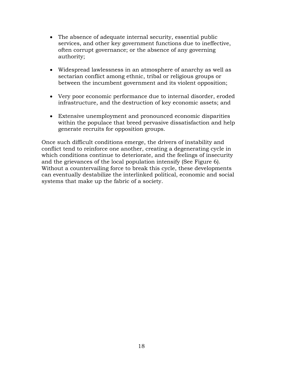- The absence of adequate internal security, essential public services, and other key government functions due to ineffective, often corrupt governance; or the absence of any governing authority;
- Widespread lawlessness in an atmosphere of anarchy as well as sectarian conflict among ethnic, tribal or religious groups or between the incumbent government and its violent opposition;
- Very poor economic performance due to internal disorder, eroded infrastructure, and the destruction of key economic assets; and
- Extensive unemployment and pronounced economic disparities within the populace that breed pervasive dissatisfaction and help generate recruits for opposition groups.

Once such difficult conditions emerge, the drivers of instability and conflict tend to reinforce one another, creating a degenerating cycle in which conditions continue to deteriorate, and the feelings of insecurity and the grievances of the local population intensify (See Figure 6). Without a countervailing force to break this cycle, these developments can eventually destabilize the interlinked political, economic and social systems that make up the fabric of a society.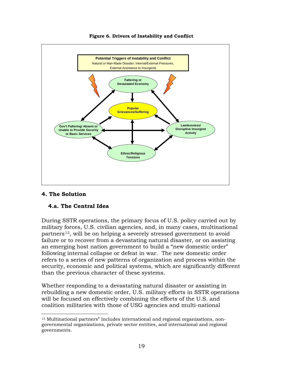

**Figure 6. Drivers of Instability and Conflict**

### <span id="page-31-1"></span><span id="page-31-0"></span>**4. The Solution**

### **4.a. The Central Idea**

During SSTR operations, the primary focus of U.S. policy carried out by military forces, U.S. civilian agencies, and, in many cases, multinational partners<sup>[13](#page-31-2)</sup>, will be on helping a severely stressed government to avoid failure or to recover from a devastating natural disaster, or on assisting an emerging host nation government to build a "new domestic order" following internal collapse or defeat in war. The new domestic order refers to a series of new patterns of organization and process within the security, economic and political systems, which are significantly different than the previous character of these systems.

Whether responding to a devastating natural disaster or assisting in rebuilding a new domestic order, U.S. military efforts in SSTR operations will be focused on effectively combining the efforts of the U.S. and coalition militaries with those of USG agencies and multi-national

<span id="page-31-2"></span> $\overline{a}$ <sup>13</sup> Multinational partners" includes international and regional organizations, nongovernmental organizations, private sector entities, and international and regional governments.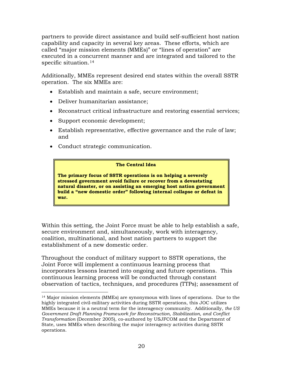partners to provide direct assistance and build self-sufficient host nation capability and capacity in several key areas. These efforts, which are called "major mission elements (MMEs)" or "lines of operation" are executed in a concurrent manner and are integrated and tailored to the specific situation.<sup>[14](#page-32-0)</sup>

Additionally, MMEs represent desired end states within the overall SSTR operation. The six MMEs are:

- Establish and maintain a safe, secure environment;
- Deliver humanitarian assistance;
- Reconstruct critical infrastructure and restoring essential services;
- Support economic development;
- Establish representative, effective governance and the rule of law; and
- Conduct strategic communication.

#### **The Central Idea**

**The primary focus of SSTR operations is on helping a severely stressed government avoid failure or recover from a devastating natural disaster, or on assisting an emerging host nation government build a "new domestic order" following internal collapse or defeat in war.**

Within this setting, the Joint Force must be able to help establish a safe, secure environment and, simultaneously, work with interagency, coalition, multinational, and host nation partners to support the establishment of a new domestic order.

Throughout the conduct of military support to SSTR operations, the Joint Force will implement a continuous learning process that incorporates lessons learned into ongoing and future operations. This continuous learning process will be conducted through constant observation of tactics, techniques, and procedures (TTPs); assessment of

<span id="page-32-0"></span> $\overline{a}$ <sup>14</sup> Major mission elements (MMEs) are synonymous with lines of operations. Due to the highly integrated civil-military activities during SSTR operations, this JOC utilizes MMEs because it is a neutral term for the interagency community. Additionally, *the US Government Draft Planning Framework for Reconstruction, Stabilization, and Conflict Transformation* (December 2005), co-authored by USJFCOM and the Department of State, uses MMEs when describing the major interagency activities during SSTR operations.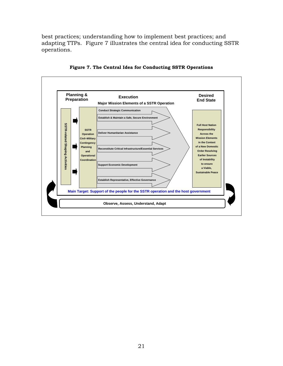best practices; understanding how to implement best practices; and adapting TTPs. Figure 7 illustrates the central idea for conducting SSTR operations.



**Figure 7. The Central Idea for Conducting SSTR Operations**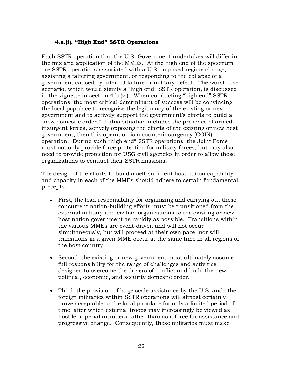#### **4.a.(i). "High End" SSTR Operations**

Each SSTR operation that the U.S. Government undertakes will differ in the mix and application of the MMEs. At the high end of the spectrum are SSTR operations associated with a U.S.-imposed regime change, assisting a faltering government, or responding to the collapse of a government caused by internal failure or military defeat. The worst case scenario, which would signify a "high end" SSTR operation, is discussed in the vignette in section 4.b.(vi). When conducting "high end" SSTR operations, the most critical determinant of success will be convincing the local populace to recognize the legitimacy of the existing or new government and to actively support the government's efforts to build a "new domestic order." If this situation includes the presence of armed insurgent forces, actively opposing the efforts of the existing or new host government, then this operation is a counterinsurgency (COIN) operation. During such "high end" SSTR operations, the Joint Force must not only provide force protection for military forces, but may also need to provide protection for USG civil agencies in order to allow these organizations to conduct their SSTR missions.

The design of the efforts to build a self-sufficient host nation capability and capacity in each of the MMEs should adhere to certain fundamental precepts.

- First, the lead responsibility for organizing and carrying out these concurrent nation-building efforts must be transitioned from the external military and civilian organizations to the existing or new host nation government as rapidly as possible. Transitions within the various MMEs are event-driven and will not occur simultaneously, but will proceed at their own pace; nor will transitions in a given MME occur at the same time in all regions of the host country.
- Second, the existing or new government must ultimately assume full responsibility for the range of challenges and activities designed to overcome the drivers of conflict and build the new political, economic, and security domestic order.
- Third, the provision of large scale assistance by the U.S. and other foreign militaries within SSTR operations will almost certainly prove acceptable to the local populace for only a limited period of time, after which external troops may increasingly be viewed as hostile imperial intruders rather than as a force for assistance and progressive change. Consequently, these militaries must make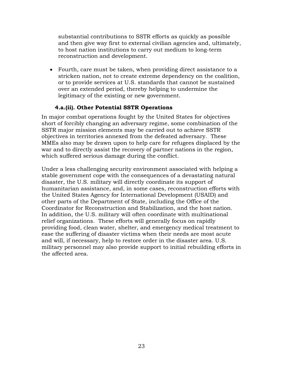substantial contributions to SSTR efforts as quickly as possible and then give way first to external civilian agencies and, ultimately, to host nation institutions to carry out medium to long-term reconstruction and development.

• Fourth, care must be taken, when providing direct assistance to a stricken nation, not to create extreme dependency on the coalition, or to provide services at U.S. standards that cannot be sustained over an extended period, thereby helping to undermine the legitimacy of the existing or new government.

### **4.a.(ii). Other Potential SSTR Operations**

In major combat operations fought by the United States for objectives short of forcibly changing an adversary regime, some combination of the SSTR major mission elements may be carried out to achieve SSTR objectives in territories annexed from the defeated adversary. These MMEs also may be drawn upon to help care for refugees displaced by the war and to directly assist the recovery of partner nations in the region, which suffered serious damage during the conflict.

Under a less challenging security environment associated with helping a stable government cope with the consequences of a devastating natural disaster, the U.S. military will directly coordinate its support of humanitarian assistance, and, in some cases, reconstruction efforts with the United States Agency for International Development (USAID) and other parts of the Department of State, including the Office of the Coordinator for Reconstruction and Stabilization, and the host nation. In addition, the U.S. military will often coordinate with multinational relief organizations. These efforts will generally focus on rapidly providing food, clean water, shelter, and emergency medical treatment to ease the suffering of disaster victims when their needs are most acute and will, if necessary, help to restore order in the disaster area. U.S. military personnel may also provide support to initial rebuilding efforts in the affected area.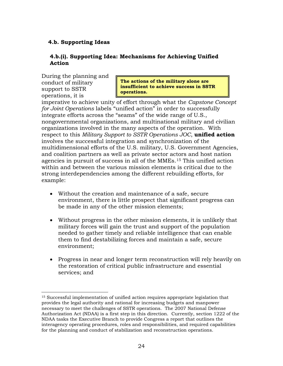### **4.b. Supporting Ideas**

### **4.b.(i). Supporting Idea: Mechanisms for Achieving Unified Action**

During the planning and conduct of military support to SSTR operations, it is

 $\overline{a}$ 

**The actions of the military alone are insufficient to achieve success in SSTR operations.** 

imperative to achieve unity of effort through what the *Capstone Concept for Joint Operations* labels "unified action" in order to successfully integrate efforts across the "seams" of the wide range of U.S., nongovernmental organizations, and multinational military and civilian organizations involved in the many aspects of the operation. With respect to this *Military Support to SSTR Operations JOC*, **unified action** involves the successful integration and synchronization of the multidimensional efforts of the U.S. military, U.S. Government Agencies, and coalition partners as well as private sector actors and host nation agencies in pursuit of success in all of the MMEs.[15](#page-36-0) This unified action within and between the various mission elements is critical due to the strong interdependencies among the different rebuilding efforts, for example:

- Without the creation and maintenance of a safe, secure environment, there is little prospect that significant progress can be made in any of the other mission elements;
- Without progress in the other mission elements, it is unlikely that military forces will gain the trust and support of the population needed to gather timely and reliable intelligence that can enable them to find destabilizing forces and maintain a safe, secure environment;
- Progress in near and longer term reconstruction will rely heavily on the restoration of critical public infrastructure and essential services; and

<span id="page-36-0"></span><sup>15</sup> Successful implementation of unified action requires appropriate legislation that provides the legal authority and rational for increasing budgets and manpower necessary to meet the challenges of SSTR operations. The 2007 National Defense Authorization Act (NDAA) is a first step in this direction. Currently, section 1222 of the NDAA tasks the Executive Branch to provide Congress a report that outlines the interagency operating procedures, roles and responsibilities, and required capabilities for the planning and conduct of stabilization and reconstruction operations.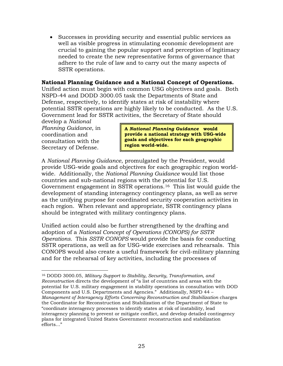• Successes in providing security and essential public services as well as visible progress in stimulating economic development are crucial to gaining the popular support and perception of legitimacy needed to create the new representative forms of governance that adhere to the rule of law and to carry out the many aspects of SSTR operations.

### **National Planning Guidance and a National Concept of Operations.**

Unified action must begin with common USG objectives and goals. Both NSPD-44 and DODD 3000.05 task the Departments of State and Defense, respectively, to identify states at risk of instability where potential SSTR operations are highly likely to be conducted. As the U.S. Government lead for SSTR activities, the Secretary of State should

develop a *National Planning Guidance*, in coordination and consultation with the Secretary of Defense.

**A** *National Planning Guidance* **would provide a national strategy with USG-wide goals and objectives for each geographic region world-wide.** 

A *National Planning Guidance*, promulgated by the President, would provide USG-wide goals and objectives for each geographic region worldwide. Additionally, the *National Planning Guidance* would list those countries and sub-national regions with the potential for U.S. Government engagement in SSTR operations.[16](#page-37-0) This list would guide the development of standing interagency contingency plans, as well as serve as the unifying purpose for coordinated security cooperation activities in each region. When relevant and appropriate, SSTR contingency plans should be integrated with military contingency plans.

Unified action could also be further strengthened by the drafting and adoption of a *National Concept of Operations (CONOPS) for SSTR Operations.* This *SSTR CONOPS* would provide the basis for conducting SSTR operations, as well as for USG-wide exercises and rehearsals. This CONOPS would also create a useful framework for civil-military planning and for the rehearsal of key activities, including the processes of

<span id="page-37-0"></span> $\overline{a}$ <sup>16</sup> DODD 3000.05, *Military Support to Stability, Security, Transformation, and Reconstruction* directs the development of "a list of countries and areas with the potential for U.S. military engagement in stability operations in consultation with DOD Components and U.S. Departments and Agencies." Additionally, NSPD 44 – *Management of Interagency Efforts Concerning Reconstruction and Stabilization* charges the Coordinator for Reconstruction and Stabilization of the Department of State to "coordinate interagency processes to identify states at risk of instability, lead interagency planning to prevent or mitigate conflict, and develop detailed contingency plans for integrated United States Government reconstruction and stabilization efforts…"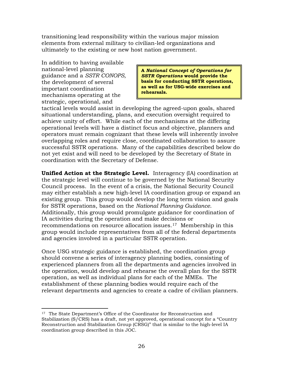transitioning lead responsibility within the various major mission elements from external military to civilian-led organizations and ultimately to the existing or new host nation government.

In addition to having available national-level planning guidance and a *SSTR CONOPS*, the development of several important coordination mechanisms operating at the strategic, operational, and

**A** *National Concept of Operations for SSTR Operations* **would provide the basis for conducting SSTR operations, as well as for USG-wide exercises and rehearsals.** 

tactical levels would assist in developing the agreed-upon goals, shared situational understanding, plans, and execution oversight required to achieve unity of effort. While each of the mechanisms at the differing operational levels will have a distinct focus and objective, planners and operators must remain cognizant that these levels will inherently involve overlapping roles and require close, coordinated collaboration to assure successful SSTR operations. Many of the capabilities described below do not yet exist and will need to be developed by the Secretary of State in coordination with the Secretary of Defense.

**Unified Action at the Strategic Level.** Interagency (IA) coordination at the strategic level will continue to be governed by the National Security Council process. In the event of a crisis, the National Security Council may either establish a new high-level IA coordination group or expand an existing group. This group would develop the long term vision and goals for SSTR operations, based on the *National Planning Guidance*. Additionally, this group would promulgate guidance for coordination of IA activities during the operation and make decisions or recommendations on resource allocation issues.[17](#page-38-0) Membership in this group would include representatives from all of the federal departments and agencies involved in a particular SSTR operation.

Once USG strategic guidance is established, the coordination group should convene a series of interagency planning bodies, consisting of experienced planners from all the departments and agencies involved in the operation, would develop and rehearse the overall plan for the SSTR operation, as well as individual plans for each of the MMEs. The establishment of these planning bodies would require each of the relevant departments and agencies to create a cadre of civilian planners.

<span id="page-38-0"></span> $\overline{a}$ <sup>17</sup> The State Department's Office of the Coordinator for Reconstruction and Stabilization (S/CRS) has a draft, not yet approved, operational concept for a "Country Reconstruction and Stabilization Group (CRSG)" that is similar to the high-level IA coordination group described in this JOC.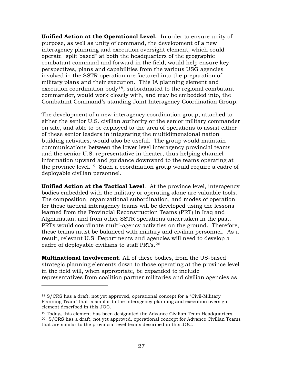**Unified Action at the Operational Level.** In order to ensure unity of purpose, as well as unity of command, the development of a new interagency planning and execution oversight element, which could operate "split based" at both the headquarters of the geographic combatant command and forward in the field, would help ensure key perspectives, plans and capabilities from the various USG agencies involved in the SSTR operation are factored into the preparation of military plans and their execution. This IA planning element and execution coordination body<sup>[18](#page-39-0)</sup>, subordinated to the regional combatant commander, would work closely with, and may be embedded into, the Combatant Command's standing Joint Interagency Coordination Group.

The development of a new interagency coordination group, attached to either the senior U.S. civilian authority or the senior military commander on site, and able to be deployed to the area of operations to assist either of these senior leaders in integrating the multidimensional nation building activities, would also be useful. The group would maintain communications between the lower level interagency provincial teams and the senior U.S. representative in theater, thus helping channel information upward and guidance downward to the teams operating at the province level.[19](#page-39-1) Such a coordination group would require a cadre of deployable civilian personnel.

**Unified Action at the Tactical Level**. At the province level, interagency bodies embedded with the military or operating alone are valuable tools. The composition, organizational subordination, and modes of operation for these tactical interagency teams will be developed using the lessons learned from the Provincial Reconstruction Teams (PRT) in Iraq and Afghanistan, and from other SSTR operations undertaken in the past. PRTs would coordinate multi-agency activities on the ground. Therefore, these teams must be balanced with military and civilian personnel. As a result, relevant U.S. Departments and agencies will need to develop a cadre of deployable civilians to staff PRTs.[20](#page-39-2)

**Multinational Involvement.** All of these bodies, from the US-based strategic planning elements down to those operating at the province level in the field will, when appropriate, be expanded to include representatives from coalition partner militaries and civilian agencies as

 $\overline{a}$ 

<span id="page-39-0"></span><sup>18</sup> S/CRS has a draft, not yet approved, operational concept for a "Civil-Military Planning Team" that is similar to the interagency planning and execution oversight element described in this JOC.

<span id="page-39-2"></span><span id="page-39-1"></span><sup>19</sup> Today**,** this element has been designated the Advance Civilian Team Headquarters.  $20$  S/CRS has a draft, not yet approved, operational concept for Advance Civilian Teams that are similar to the provincial level teams described in this JOC.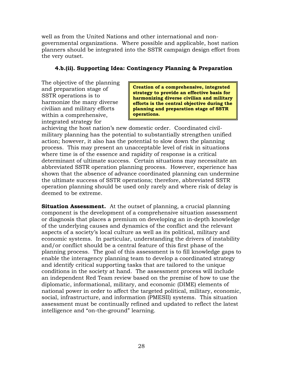well as from the United Nations and other international and nongovernmental organizations. Where possible and applicable, host nation planners should be integrated into the SSTR campaign design effort from the very outset.

## **4.b.(ii). Supporting Idea: Contingency Planning & Preparation**

The objective of the planning and preparation stage of SSTR operations is to harmonize the many diverse civilian and military efforts within a comprehensive, integrated strategy for

**Creation of a comprehensive, integrated strategy to provide an effective basis for harmonizing diverse civilian and military efforts is the central objective during the planning and preparation stage of SSTR operations.**

achieving the host nation's new domestic order. Coordinated civilmilitary planning has the potential to substantially strengthen unified action; however, it also has the potential to slow down the planning process. This may present an unacceptable level of risk in situations where time is of the essence and rapidity of response is a critical determinant of ultimate success. Certain situations may necessitate an abbreviated SSTR operation planning process. However, experience has shown that the absence of advance coordinated planning can undermine the ultimate success of SSTR operations; therefore, abbreviated SSTR operation planning should be used only rarely and where risk of delay is deemed to be extreme.

**Situation Assessment.** At the outset of planning, a crucial planning component is the development of a comprehensive situation assessment or diagnosis that places a premium on developing an in-depth knowledge of the underlying causes and dynamics of the conflict and the relevant aspects of a society's local culture as well as its political, military and economic systems. In particular, understanding the drivers of instability and/or conflict should be a central feature of this first phase of the planning process. The goal of this assessment is to fill knowledge gaps to enable the interagency planning team to develop a coordinated strategy and identify critical supporting tasks that are tailored to the unique conditions in the society at hand. The assessment process will include an independent Red Team review based on the premise of how to use the diplomatic, informational, military, and economic (DIME) elements of national power in order to affect the targeted political, military, economic, social, infrastructure, and information (PMESII) systems. This situation assessment must be continually refined and updated to reflect the latest intelligence and "on-the-ground" learning.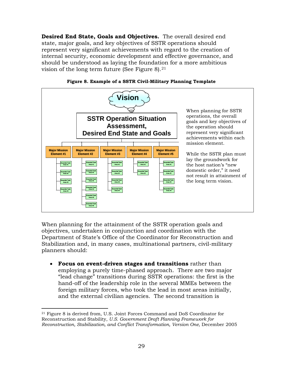**Desired End State, Goals and Objectives.** The overall desired end state, major goals, and key objectives of SSTR operations should represent very significant achievements with regard to the creation of internal security, economic development and effective governance, and should be understood as laying the foundation for a more ambitious vision of the long term future (See Figure 8).  $21$ 



**Figure 8. Example of a SSTR Civil-Military Planning Template**

When planning for the attainment of the SSTR operation goals and objectives, undertaken in conjunction and coordination with the Department of State's Office of the Coordinator for Reconstruction and Stabilization and, in many cases, multinational partners, civil-military planners should:

• **Focus on event-driven stages and transitions** rather than employing a purely time-phased approach. There are two major "lead change" transitions during SSTR operations: the first is the hand-off of the leadership role in the several MMEs between the foreign military forces, who took the lead in most areas initially, and the external civilian agencies. The second transition is

<span id="page-41-0"></span> $\overline{a}$ <sup>21</sup> Figure 8 is derived from, U.S. Joint Forces Command and DoS Coordinator for Reconstruction and Stability, *U.S. Government Draft Planning Framework for Reconstruction, Stabilization, and Conflict Transformation, Version One, December 2005*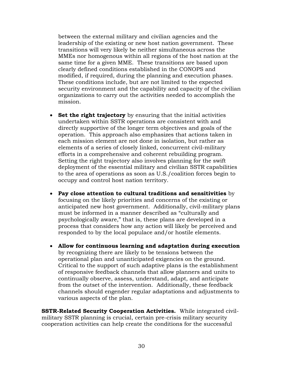between the external military and civilian agencies and the leadership of the existing or new host nation government. These transitions will very likely be neither simultaneous across the MMEs nor homogenous within all regions of the host nation at the same time for a given MME. These transitions are based upon clearly defined conditions established in the CONOPS and modified, if required, during the planning and execution phases. These conditions include, but are not limited to the expected security environment and the capability and capacity of the civilian organizations to carry out the activities needed to accomplish the mission.

- **Set the right trajectory** by ensuring that the initial activities undertaken within SSTR operations are consistent with and directly supportive of the longer term objectives and goals of the operation. This approach also emphasizes that actions taken in each mission element are not done in isolation, but rather as elements of a series of closely linked, concurrent civil-military efforts in a comprehensive and coherent rebuilding program. Setting the right trajectory also involves planning for the swift deployment of the essential military and civilian SSTR capabilities to the area of operations as soon as U.S./coalition forces begin to occupy and control host nation territory.
- **Pay close attention to cultural traditions and sensitivities** by focusing on the likely priorities and concerns of the existing or anticipated new host government. Additionally, civil-military plans must be informed in a manner described as "culturally and psychologically aware," that is, these plans are developed in a process that considers how any action will likely be perceived and responded to by the local populace and/or hostile elements.
- **Allow for continuous learning and adaptation during execution** by recognizing there are likely to be tensions between the operational plan and unanticipated exigencies on the ground. Critical to the support of such adaptive plans is the establishment of responsive feedback channels that allow planners and units to continually observe, assess, understand, adapt, and anticipate from the outset of the intervention. Additionally, these feedback channels should engender regular adaptations and adjustments to various aspects of the plan.

**SSTR-Related Security Cooperation Activities.** While integrated civilmilitary SSTR planning is crucial, certain pre-crisis military security cooperation activities can help create the conditions for the successful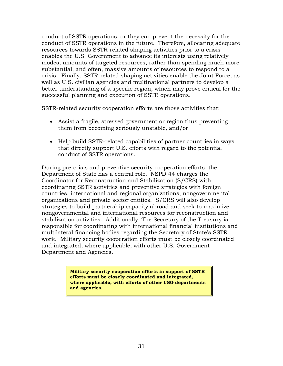conduct of SSTR operations; or they can prevent the necessity for the conduct of SSTR operations in the future. Therefore, allocating adequate resources towards SSTR-related shaping activities prior to a crisis enables the U.S. Government to advance its interests using relatively modest amounts of targeted resources, rather than spending much more substantial, and often, massive amounts of resources to respond to a crisis. Finally, SSTR-related shaping activities enable the Joint Force, as well as U.S. civilian agencies and multinational partners to develop a better understanding of a specific region, which may prove critical for the successful planning and execution of SSTR operations.

SSTR-related security cooperation efforts are those activities that:

- Assist a fragile, stressed government or region thus preventing them from becoming seriously unstable, and/or
- Help build SSTR-related capabilities of partner countries in ways that directly support U.S. efforts with regard to the potential conduct of SSTR operations.

During pre-crisis and preventive security cooperation efforts, the Department of State has a central role. NSPD 44 charges the Coordinator for Reconstruction and Stabilization (S/CRS) with coordinating SSTR activities and preventive strategies with foreign countries, international and regional organizations, nongovernmental organizations and private sector entities. S/CRS will also develop strategies to build partnership capacity abroad and seek to maximize nongovernmental and international resources for reconstruction and stabilization activities. Additionally, The Secretary of the Treasury is responsible for coordinating with international financial institutions and multilateral financing bodies regarding the Secretary of State's SSTR work. Military security cooperation efforts must be closely coordinated and integrated, where applicable, with other U.S. Government Department and Agencies.

> **Military security cooperation efforts in support of SSTR efforts must be closely coordinated and integrated, where applicable, with efforts of other USG departments and agencies.**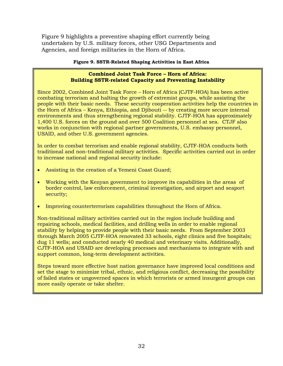Figure 9 highlights a preventive shaping effort currently being undertaken by U.S. military forces, other USG Departments and Agencies, and foreign militaries in the Horn of Africa.

#### **Figure 9. SSTR-Related Shaping Activities in East Africa**

#### **Combined Joint Task Force – Horn of Africa: Building SSTR-related Capacity and Preventing Instability**

Since 2002, Combined Joint Task Force – Horn of Africa (CJTF-HOA) has been active combating terrorism and halting the growth of extremist groups, while assisting the people with their basic needs. These security cooperation activities help the countries in the Horn of Africa – Kenya, Ethiopia, and Djibouti -- by creating more secure internal environments and thus strengthening regional stability. CJTF-HOA has approximately 1,400 U.S. forces on the ground and over 500 Coalition personnel at sea. CTJF also works in conjunction with regional partner governments, U.S. embassy personnel, USAID, and other U.S. government agencies.

In order to combat terrorism and enable regional stability, CJTF-HOA conducts both traditional and non-traditional military activities. Specific activities carried out in order to increase national and regional security include:

- Assisting in the creation of a Yemeni Coast Guard;
- Working with the Kenyan government to improve its capabilities in the areas of border control, law enforcement, criminal investigation, and airport and seaport security;
- Improving counterterrorism capabilities throughout the Horn of Africa.

Non-traditional military activities carried out in the region include building and repairing schools, medical facilities, and drilling wells in order to enable regional stability by helping to provide people with their basic needs. From September 2003 through March 2005 CJTF-HOA renovated 33 schools, eight clinics and five hospitals; dug 11 wells; and conducted nearly 40 medical and veterinary visits. Additionally, CJTF-HOA and USAID are developing processes and mechanisms to integrate with and support common, long-term development activities.

Steps toward more effective host nation governance have improved local conditions and set the stage to minimize tribal, ethnic, and religious conflict, decreasing the possibility of failed states or ungoverned spaces in which terrorists or armed insurgent groups can more easily operate or take shelter.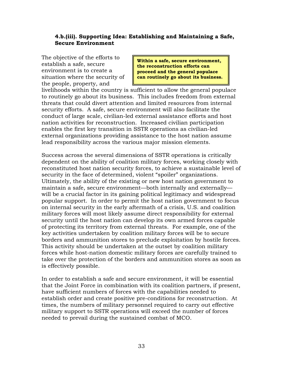### **4.b.(iii). Supporting Idea: Establishing and Maintaining a Safe, Secure Environment**

The objective of the efforts to establish a safe, secure environment is to create a situation where the security of the people, property, and

**Within a safe, secure environment, the reconstruction efforts can proceed and the general populace can routinely go about its business.** 

livelihoods within the country is sufficient to allow the general populace to routinely go about its business. This includes freedom from external threats that could divert attention and limited resources from internal security efforts. A safe, secure environment will also facilitate the conduct of large scale, civilian-led external assistance efforts and host nation activities for reconstruction. Increased civilian participation enables the first key transition in SSTR operations as civilian-led external organizations providing assistance to the host nation assume lead responsibility across the various major mission elements.

Success across the several dimensions of SSTR operations is critically dependent on the ability of coalition military forces, working closely with reconstituted host nation security forces, to achieve a sustainable level of security in the face of determined, violent "spoiler" organizations. Ultimately, the ability of the existing or new host nation government to maintain a safe, secure environment—both internally and externally will be a crucial factor in its gaining political legitimacy and widespread popular support. In order to permit the host nation government to focus on internal security in the early aftermath of a crisis, U.S. and coalition military forces will most likely assume direct responsibility for external security until the host nation can develop its own armed forces capable of protecting its territory from external threats. For example, one of the key activities undertaken by coalition military forces will be to secure borders and ammunition stores to preclude exploitation by hostile forces. This activity should be undertaken at the outset by coalition military forces while host-nation domestic military forces are carefully trained to take over the protection of the borders and ammunition stores as soon as is effectively possible.

In order to establish a safe and secure environment, it will be essential that the Joint Force in combination with its coalition partners, if present, have sufficient numbers of forces with the capabilities needed to establish order and create positive pre-conditions for reconstruction. At times, the numbers of military personnel required to carry out effective military support to SSTR operations will exceed the number of forces needed to prevail during the sustained combat of MCO.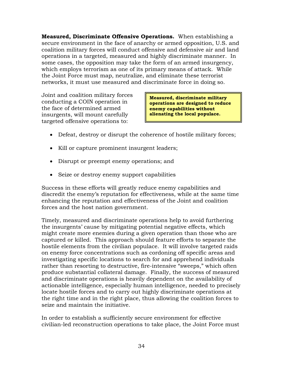**Measured, Discriminate Offensive Operations.** When establishing a secure environment in the face of anarchy or armed opposition, U.S. and coalition military forces will conduct offensive and defensive air and land operations in a targeted, measured and highly discriminate manner. In some cases, the opposition may take the form of an armed insurgency, which employs terrorism as one of its primary means of attack. While the Joint Force must map, neutralize, and eliminate these terrorist networks, it must use measured and discriminate force in doing so.

Joint and coalition military forces conducting a COIN operation in the face of determined armed insurgents, will mount carefully targeted offensive operations to:

**Measured, discriminate military operations are designed to reduce enemy capabilities without alienating the local populace.**

- Defeat, destroy or disrupt the coherence of hostile military forces;
- Kill or capture prominent insurgent leaders;
- Disrupt or preempt enemy operations; and
- Seize or destroy enemy support capabilities

Success in these efforts will greatly reduce enemy capabilities and discredit the enemy's reputation for effectiveness, while at the same time enhancing the reputation and effectiveness of the Joint and coalition forces and the host nation government.

Timely, measured and discriminate operations help to avoid furthering the insurgents' cause by mitigating potential negative effects, which might create more enemies during a given operation than those who are captured or killed. This approach should feature efforts to separate the hostile elements from the civilian populace. It will involve targeted raids on enemy force concentrations such as cordoning off specific areas and investigating specific locations to search for and apprehend individuals rather than resorting to destructive, fire-intensive "sweeps," which often produce substantial collateral damage. Finally, the success of measured and discriminate operations is heavily dependent on the availability of actionable intelligence, especially human intelligence, needed to precisely locate hostile forces and to carry out highly discriminate operations at the right time and in the right place, thus allowing the coalition forces to seize and maintain the initiative.

In order to establish a sufficiently secure environment for effective civilian-led reconstruction operations to take place, the Joint Force must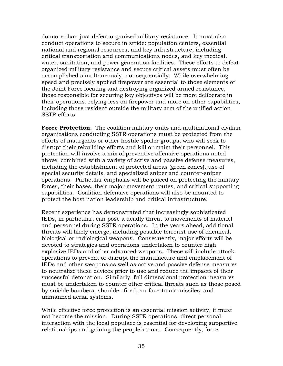do more than just defeat organized military resistance. It must also conduct operations to secure in stride: population centers, essential national and regional resources, and key infrastructure, including critical transportation and communications nodes, and key medical, water, sanitation, and power generation facilities. These efforts to defeat organized military resistance and secure critical assets must often be accomplished simultaneously, not sequentially. While overwhelming speed and precisely applied firepower are essential to those elements of the Joint Force locating and destroying organized armed resistance, those responsible for securing key objectives will be more deliberate in their operations, relying less on firepower and more on other capabilities, including those resident outside the military arm of the unified action SSTR efforts.

**Force Protection.** The coalition military units and multinational civilian organizations conducting SSTR operations must be protected from the efforts of insurgents or other hostile spoiler groups, who will seek to disrupt their rebuilding efforts and kill or maim their personnel. This protection will involve a mix of preventive offensive operations noted above, combined with a variety of active and passive defense measures, including the establishment of protected areas (green zones), use of special security details, and specialized sniper and counter-sniper operations. Particular emphasis will be placed on protecting the military forces, their bases, their major movement routes, and critical supporting capabilities. Coalition defensive operations will also be mounted to protect the host nation leadership and critical infrastructure.

Recent experience has demonstrated that increasingly sophisticated IEDs, in particular, can pose a deadly threat to movements of materiel and personnel during SSTR operations. In the years ahead, additional threats will likely emerge, including possible terrorist use of chemical, biological or radiological weapons. Consequently, major efforts will be devoted to strategies and operations undertaken to counter high explosive IEDs and other advanced weapons. These will include attack operations to prevent or disrupt the manufacture and emplacement of IEDs and other weapons as well as active and passive defense measures to neutralize these devices prior to use and reduce the impacts of their successful detonation. Similarly, full dimensional protection measures must be undertaken to counter other critical threats such as those posed by suicide bombers, shoulder-fired, surface-to-air missiles, and unmanned aerial systems.

While effective force protection is an essential mission activity, it must not become the mission. During SSTR operations, direct personal interaction with the local populace is essential for developing supportive relationships and gaining the people's trust. Consequently, force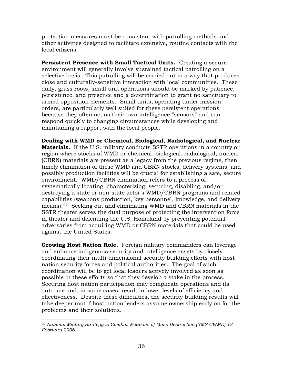protection measures must be consistent with patrolling methods and other activities designed to facilitate extensive, routine contacts with the local citizens.

**Persistent Presence with Small Tactical Units.** Creating a secure environment will generally involve sustained tactical patrolling on a selective basis. This patrolling will be carried out in a way that produces close and culturally-sensitive interaction with local communities. These daily, grass roots, small unit operations should be marked by patience, persistence, and presence and a determination to grant no sanctuary to armed opposition elements. Small units, operating under mission orders, are particularly well suited for these persistent operations because they often act as their own intelligence "sensors" and can respond quickly to changing circumstances while developing and maintaining a rapport with the local people.

**Dealing with WMD or Chemical, Biological, Radiological, and Nuclear Materials.** If the U.S. military conducts SSTR operations in a country or region where stocks of WMD or chemical, biological, radiological, nuclear (CBRN) materials are present as a legacy from the previous regime, then timely elimination of these WMD and CBRN stocks, delivery systems, and possibly production facilities will be crucial for establishing a safe, secure environment. WMD/CBRN elimination refers to a process of systematically locating, characterizing, securing, disabling, and/or destroying a state or non-state actor's WMD/CBRN programs and related capabilities (weapons production, key personnel, knowledge, and delivery means).[22](#page-48-0) Seeking out and eliminating WMD and CBRN materials in the SSTR theater serves the dual purpose of protecting the intervention force in theater and defending the U.S. Homeland by preventing potential adversaries from acquiring WMD or CBRN materials that could be used against the United States.

**Growing Host Nation Role.** Foreign military commanders can leverage and enhance indigenous security and intelligence assets by closely coordinating their multi-dimensional security building efforts with host nation security forces and political authorities. The goal of such coordination will be to get local leaders actively involved as soon as possible in these efforts so that they develop a stake in the process. Securing host nation participation may complicate operations and its outcome and, in some cases, result in lower levels of efficiency and effectiveness. Despite these difficulties, the security building results will take deeper root if host nation leaders assume ownership early on for the problems and their solutions.

<span id="page-48-0"></span> $\overline{a}$ <sup>22</sup> *National Military Strategy to Combat Weapons of Mass Destruction (NMS-CWMD).13 February 2006*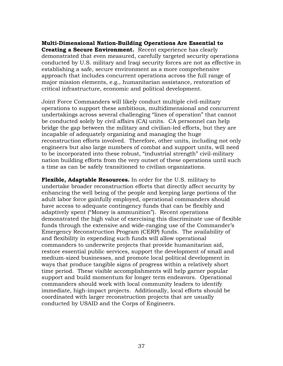**Multi-Dimensional Nation-Building Operations Are Essential to Creating a Secure Environment.** Recent experience has clearly demonstrated that even measured, carefully targeted security operations conducted by U.S. military and Iraqi security forces are not as effective in establishing a safe, secure environment as a more comprehensive approach that includes concurrent operations across the full range of major mission elements, e.g., humanitarian assistance, restoration of critical infrastructure, economic and political development.

Joint Force Commanders will likely conduct multiple civil-military operations to support these ambitious, multidimensional and concurrent undertakings across several challenging "lines of operation" that cannot be conducted solely by civil affairs (CA) units. CA personnel can help bridge the gap between the military and civilian-led efforts, but they are incapable of adequately organizing and managing the huge reconstruction efforts involved. Therefore, other units, including not only engineers but also large numbers of combat and support units, will need to be incorporated into these robust, "industrial strength" civil-military nation building efforts from the very outset of these operations until such a time as can be safely transitioned to civilian organizations.

**Flexible, Adaptable Resources.** In order for the U.S. military to undertake broader reconstruction efforts that directly affect security by enhancing the well being of the people and keeping large portions of the adult labor force gainfully employed, operational commanders should have access to adequate contingency funds that can be flexibly and adaptively spent ("Money is ammunition"). Recent operations demonstrated the high value of exercising this discriminate use of flexible funds through the extensive and wide-ranging use of the Commander's Emergency Reconstruction Program (CERP) funds. The availability of and flexibility in expending such funds will allow operational commanders to underwrite projects that provide humanitarian aid, restore essential public services, support the development of small and medium-sized businesses, and promote local political development in ways that produce tangible signs of progress within a relatively short time period. These visible accomplishments will help garner popular support and build momentum for longer term endeavors. Operational commanders should work with local community leaders to identify immediate, high-impact projects. Additionally, local efforts should be coordinated with larger reconstruction projects that are usually conducted by USAID and the Corps of Engineers.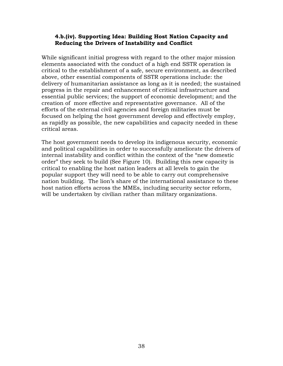### **4.b.(iv). Supporting Idea: Building Host Nation Capacity and Reducing the Drivers of Instability and Conflict**

While significant initial progress with regard to the other major mission elements associated with the conduct of a high end SSTR operation is critical to the establishment of a safe, secure environment, as described above, other essential components of SSTR operations include: the delivery of humanitarian assistance as long as it is needed; the sustained progress in the repair and enhancement of critical infrastructure and essential public services; the support of economic development; and the creation of more effective and representative governance. All of the efforts of the external civil agencies and foreign militaries must be focused on helping the host government develop and effectively employ, as rapidly as possible, the new capabilities and capacity needed in these critical areas.

The host government needs to develop its indigenous security, economic and political capabilities in order to successfully ameliorate the drivers of internal instability and conflict within the context of the "new domestic order" they seek to build (See Figure 10). Building this new capacity is critical to enabling the host nation leaders at all levels to gain the popular support they will need to be able to carry out comprehensive nation building. The lion's share of the international assistance to these host nation efforts across the MMEs, including security sector reform, will be undertaken by civilian rather than military organizations.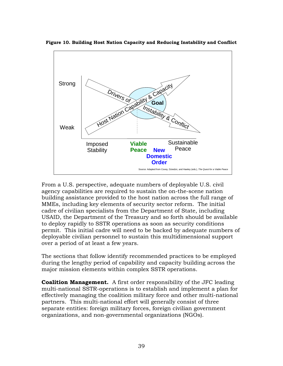

**Figure 10. Building Host Nation Capacity and Reducing Instability and Conflict**

From a U.S. perspective, adequate numbers of deployable U.S. civil agency capabilities are required to sustain the on-the-scene nation building assistance provided to the host nation across the full range of MMEs, including key elements of security sector reform. The initial cadre of civilian specialists from the Department of State, including USAID, the Department of the Treasury and so forth should be available to deploy rapidly to SSTR operations as soon as security conditions permit. This initial cadre will need to be backed by adequate numbers of deployable civilian personnel to sustain this multidimensional support over a period of at least a few years.

The sections that follow identify recommended practices to be employed during the lengthy period of capability and capacity building across the major mission elements within complex SSTR operations.

**Coalition Management.** A first order responsibility of the JFC leading multi-national SSTR-operations is to establish and implement a plan for effectively managing the coalition military force and other multi-national partners. This multi-national effort will generally consist of three separate entities: foreign military forces, foreign civilian government organizations, and non-governmental organizations (NGOs).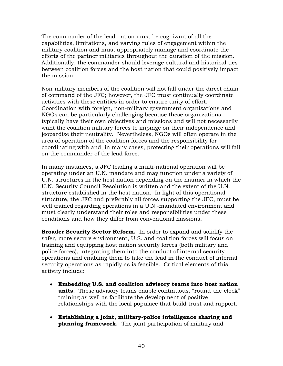The commander of the lead nation must be cognizant of all the capabilities, limitations, and varying rules of engagement within the military coalition and must appropriately manage and coordinate the efforts of the partner militaries throughout the duration of the mission. Additionally, the commander should leverage cultural and historical ties between coalition forces and the host nation that could positively impact the mission.

Non-military members of the coalition will not fall under the direct chain of command of the JFC; however, the JFC must continually coordinate activities with these entities in order to ensure unity of effort. Coordination with foreign, non-military government organizations and NGOs can be particularly challenging because these organizations typically have their own objectives and missions and will not necessarily want the coalition military forces to impinge on their independence and jeopardize their neutrality. Nevertheless, NGOs will often operate in the area of operation of the coalition forces and the responsibility for coordinating with and, in many cases, protecting their operations will fall on the commander of the lead force.

In many instances, a JFC leading a multi-national operation will be operating under an U.N. mandate and may function under a variety of U.N. structures in the host nation depending on the manner in which the U.N. Security Council Resolution is written and the extent of the U.N. structure established in the host nation. In light of this operational structure, the JFC and preferably all forces supporting the JFC, must be well trained regarding operations in a U.N.-mandated environment and must clearly understand their roles and responsibilities under these conditions and how they differ from conventional missions**.**

**Broader Security Sector Reform.** In order to expand and solidify the safer, more secure environment, U.S. and coalition forces will focus on training and equipping host nation security forces (both military and police forces), integrating them into the conduct of internal security operations and enabling them to take the lead in the conduct of internal security operations as rapidly as is feasible. Critical elements of this activity include:

- **Embedding U.S. and coalition advisory teams into host nation units.** These advisory teams enable continuous, "round-the-clock" training as well as facilitate the development of positive relationships with the local populace that build trust and rapport.
- **Establishing a joint, military-police intelligence sharing and planning framework.** The joint participation of military and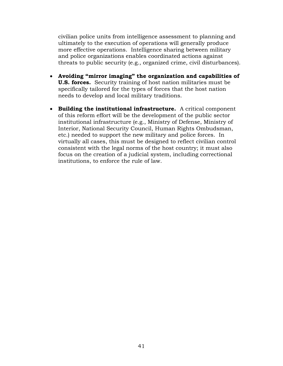civilian police units from intelligence assessment to planning and ultimately to the execution of operations will generally produce more effective operations. Intelligence sharing between military and police organizations enables coordinated actions against threats to public security (e.g., organized crime, civil disturbances).

- **Avoiding "mirror imaging" the organization and capabilities of U.S. forces.** Security training of host nation militaries must be specifically tailored for the types of forces that the host nation needs to develop and local military traditions.
- **Building the institutional infrastructure.** A critical component of this reform effort will be the development of the public sector institutional infrastructure (e.g., Ministry of Defense, Ministry of Interior, National Security Council, Human Rights Ombudsman, etc.) needed to support the new military and police forces. In virtually all cases, this must be designed to reflect civilian control consistent with the legal norms of the host country; it must also focus on the creation of a judicial system, including correctional institutions, to enforce the rule of law.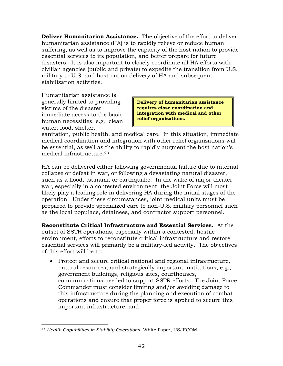**Deliver Humanitarian Assistance.** The objective of the effort to deliver humanitarian assistance (HA) is to rapidly relieve or reduce human suffering, as well as to improve the capacity of the host nation to provide essential services to its population, and better prepare for future disasters. It is also important to closely coordinate all HA efforts with civilian agencies (public and private) to expedite the transition from U.S. military to U.S. and host nation delivery of HA and subsequent stabilization activities.

Humanitarian assistance is generally limited to providing victims of the disaster immediate access to the basic human necessities, e.g., clean water, food, shelter,

**Delivery of humanitarian assistance requires close coordination and integration with medical and other relief organizations.**

sanitation, public health, and medical care. In this situation, immediate medical coordination and integration with other relief organizations will be essential, as well as the ability to rapidly augment the host nation's medical infrastructure.[23](#page-54-0)

HA can be delivered either following governmental failure due to internal collapse or defeat in war, or following a devastating natural disaster, such as a flood, tsunami, or earthquake. In the wake of major theater war, especially in a contested environment, the Joint Force will most likely play a leading role in delivering HA during the initial stages of the operation. Under these circumstances, joint medical units must be prepared to provide specialized care to non-U.S. military personnel such as the local populace, detainees, and contractor support personnel.

**Reconstitute Critical Infrastructure and Essential Services.** At the outset of SSTR operations, especially within a contested, hostile environment, efforts to reconstitute critical infrastructure and restore essential services will primarily be a military-led activity. The objectives of this effort will be to:

• Protect and secure critical national and regional infrastructure, natural resources, and strategically important institutions, e.g., government buildings, religious sites, courthouses, communications needed to support SSTR efforts. The Joint Force Commander must consider limiting and/or avoiding damage to this infrastructure during the planning and execution of combat operations and ensure that proper force is applied to secure this important infrastructure; and

<span id="page-54-0"></span> $\overline{a}$ <sup>23</sup> *Health Capabilities in Stability Operations*, White Paper, USJFCOM.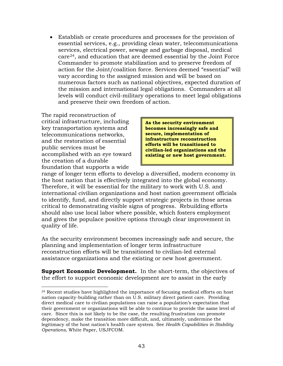• Establish or create procedures and processes for the provision of essential services, e.g., providing clean water, telecommunications services, electrical power, sewage and garbage disposal, medical care[24](#page-55-0), and education that are deemed essential by the Joint Force Commander to promote stabilization and to preserve freedom of action for the Joint/coalition force. Services deemed "essential" will vary according to the assigned mission and will be based on numerous factors such as national objectives, expected duration of the mission and international legal obligations. Commanders at all levels will conduct civil-military operations to meet legal obligations and preserve their own freedom of action.

The rapid reconstruction of critical infrastructure, including key transportation systems and telecommunications networks, and the restoration of essential public services must be accomplished with an eye toward the creation of a durable foundation that supports a wide

**As the security environment becomes increasingly safe and secure, implementation of infrastructure reconstruction efforts will be transitioned to civilian-led organizations and the existing or new host government.**

range of longer term efforts to develop a diversified, modern economy in the host nation that is effectively integrated into the global economy. Therefore, it will be essential for the military to work with U.S. and international civilian organizations and host nation government officials to identify, fund, and directly support strategic projects in those areas critical to demonstrating visible signs of progress. Rebuilding efforts should also use local labor where possible, which fosters employment and gives the populace positive options through clear improvement in quality of life.

As the security environment becomes increasingly safe and secure, the planning and implementation of longer term infrastructure reconstruction efforts will be transitioned to civilian-led external assistance organizations and the existing or new host government.

**Support Economic Development.** In the short-term, the objectives of the effort to support economic development are to assist in the early

<span id="page-55-0"></span> $\overline{a}$ <sup>24</sup> Recent studies have highlighted the importance of focusing medical efforts on host nation capacity-building rather than on U.S. military direct patient care. Providing direct medical care to civilian populations can raise a population's expectation that their government or organizations will be able to continue to provide the same level of care. Since this is not likely to be the case, the resulting frustration can promote dependency, make the transition more difficult, and, ultimately, undermine the legitimacy of the host nation's health care system. See *Health Capabilities in Stability Operations,* White Paper, USJFCOM.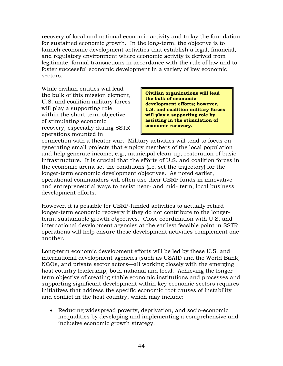recovery of local and national economic activity and to lay the foundation for sustained economic growth. In the long-term, the objective is to launch economic development activities that establish a legal, financial, and regulatory environment where economic activity is derived from legitimate, formal transactions in accordance with the rule of law and to foster successful economic development in a variety of key economic sectors.

While civilian entities will lead the bulk of this mission element, U.S. and coalition military forces will play a supporting role within the short-term objective of stimulating economic recovery, especially during SSTR operations mounted in

**Civilian organizations will lead the bulk of economic development efforts; however, U.S. and coalition military forces will play a supporting role by assisting in the stimulation of economic recovery.**

connection with a theater war. Military activities will tend to focus on generating small projects that employ members of the local population and help generate income, e.g., municipal clean-up, restoration of basic infrastructure. It is crucial that the efforts of U.S. and coalition forces in the economic arena set the conditions (i.e. set the trajectory) for the longer-term economic development objectives. As noted earlier, operational commanders will often use their CERP funds in innovative and entrepreneurial ways to assist near- and mid- term, local business development efforts.

However, it is possible for CERP-funded activities to actually retard longer-term economic recovery if they do not contribute to the longerterm, sustainable growth objectives. Close coordination with U.S. and international development agencies at the earliest feasible point in SSTR operations will help ensure these development activities complement one another.

Long-term economic development efforts will be led by these U.S. and international development agencies (such as USAID and the World Bank) NGOs, and private sector actors—all working closely with the emerging host country leadership, both national and local. Achieving the longerterm objective of creating stable economic institutions and processes and supporting significant development within key economic sectors requires initiatives that address the specific economic root causes of instability and conflict in the host country, which may include:

• Reducing widespread poverty, deprivation, and socio-economic inequalities by developing and implementing a comprehensive and inclusive economic growth strategy.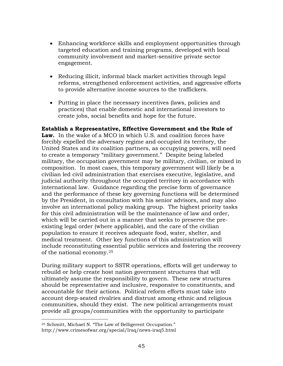- Enhancing workforce skills and employment opportunities through targeted education and training programs, developed with local community involvement and market-sensitive private sector engagement.
- Reducing illicit, informal black market activities through legal reforms, strengthened enforcement activities, and aggressive efforts to provide alternative income sources to the traffickers.
- Putting in place the necessary incentives (laws, policies and practices) that enable domestic and international investors to create jobs, social benefits and hope for the future.

## **Establish a Representative, Effective Government and the Rule of**

**Law.** In the wake of a MCO in which U.S. and coalition forces have forcibly expelled the adversary regime and occupied its territory, the United States and its coalition partners, as occupying powers, will need to create a temporary "military government." Despite being labeled military, the occupation government may be military, civilian, or mixed in composition. In most cases, this temporary government will likely be a civilian led civil administration that exercises executive, legislative, and judicial authority throughout the occupied territory in accordance with international law. Guidance regarding the precise form of governance and the performance of these key governing functions will be determined by the President, in consultation with his senior advisors, and may also involve an international policy making group. The highest priority tasks for this civil administration will be the maintenance of law and order, which will be carried out in a manner that seeks to preserve the preexisting legal order (where applicable), and the care of the civilian population to ensure it receives adequate food, water, shelter, and medical treatment. Other key functions of this administration will include reconstituting essential public services and fostering the recovery of the national economy.[25](#page-57-0)

During military support to SSTR operations, efforts will get underway to rebuild or help create host nation government structures that will ultimately assume the responsibility to govern. These new structures should be representative and inclusive, responsive to constituents, and accountable for their actions. Political reform efforts must take into account deep-seated rivalries and distrust among ethnic and religious communities, should they exist. The new political arrangements must provide all groups/communities with the opportunity to participate

<span id="page-57-0"></span> $\overline{a}$ <sup>25</sup> Schmitt, Michael N. "The Law of Belligerent Occupation."

http://www.crimesofwar.org/special/Iraq/news-iraq5.html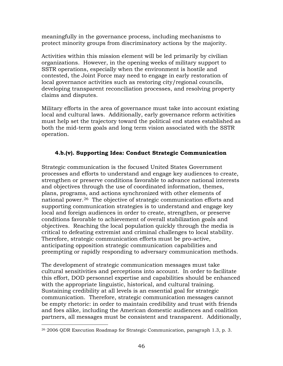meaningfully in the governance process, including mechanisms to protect minority groups from discriminatory actions by the majority.

Activities within this mission element will be led primarily by civilian organizations. However, in the opening weeks of military support to SSTR operations, especially when the environment is hostile and contested, the Joint Force may need to engage in early restoration of local governance activities such as restoring city/regional councils, developing transparent reconciliation processes, and resolving property claims and disputes.

Military efforts in the area of governance must take into account existing local and cultural laws. Additionally, early governance reform activities must help set the trajectory toward the political end states established as both the mid-term goals and long term vision associated with the SSTR operation.

# **4.b.(v). Supporting Idea: Conduct Strategic Communication**

Strategic communication is the focused United States Government processes and efforts to understand and engage key audiences to create, strengthen or preserve conditions favorable to advance national interests and objectives through the use of coordinated information, themes, plans, programs, and actions synchronized with other elements of national power.[26](#page-58-0) The objective of strategic communication efforts and supporting communication strategies is to understand and engage key local and foreign audiences in order to create, strengthen, or preserve conditions favorable to achievement of overall stabilization goals and objectives. Reaching the local population quickly through the media is critical to defeating extremist and criminal challenges to local stability. Therefore, strategic communication efforts must be pro-active, anticipating opposition strategic communication capabilities and preempting or rapidly responding to adversary communication methods.

The development of strategic communication messages must take cultural sensitivities and perceptions into account. In order to facilitate this effort, DOD personnel expertise and capabilities should be enhanced with the appropriate linguistic, historical, and cultural training. Sustaining credibility at all levels is an essential goal for strategic communication. Therefore, strategic communication messages cannot be empty rhetoric: in order to maintain credibility and trust with friends and foes alike, including the American domestic audiences and coalition partners, all messages must be consistent and transparent. Additionally,

<span id="page-58-0"></span> $\overline{a}$ <sup>26</sup> 2006 QDR Execution Roadmap for Strategic Communication, paragraph 1.3, p. 3.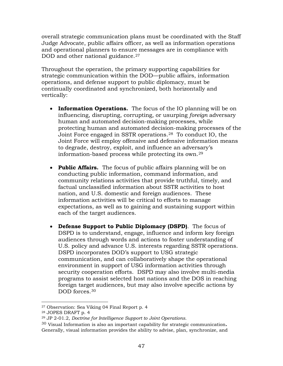overall strategic communication plans must be coordinated with the Staff Judge Advocate, public affairs officer, as well as information operations and operational planners to ensure messages are in compliance with DOD and other national guidance.<sup>[27](#page-59-0)</sup>

Throughout the operation, the primary supporting capabilities for strategic communication within the DOD—public affairs, information operations, and defense support to public diplomacy, must be continually coordinated and synchronized, both horizontally and vertically:

- **Information Operations.** The focus of the IO planning will be on influencing, disrupting, corrupting, or usurping *foreign* adversary human and automated decision-making processes, while protecting human and automated decision-making processes of the Joint Force engaged in SSTR operations.[28](#page-59-1) To conduct IO, the Joint Force will employ offensive and defensive information means to degrade, destroy, exploit, and influence an adversary's information-based process while protecting its own.[29](#page-59-2)
- **Public Affairs.** The focus of public affairs planning will be on conducting public information, command information, and community relations activities that provide truthful, timely, and factual unclassified information about SSTR activities to host nation, and U.S. domestic and foreign audiences. These information activities will be critical to efforts to manage expectations, as well as to gaining and sustaining support within each of the target audiences.
- **Defense Support to Public Diplomacy (DSPD)**. The focus of DSPD is to understand, engage, influence and inform key foreign audiences through words and actions to foster understanding of U.S. policy and advance U.S. interests regarding SSTR operations. DSPD incorporates DOD's support to USG strategic communication, and can collaboratively shape the operational environment in support of USG information activities through security cooperation efforts. DSPD may also involve multi-media programs to assist selected host nations and the DOS in reaching foreign target audiences, but may also involve specific actions by DOD forces.<sup>[30](#page-59-3)</sup>

 $\overline{a}$ <sup>27</sup> Observation: Sea Viking 04 Final Report p. 4

<span id="page-59-1"></span><span id="page-59-0"></span><sup>28</sup> JOPES DRAFT p. 4

<span id="page-59-2"></span><sup>29</sup> JP 2-01.2, *Doctrine for Intelligence Support to Joint Operations.*

<span id="page-59-3"></span><sup>30</sup> Visual Information is also an important capability for strategic communication**.** Generally, visual information provides the ability to advise, plan, synchronize, and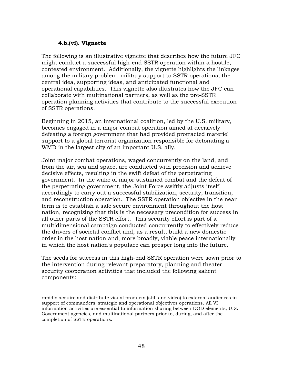### **4.b.(vi). Vignette**

 $\overline{a}$ 

The following is an illustrative vignette that describes how the future JFC might conduct a successful high-end SSTR operation within a hostile, contested environment. Additionally, the vignette highlights the linkages among the military problem, military support to SSTR operations, the central idea, supporting ideas, and anticipated functional and operational capabilities. This vignette also illustrates how the JFC can collaborate with multinational partners, as well as the pre-SSTR operation planning activities that contribute to the successful execution of SSTR operations.

Beginning in 2015, an international coalition, led by the U.S. military, becomes engaged in a major combat operation aimed at decisively defeating a foreign government that had provided protracted materiel support to a global terrorist organization responsible for detonating a WMD in the largest city of an important U.S. ally.

Joint major combat operations, waged concurrently on the land, and from the air, sea and space, are conducted with precision and achieve decisive effects, resulting in the swift defeat of the perpetrating government. In the wake of major sustained combat and the defeat of the perpetrating government, the Joint Force swiftly adjusts itself accordingly to carry out a successful stabilization, security, transition, and reconstruction operation. The SSTR operation objective in the near term is to establish a safe secure environment throughout the host nation, recognizing that this is the necessary precondition for success in all other parts of the SSTR effort. This security effort is part of a multidimensional campaign conducted concurrently to effectively reduce the drivers of societal conflict and, as a result, build a new domestic order in the host nation and, more broadly, viable peace internationally in which the host nation's populace can prosper long into the future.

The seeds for success in this high-end SSTR operation were sown prior to the intervention during relevant preparatory, planning and theater security cooperation activities that included the following salient components:

rapidly acquire and distribute visual products (still and video) to external audiences in support of commanders' strategic and operational objectives operations. All VI information activities are essential to information sharing between DOD elements, U.S. Government agencies, and multinational partners prior to, during, and after the completion of SSTR operations.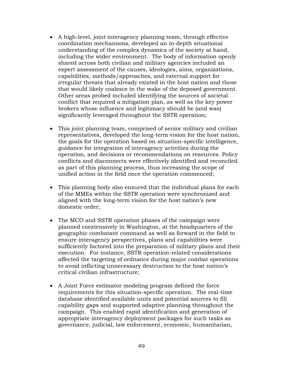- A high-level, joint interagency planning team, through effective coordination mechanisms, developed an in-depth situational understanding of the complex dynamics of the society at hand, including the wider environment. The body of information openly shared across both civilian and military agencies included an expert assessment of the causes, ideologies, aims, organizations, capabilities, methods/approaches, and external support for irregular threats that already existed in the host nation and those that would likely coalesce in the wake of the deposed government. Other areas probed included identifying the sources of societal conflict that required a mitigation plan, as well as the key power brokers whose influence and legitimacy should be (and was) significantly leveraged throughout the SSTR operation;
- This joint planning team, comprised of senior military and civilian representatives, developed the long-term vision for the host nation, the goals for the operation based on situation-specific intelligence, guidance for integration of interagency activities during the operation, and decisions or recommendations on resources. Policy conflicts and disconnects were effectively identified and reconciled as part of this planning process, thus increasing the scope of unified action in the field once the operation commenced;
- This planning body also ensured that the individual plans for each of the MMEs within the SSTR operation were synchronized and aligned with the long-term vision for the host nation's new domestic order;
- The MCO and SSTR operation phases of the campaign were planned coextensively in Washington, at the headquarters of the geographic combatant command as well as forward in the field to ensure interagency perspectives, plans and capabilities were sufficiently factored into the preparation of military plans and their execution. For instance, SSTR operation-related considerations affected the targeting of ordnance during major combat operations to avoid inflicting unnecessary destruction to the host nation's critical civilian infrastructure;
- A Joint Force estimator modeling program defined the force requirements for this situation-specific operation. The real-time database identified available units and potential sources to fill capability gaps and supported adaptive planning throughout the campaign. This enabled rapid identification and generation of appropriate interagency deployment packages for such tasks as governance, judicial, law enforcement, economic, humanitarian,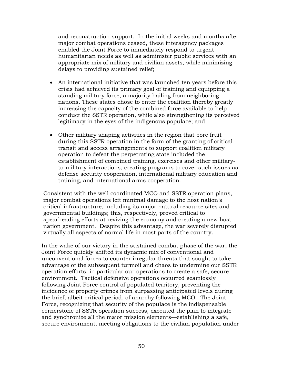and reconstruction support. In the initial weeks and months after major combat operations ceased, these interagency packages enabled the Joint Force to immediately respond to urgent humanitarian needs as well as administer public services with an appropriate mix of military and civilian assets, while minimizing delays to providing sustained relief;

- An international initiative that was launched ten years before this crisis had achieved its primary goal of training and equipping a standing military force, a majority hailing from neighboring nations. These states chose to enter the coalition thereby greatly increasing the capacity of the combined force available to help conduct the SSTR operation, while also strengthening its perceived legitimacy in the eyes of the indigenous populace; and
- Other military shaping activities in the region that bore fruit during this SSTR operation in the form of the granting of critical transit and access arrangements to support coalition military operation to defeat the perpetrating state included the establishment of combined training, exercises and other militaryto-military interactions; creating programs to cover such issues as defense security cooperation, international military education and training, and international arms cooperation.

Consistent with the well coordinated MCO and SSTR operation plans, major combat operations left minimal damage to the host nation's critical infrastructure, including its major natural resource sites and governmental buildings; this, respectively, proved critical to spearheading efforts at reviving the economy and creating a new host nation government. Despite this advantage, the war severely disrupted virtually all aspects of normal life in most parts of the country.

In the wake of our victory in the sustained combat phase of the war, the Joint Force quickly shifted its dynamic mix of conventional and unconventional forces to counter irregular threats that sought to take advantage of the subsequent turmoil and chaos to undermine our SSTR operation efforts, in particular our operations to create a safe, secure environment. Tactical defensive operations occurred seamlessly following Joint Force control of populated territory, preventing the incidence of property crimes from surpassing anticipated levels during the brief, albeit critical period, of anarchy following MCO. The Joint Force, recognizing that security of the populace is the indispensable cornerstone of SSTR operation success, executed the plan to integrate and synchronize all the major mission elements—establishing a safe, secure environment, meeting obligations to the civilian population under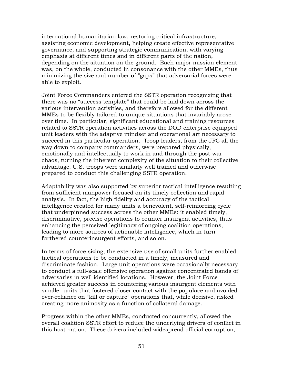international humanitarian law, restoring critical infrastructure, assisting economic development, helping create effective representative governance, and supporting strategic communication, with varying emphasis at different times and in different parts of the nation, depending on the situation on the ground. Each major mission element was, on the whole, conducted in consonance with the other MMEs, thus minimizing the size and number of "gaps" that adversarial forces were able to exploit.

Joint Force Commanders entered the SSTR operation recognizing that there was no "success template" that could be laid down across the various intervention activities, and therefore allowed for the different MMEs to be flexibly tailored to unique situations that invariably arose over time. In particular, significant educational and training resources related to SSTR operation activities across the DOD enterprise equipped unit leaders with the adaptive mindset and operational art necessary to succeed in this particular operation. Troop leaders, from the JFC all the way down to company commanders, were prepared physically, emotionally and intellectually to work in and through the post-war chaos, turning the inherent complexity of the situation to their collective advantage. U.S. troops were similarly well trained and otherwise prepared to conduct this challenging SSTR operation.

Adaptability was also supported by superior tactical intelligence resulting from sufficient manpower focused on its timely collection and rapid analysis. In fact, the high fidelity and accuracy of the tactical intelligence created for many units a benevolent, self-reinforcing cycle that underpinned success across the other MMEs: it enabled timely, discriminative, precise operations to counter insurgent activities, thus enhancing the perceived legitimacy of ongoing coalition operations, leading to more sources of actionable intelligence, which in turn furthered counterinsurgent efforts, and so on.

In terms of force sizing, the extensive use of small units further enabled tactical operations to be conducted in a timely, measured and discriminate fashion. Large unit operations were occasionally necessary to conduct a full-scale offensive operation against concentrated bands of adversaries in well identified locations. However, the Joint Force achieved greater success in countering various insurgent elements with smaller units that fostered closer contact with the populace and avoided over-reliance on "kill or capture" operations that, while decisive, risked creating more animosity as a function of collateral damage.

Progress within the other MMEs, conducted concurrently, allowed the overall coalition SSTR effort to reduce the underlying drivers of conflict in this host nation. These drivers included widespread official corruption,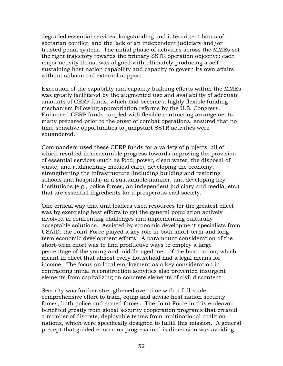degraded essential services, longstanding and intermittent bouts of sectarian conflict, and the lack of an independent judiciary and/or trusted penal system. The initial phase of activities across the MMEs set the right trajectory towards the primary SSTR operation objective: each major activity thrust was aligned with ultimately producing a selfsustaining host nation capability and capacity to govern its own affairs without substantial external support.

Execution of the capability and capacity building efforts within the MMEs was greatly facilitated by the augmented use and availability of adequate amounts of CERP funds, which had become a highly flexible funding mechanism following appropriation reforms by the U.S. Congress. Enhanced CERP funds coupled with flexible contracting arrangements, many prepared prior to the onset of combat operations, ensured that no time-sensitive opportunities to jumpstart SSTR activities were squandered.

Commanders used these CERP funds for a variety of projects, all of which resulted in measurable progress towards improving the provision of essential services (such as food, power, clean water, the disposal of waste, and rudimentary medical care), developing the economy, strengthening the infrastructure (including building and restoring schools and hospitals) in a sustainable manner, and developing key institutions (e.g., police forces, an independent judiciary and media, etc.) that are essential ingredients for a prosperous civil society.

One critical way that unit leaders used resources for the greatest effect was by exercising best efforts to get the general population actively involved in confronting challenges and implementing culturally acceptable solutions. Assisted by economic development specialists from USAID, the Joint Force played a key role in both short-term and longterm economic development efforts. A paramount consideration of the short-term effort was to find productive ways to employ a large percentage of the young and middle-aged men of the host nation, which meant in effect that almost every household had a legal means for income. The focus on local employment as a key consideration in contracting initial reconstruction activities also prevented insurgent elements from capitalizing on concrete elements of civil discontent.

Security was further strengthened over time with a full-scale, comprehensive effort to train, equip and advise host nation security forces, both police and armed forces. The Joint Force in this endeavor benefited greatly from global security cooperation programs that created a number of discrete, deployable teams from multinational coalition nations, which were specifically designed to fulfill this mission. A general precept that guided enormous progress in this dimension was avoiding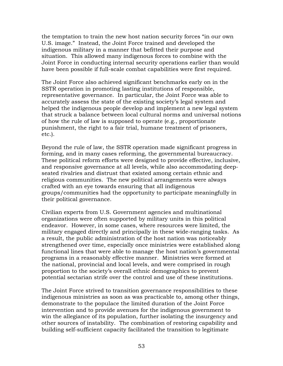the temptation to train the new host nation security forces "in our own U.S. image." Instead, the Joint Force trained and developed the indigenous military in a manner that befitted their purpose and situation. This allowed many indigenous forces to combine with the Joint Force in conducting internal security operations earlier than would have been possible if full-scale combat capabilities were first required.

The Joint Force also achieved significant benchmarks early on in the SSTR operation in promoting lasting institutions of responsible, representative governance. In particular, the Joint Force was able to accurately assess the state of the existing society's legal system and helped the indigenous people develop and implement a new legal system that struck a balance between local cultural norms and universal notions of how the rule of law is supposed to operate (e.g., proportionate punishment, the right to a fair trial, humane treatment of prisoners, etc.).

Beyond the rule of law, the SSTR operation made significant progress in forming, and in many cases reforming, the governmental bureaucracy. These political reform efforts were designed to provide effective, inclusive, and responsive governance at all levels, while also accommodating deepseated rivalries and distrust that existed among certain ethnic and religious communities. The new political arrangements were always crafted with an eye towards ensuring that all indigenous groups/communities had the opportunity to participate meaningfully in their political governance.

Civilian experts from U.S. Government agencies and multinational organizations were often supported by military units in this political endeavor. However, in some cases, where resources were limited, the military engaged directly and principally in these wide-ranging tasks. As a result, the public administration of the host nation was noticeably strengthened over time, especially once ministries were established along functional lines that were able to manage the host nation's governmental programs in a reasonably effective manner. Ministries were formed at the national, provincial and local levels, and were comprised in rough proportion to the society's overall ethnic demographics to prevent potential sectarian strife over the control and use of these institutions.

The Joint Force strived to transition governance responsibilities to these indigenous ministries as soon as was practicable to, among other things, demonstrate to the populace the limited duration of the Joint Force intervention and to provide avenues for the indigenous government to win the allegiance of its population, further isolating the insurgency and other sources of instability. The combination of restoring capability and building self-sufficient capacity facilitated the transition to legitimate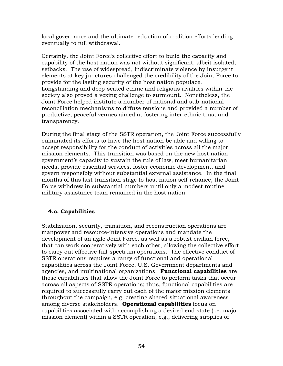local governance and the ultimate reduction of coalition efforts leading eventually to full withdrawal.

Certainly, the Joint Force's collective effort to build the capacity and capability of the host nation was not without significant, albeit isolated, setbacks. The use of widespread, indiscriminate violence by insurgent elements at key junctures challenged the credibility of the Joint Force to provide for the lasting security of the host nation populace. Longstanding and deep-seated ethnic and religious rivalries within the society also proved a vexing challenge to surmount. Nonetheless, the Joint Force helped institute a number of national and sub-national reconciliation mechanisms to diffuse tensions and provided a number of productive, peaceful venues aimed at fostering inter-ethnic trust and transparency.

During the final stage of the SSTR operation, the Joint Force successfully culminated its efforts to have the host nation be able and willing to accept responsibility for the conduct of activities across all the major mission elements. This transition was based on the new host nation government's capacity to sustain the rule of law, meet humanitarian needs, provide essential services, foster economic development, and govern responsibly without substantial external assistance. In the final months of this last transition stage to host nation self-reliance, the Joint Force withdrew in substantial numbers until only a modest routine military assistance team remained in the host nation.

### **4.c. Capabilities**

Stabilization, security, transition, and reconstruction operations are manpower and resource-intensive operations and mandate the development of an agile Joint Force, as well as a robust civilian force, that can work cooperatively with each other, allowing the collective effort to carry out effective full-spectrum operations. The effective conduct of SSTR operations requires a range of functional and operational capabilities across the Joint Force, U.S. Government departments and agencies, and multinational organizations. **Functional capabilities** are those capabilities that allow the Joint Force to perform tasks that occur across all aspects of SSTR operations; thus, functional capabilities are required to successfully carry out each of the major mission elements throughout the campaign, e.g. creating shared situational awareness among diverse stakeholders. **Operational capabilities** focus on capabilities associated with accomplishing a desired end state (i.e. major mission element) within a SSTR operation, e.g., delivering supplies of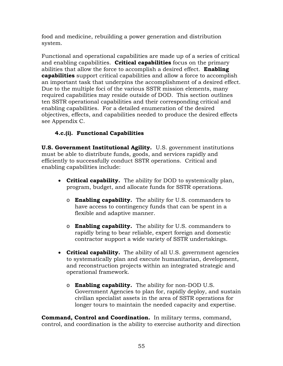food and medicine, rebuilding a power generation and distribution system.

Functional and operational capabilities are made up of a series of critical and enabling capabilities. **Critical capabilities** focus on the primary abilities that allow the force to accomplish a desired effect. **Enabling capabilities** support critical capabilities and allow a force to accomplish an important task that underpins the accomplishment of a desired effect. Due to the multiple foci of the various SSTR mission elements, many required capabilities may reside outside of DOD. This section outlines ten SSTR operational capabilities and their corresponding critical and enabling capabilities. For a detailed enumeration of the desired objectives, effects, and capabilities needed to produce the desired effects see Appendix C.

# **4.c.(i). Functional Capabilities**

**U.S. Government Institutional Agility.** U.S. government institutions must be able to distribute funds, goods, and services rapidly and efficiently to successfully conduct SSTR operations. Critical and enabling capabilities include:

- **Critical capability.** The ability for DOD to systemically plan, program, budget, and allocate funds for SSTR operations.
	- o **Enabling capability.** The ability for U.S. commanders to have access to contingency funds that can be spent in a flexible and adaptive manner.
	- o **Enabling capability.** The ability for U.S. commanders to rapidly bring to bear reliable, expert foreign and domestic contractor support a wide variety of SSTR undertakings.
- **Critical capability.** The ability of all U.S. government agencies to systematically plan and execute humanitarian, development, and reconstruction projects within an integrated strategic and operational framework.
	- o **Enabling capability.** The ability for non-DOD U.S. Government Agencies to plan for, rapidly deploy, and sustain civilian specialist assets in the area of SSTR operations for longer tours to maintain the needed capacity and expertise.

**Command, Control and Coordination.** In military terms, command, control, and coordination is the ability to exercise authority and direction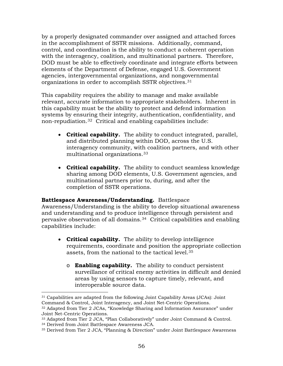by a properly designated commander over assigned and attached forces in the accomplishment of SSTR missions. Additionally, command, control, and coordination is the ability to conduct a coherent operation with the interagency, coalition, and multinational partners. Therefore, DOD must be able to effectively coordinate and integrate efforts between elements of the Department of Defense, engaged U.S. Government agencies, intergovernmental organizations, and nongovernmental organizations in order to accomplish SSTR objectives.[31](#page-68-0)

This capability requires the ability to manage and make available relevant, accurate information to appropriate stakeholders. Inherent in this capability must be the ability to protect and defend information systems by ensuring their integrity, authentication, confidentiality, and non-repudiation.[32](#page-68-1) Critical and enabling capabilities include:

- **Critical capability.** The ability to conduct integrated, parallel, and distributed planning within DOD, across the U.S. interagency community, with coalition partners, and with other multinational organizations.[33](#page-68-2)
- **Critical capability.** The ability to conduct seamless knowledge sharing among DOD elements, U.S. Government agencies, and multinational partners prior to, during, and after the completion of SSTR operations.

#### **Battlespace Awareness/Understanding.** Battlespace

Awareness/Understanding is the ability to develop situational awareness and understanding and to produce intelligence through persistent and pervasive observation of all domains.[34](#page-68-3) Critical capabilities and enabling capabilities include:

- **Critical capability.** The ability to develop intelligence requirements, coordinate and position the appropriate collection assets, from the national to the tactical level.[35](#page-68-4)
	- o **Enabling capability.** The ability to conduct persistent surveillance of critical enemy activities in difficult and denied areas by using sensors to capture timely, relevant, and interoperable source data.

<span id="page-68-0"></span> $\overline{a}$ <sup>31</sup> Capabilities are adapted from the following Joint Capability Areas (JCAs): Joint Command & Control, Joint Interagency, and Joint Net-Centric Operations.

<span id="page-68-1"></span><sup>32</sup> Adapted from Tier 2 JCAs, "Knowledge Sharing and Information Assurance" under Joint Net-Centric Operations.

<span id="page-68-2"></span><sup>33</sup> Adapted from Tier 2 JCA, "Plan Collaboratively" under Joint Command & Control.

<span id="page-68-3"></span><sup>34</sup> Derived from Joint Battlespace Awareness JCA.

<span id="page-68-4"></span><sup>35</sup> Derived from Tier 2 JCA, "Planning & Direction" under Joint Battlespace Awareness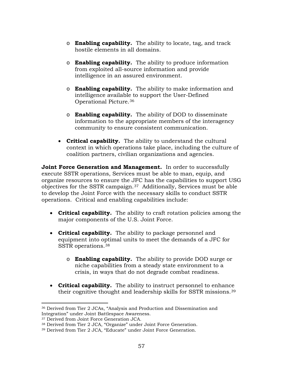- o **Enabling capability.** The ability to locate, tag, and track hostile elements in all domains.
- o **Enabling capability.** The ability to produce information from exploited all-source information and provide intelligence in an assured environment.
- o **Enabling capability.** The ability to make information and intelligence available to support the User-Defined Operational Picture.[36](#page-69-0)
- o **Enabling capability.** The ability of DOD to disseminate information to the appropriate members of the interagency community to ensure consistent communication.
- **Critical capability.** The ability to understand the cultural context in which operations take place, including the culture of coalition partners, civilian organizations and agencies.

**Joint Force Generation and Management.** In order to successfully execute SSTR operations, Services must be able to man, equip, and organize resources to ensure the JFC has the capabilities to support USG objectives for the SSTR campaign.[37](#page-69-1) Additionally, Services must be able to develop the Joint Force with the necessary skills to conduct SSTR operations. Critical and enabling capabilities include:

- **Critical capability.** The ability to craft rotation policies among the major components of the U.S. Joint Force.
- **Critical capability.** The ability to package personnel and equipment into optimal units to meet the demands of a JFC for SSTR operations.[38](#page-69-2) 
	- o **Enabling capability.** The ability to provide DOD surge or niche capabilities from a steady state environment to a crisis, in ways that do not degrade combat readiness.
- **Critical capability.** The ability to instruct personnel to enhance their cognitive thought and leadership skills for SSTR missions.[39](#page-69-3)

<span id="page-69-0"></span> $\overline{a}$ <sup>36</sup> Derived from Tier 2 JCAs, "Analysis and Production and Dissemination and Integration" under Joint Battlespace Awareness.

<sup>37</sup> Derived from Joint Force Generation JCA.

<span id="page-69-2"></span><span id="page-69-1"></span><sup>38</sup> Derived from Tier 2 JCA, "Organize" under Joint Force Generation.

<span id="page-69-3"></span><sup>39</sup> Derived from Tier 2 JCA, "Educate" under Joint Force Generation.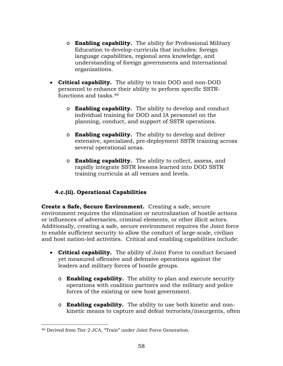- o **Enabling capability.** The ability for Professional Military Education to develop curricula that includes: foreign language capabilities, regional area knowledge, and understanding of foreign governments and international organizations.
- **Critical capability.** The ability to train DOD and non-DOD personnel to enhance their ability to perform specific SSTRfunctions and tasks.[40](#page-70-0)
	- o **Enabling capability.** The ability to develop and conduct individual training for DOD and IA personnel on the planning, conduct, and support of SSTR operations.
	- o **Enabling capability.** The ability to develop and deliver extensive, specialized, pre-deployment SSTR training across several operational areas.
	- o **Enabling capability.** The ability to collect, assess, and rapidly integrate SSTR lessons learned into DOD SSTR training curricula at all venues and levels.

# **4.c.(ii). Operational Capabilities**

**Create a Safe, Secure Environment.** Creating a safe, secure environment requires the elimination or neutralization of hostile actions or influences of adversaries, criminal elements, or other illicit actors. Additionally, creating a safe, secure environment requires the Joint force to enable sufficient security to allow the conduct of large-scale, civilian and host nation-led activities. Critical and enabling capabilities include:

- **Critical capability.** The ability of Joint Force to conduct focused yet measured offensive and defensive operations against the leaders and military forces of hostile groups.
	- o **Enabling capability.** The ability to plan and execute security operations with coalition partners and the military and police forces of the existing or new host government.
	- o **Enabling capability.** The ability to use both kinetic and nonkinetic means to capture and defeat terrorists/insurgents, often

<span id="page-70-0"></span> $\overline{a}$ <sup>40</sup> Derived from Tier 2 JCA, "Train" under Joint Force Generation.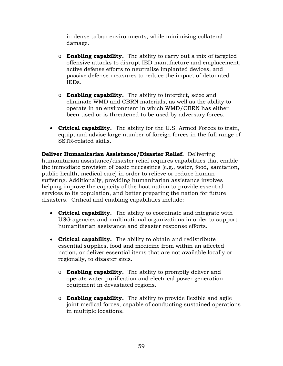in dense urban environments, while minimizing collateral damage.

- o **Enabling capability.** The ability to carry out a mix of targeted offensive attacks to disrupt IED manufacture and emplacement, active defense efforts to neutralize implanted devices, and passive defense measures to reduce the impact of detonated IEDs.
- o **Enabling capability.** The ability to interdict, seize and eliminate WMD and CBRN materials, as well as the ability to operate in an environment in which WMD/CBRN has either been used or is threatened to be used by adversary forces.
- **Critical capability.** The ability for the U.S. Armed Forces to train, equip, and advise large number of foreign forces in the full range of SSTR-related skills.

**Deliver Humanitarian Assistance/Disaster Relief.** Delivering humanitarian assistance/disaster relief requires capabilities that enable the immediate provision of basic necessities (e.g., water, food, sanitation, public health, medical care) in order to relieve or reduce human suffering. Additionally, providing humanitarian assistance involves helping improve the capacity of the host nation to provide essential services to its population, and better preparing the nation for future disasters. Critical and enabling capabilities include:

- **Critical capability.** The ability to coordinate and integrate with USG agencies and multinational organizations in order to support humanitarian assistance and disaster response efforts.
- **Critical capability.** The ability to obtain and redistribute essential supplies, food and medicine from within an affected nation, or deliver essential items that are not available locally or regionally, to disaster sites.
	- o **Enabling capability.** The ability to promptly deliver and operate water purification and electrical power generation equipment in devastated regions.
	- o **Enabling capability.** The ability to provide flexible and agile joint medical forces, capable of conducting sustained operations in multiple locations.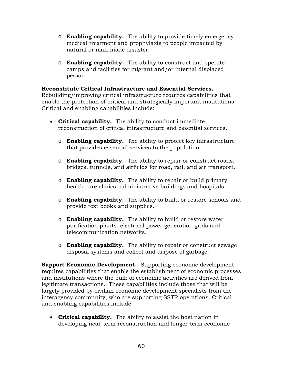- o **Enabling capability.** The ability to provide timely emergency medical treatment and prophylaxis to people impacted by natural or man-made disaster;
- o **Enabling capability.** The ability to construct and operate camps and facilities for migrant and/or internal displaced person

### **Reconstitute Critical Infrastructure and Essential Services.**

Rebuilding/improving critical infrastructure requires capabilities that enable the protection of critical and strategically important institutions. Critical and enabling capabilities include:

- **Critical capability.** The ability to conduct immediate reconstruction of critical infrastructure and essential services.
	- o **Enabling capability.** The ability to protect key infrastructure that provides essential services to the population.
	- o **Enabling capability.** The ability to repair or construct roads, bridges, tunnels, and airfields for road, rail, and air transport.
	- o **Enabling capability.** The ability to repair or build primary health care clinics, administrative buildings and hospitals.
	- o **Enabling capability.** The ability to build or restore schools and provide text books and supplies.
	- o **Enabling capability.** The ability to build or restore water purification plants, electrical power generation grids and telecommunication networks.
	- o **Enabling capability.** The ability to repair or construct sewage disposal systems and collect and dispose of garbage.

**Support Economic Development.** Supporting economic development requires capabilities that enable the establishment of economic processes and institutions where the bulk of economic activities are derived from legitimate transactions. These capabilities include those that will be largely provided by civilian economic development specialists from the interagency community, who are supporting SSTR operations. Critical and enabling capabilities include:

• **Critical capability.** The ability to assist the host nation in developing near-term reconstruction and longer-term economic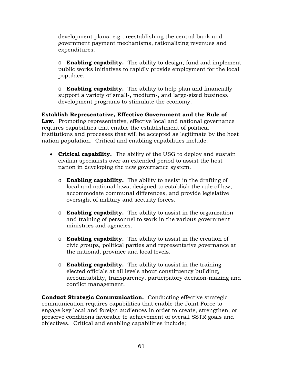development plans, e.g., reestablishing the central bank and government payment mechanisms, rationalizing revenues and expenditures.

o **Enabling capability.** The ability to design, fund and implement public works initiatives to rapidly provide employment for the local populace.

o **Enabling capability.** The ability to help plan and financially support a variety of small-, medium-, and large-sized business development programs to stimulate the economy.

**Establish Representative, Effective Government and the Rule of Law.** Promoting representative, effective local and national governance requires capabilities that enable the establishment of political institutions and processes that will be accepted as legitimate by the host nation population. Critical and enabling capabilities include:

- **Critical capability.** The ability of the USG to deploy and sustain civilian specialists over an extended period to assist the host nation in developing the new governance system.
	- o **Enabling capability.** The ability to assist in the drafting of local and national laws, designed to establish the rule of law, accommodate communal differences, and provide legislative oversight of military and security forces.
	- o **Enabling capability.** The ability to assist in the organization and training of personnel to work in the various government ministries and agencies.
	- o **Enabling capability.** The ability to assist in the creation of civic groups, political parties and representative governance at the national, province and local levels.
	- o **Enabling capability.** The ability to assist in the training elected officials at all levels about constituency building, accountability, transparency, participatory decision-making and conflict management.

**Conduct Strategic Communication.** Conducting effective strategic communication requires capabilities that enable the Joint Force to engage key local and foreign audiences in order to create, strengthen, or preserve conditions favorable to achievement of overall SSTR goals and objectives. Critical and enabling capabilities include;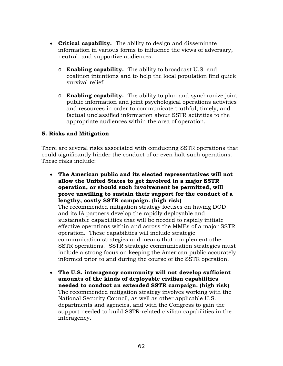- **Critical capability.** The ability to design and disseminate information in various forms to influence the views of adversary, neutral, and supportive audiences.
	- o **Enabling capability.** The ability to broadcast U.S. and coalition intentions and to help the local population find quick survival relief.
	- o **Enabling capability.** The ability to plan and synchronize joint public information and joint psychological operations activities and resources in order to communicate truthful, timely, and factual unclassified information about SSTR activities to the appropriate audiences within the area of operation.

# **5. Risks and Mitigation**

There are several risks associated with conducting SSTR operations that could significantly hinder the conduct of or even halt such operations. These risks include:

- **The American public and its elected representatives will not allow the United States to get involved in a major SSTR operation, or should such involvement be permitted, will prove unwilling to sustain their support for the conduct of a lengthy, costly SSTR campaign. (high risk)** The recommended mitigation strategy focuses on having DOD and its IA partners develop the rapidly deployable and sustainable capabilities that will be needed to rapidly initiate effective operations within and across the MMEs of a major SSTR operation. These capabilities will include strategic communication strategies and means that complement other SSTR operations. SSTR strategic communication strategies must include a strong focus on keeping the American public accurately informed prior to and during the course of the SSTR operation.
- **The U.S. interagency community will not develop sufficient amounts of the kinds of deployable civilian capabilities needed to conduct an extended SSTR campaign. (high risk)** The recommended mitigation strategy involves working with the National Security Council, as well as other applicable U.S. departments and agencies, and with the Congress to gain the support needed to build SSTR-related civilian capabilities in the interagency.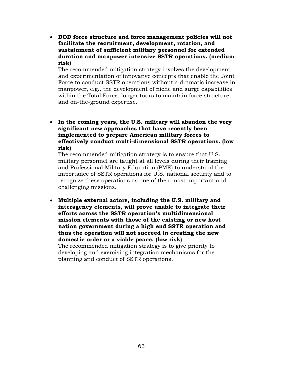• **DOD force structure and force management policies will not facilitate the recruitment, development, rotation, and sustainment of sufficient military personnel for extended duration and manpower intensive SSTR operations. (medium risk)**

The recommended mitigation strategy involves the development and experimentation of innovative concepts that enable the Joint Force to conduct SSTR operations without a dramatic increase in manpower, e.g., the development of niche and surge capabilities within the Total Force, longer tours to maintain force structure, and on-the-ground expertise.

• **In the coming years, the U.S. military will abandon the very significant new approaches that have recently been implemented to prepare American military forces to effectively conduct multi-dimensional SSTR operations. (low risk)**

The recommended mitigation strategy is to ensure that U.S. military personnel are taught at all levels during their training and Professional Military Education (PME) to understand the importance of SSTR operations for U.S. national security and to recognize these operations as one of their most important and challenging missions.

• **Multiple external actors, including the U.S. military and interagency elements, will prove unable to integrate their efforts across the SSTR operation's multidimensional mission elements with those of the existing or new host nation government during a high end SSTR operation and thus the operation will not succeed in creating the new domestic order or a viable peace. (low risk)** The recommended mitigation strategy is to give priority to developing and exercising integration mechanisms for the

planning and conduct of SSTR operations.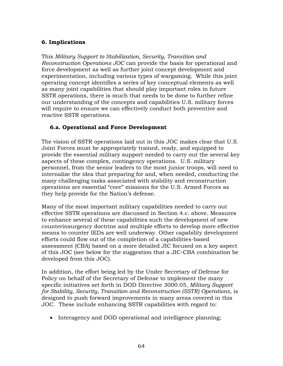# **6. Implications**

This *Military Support to Stabilization, Security, Transition and Reconstruction Operations JOC* can provide the basis for operational and force development as well as further joint concept development and experimentation, including various types of wargaming. While this joint operating concept identifies a series of key conceptual elements as well as many joint capabilities that should play important roles in future SSTR operations, there is much that needs to be done to further refine our understanding of the concepts and capabilities U.S. military forces will require to ensure we can effectively conduct both preventive and reactive SSTR operations.

# **6.a. Operational and Force Development**

The vision of SSTR operations laid out in this JOC makes clear that U.S. Joint Forces must be appropriately trained, ready, and equipped to provide the essential military support needed to carry out the several key aspects of these complex, contingency operations. U.S. military personnel, from the senior leaders to the most junior troops, will need to internalize the idea that preparing for and, when needed, conducting the many challenging tasks associated with stability and reconstruction operations are essential "core" missions for the U.S. Armed Forces as they help provide for the Nation's defense.

Many of the most important military capabilities needed to carry out effective SSTR operations are discussed in Section 4.c. above. Measures to enhance several of these capabilities such the development of new counterinsurgency doctrine and multiple efforts to develop more effective means to counter IEDs are well underway. Other capability development efforts could flow out of the completion of a capabilities-based assessment (CBA) based on a more detailed JIC focused on a key aspect of this JOC (see below for the suggestion that a JIC-CBA combination be developed from this JOC).

In addition, the effort being led by the Under Secretary of Defense for Policy on behalf of the Secretary of Defense to implement the many specific initiatives set forth in DOD Directive 3000.05, *Military Support for Stability, Security, Transition and Reconstruction (SSTR) Operations*, is designed to push forward improvements in many areas covered in this JOC. These include enhancing SSTR capabilities with regard to:

• Interagency and DOD operational and intelligence planning;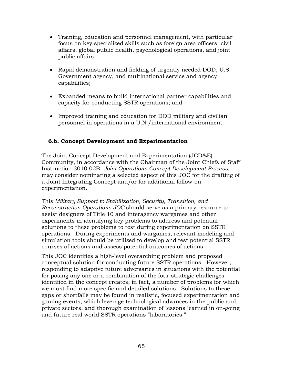- Training, education and personnel management, with particular focus on key specialized skills such as foreign area officers, civil affairs, global public health, psychological operations, and joint public affairs;
- Rapid demonstration and fielding of urgently needed DOD, U.S. Government agency, and multinational service and agency capabilities;
- Expanded means to build international partner capabilities and capacity for conducting SSTR operations; and
- Improved training and education for DOD military and civilian personnel in operations in a U.N./international environment.

# **6.b. Concept Development and Experimentation**

The Joint Concept Development and Experimentation (JCD&E) Community, in accordance with the Chairman of the Joint Chiefs of Staff Instruction 3010.02B, *Joint Operations Concept Development Process,*  may consider nominating a selected aspect of this JOC for the drafting of a Joint Integrating Concept and/or for additional follow-on experimentation.

This *Military Support to Stabilization, Security, Transition, and Reconstruction Operations JOC* should serve as a primary resource to assist designers of Title 10 and interagency wargames and other experiments in identifying key problems to address and potential solutions to these problems to test during experimentation on SSTR operations. During experiments and wargames, relevant modeling and simulation tools should be utilized to develop and test potential SSTR courses of actions and assess potential outcomes of actions.

This JOC identifies a high-level overarching problem and proposed conceptual solution for conducting future SSTR operations. However, responding to adaptive future adversaries in situations with the potential for posing any one or a combination of the four strategic challenges identified in the concept creates, in fact, a number of problems for which we must find more specific and detailed solutions. Solutions to these gaps or shortfalls may be found in realistic, focused experimentation and gaming events, which leverage technological advances in the public and private sectors, and thorough examination of lessons learned in on-going and future real world SSTR operations "laboratories."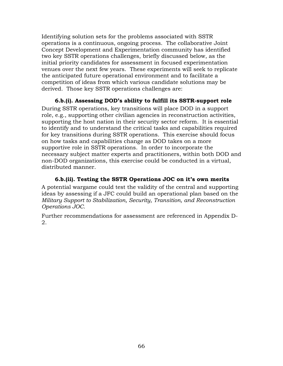Identifying solution sets for the problems associated with SSTR operations is a continuous, ongoing process. The collaborative Joint Concept Development and Experimentation community has identified two key SSTR operations challenges, briefly discussed below, as the initial priority candidates for assessment in focused experimentation venues over the next few years. These experiments will seek to replicate the anticipated future operational environment and to facilitate a competition of ideas from which various candidate solutions may be derived. Those key SSTR operations challenges are:

#### **6.b.(i). Assessing DOD's ability to fulfill its SSTR-support role**

During SSTR operations, key transitions will place DOD in a support role, e.g., supporting other civilian agencies in reconstruction activities, supporting the host nation in their security sector reform. It is essential to identify and to understand the critical tasks and capabilities required for key transitions during SSTR operations. This exercise should focus on how tasks and capabilities change as DOD takes on a more supportive role in SSTR operations. In order to incorporate the necessary subject matter experts and practitioners, within both DOD and non-DOD organizations, this exercise could be conducted in a virtual, distributed manner.

**6.b.(ii). Testing the SSTR Operations JOC on it's own merits**  A potential wargame could test the validity of the central and supporting ideas by assessing if a JFC could build an operational plan based on the *Military Support to Stabilization, Security, Transition, and Reconstruction Operations JOC.*

Further recommendations for assessment are referenced in Appendix D-2.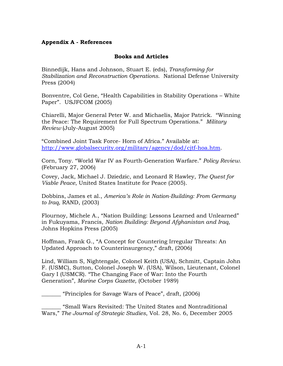#### **Appendix A - References**

#### **Books and Articles**

Binnedijk, Hans and Johnson, Stuart E. (eds), *Transforming for Stabilization and Reconstruction Operations*. National Defense University Press (2004)

Bonventre, Col Gene, "Health Capabilities in Stability Operations – White Paper". USJFCOM (2005)

Chiarelli, Major General Peter W. and Michaelis, Major Patrick. "Winning the Peace: The Requirement for Full Spectrum Operations." *Military Review* (July-August 2005)

"Combined Joint Task Force- Horn of Africa." Available at: [http://www.globalsecurity.org/military/agency/dod/cjtf-hoa.htm.](http://www.globalsecurity.org/military/agency/dod/cjtf-hoa.htm)

Corn, Tony. "World War IV as Fourth-Generation Warfare." *Policy Review.*  (February 27, 2006)

Covey, Jack, Michael J. Dziedzic, and Leonard R Hawley, *The Quest for Viable Peace*, United States Institute for Peace (2005).

Dobbins, James et al., *America's Role in Nation-Building: From Germany to Iraq*, RAND, (2003)

Flournoy, Michele A., "Nation Building: Lessons Learned and Unlearned" in Fukuyama, Francis, *Nation Building: Beyond Afghanistan and Iraq*, Johns Hopkins Press (2005)

Hoffman, Frank G., "A Concept for Countering Irregular Threats: An Updated Approach to Counterinsurgency," draft, (2006)

Lind, William S, Nightengale, Colonel Keith (USA), Schmitt, Captain John F. (USMC), Sutton, Colonel Joseph W. (USA), Wilson, Lieutenant, Colonel Gary I (USMCR). "The Changing Face of War: Into the Fourth Generation", *Marine Corps Gazette,* (October 1989)

\_\_\_\_\_\_\_ "Principles for Savage Wars of Peace", draft, (2006)

\_\_\_\_\_\_\_ "Small Wars Revisited: The United States and Nontraditional Wars," *The Journal of Strategic Studies*, Vol. 28, No. 6, December 2005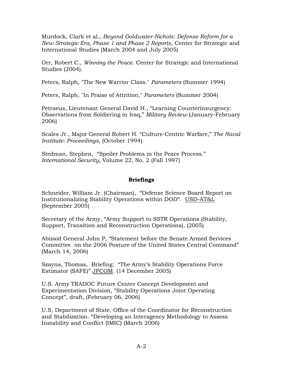Murdock, Clark et al., *Beyond Goldwater-Nichols: Defense Reform for a New Strategic Era, Phase 1 and Phase 2 Reports*, Center for Strategic and International Studies (March 2004 and July 2005)

Orr, Robert C., *Winning the Peace*. Center for Strategic and International Studies (2004).

Peters, Ralph, ["The New Warrior Class.](http://www.carlisle.army.mil/usawc/parameters/1994/peters.htm)" *Parameters* (Summer 1994)

Peters, Ralph, "In Praise of Attrition," *Parameters* (Summer 2004)

Petraeus, Lieutenant General David H., "Learning Counterinsurgency: Observations from Soldiering in Iraq," *Military Review* (January-February 2006)

Scales Jr., Major General Robert H. "Culture-Centric Warfare," *The Naval Institute: Proceedings*, (October 1994)

Stedman, Stephen, "Spoiler Problems in the Peace Process." *International Security*, Volume 22, No. 2 (Fall 1997)

### **Briefings**

Schneider, William Jr. (Chairman), "Defense Science Board Report on Institutionalizing Stability Operations within DOD". USD-AT&L (September 2005)

Secretary of the Army, "Army Support to SSTR Operations (Stability, Support, Transition and Reconstruction Operations), (2005)

Abizaid General John P, *"*Statement before the Senate Armed Services Committee on the 2006 Posture of the United States Central Command" (March 14, 2006)

Szayna, Thomas, Briefing: "The Army's Stability Operations Force Estimator (SAFE)" JFCOM. (14 December 2005)

U.S. Army TRADOC Future Center Concept Development and Experimentation Division, "Stability Operations Joint Operating Concept", draft, (February 06, 2006)

U.S, Department of State, Office of the Coordinator for Reconstruction and Stabilization. "Developing an Interagency Methodology to Assess Instability and Conflict (IMIC) (March 2006)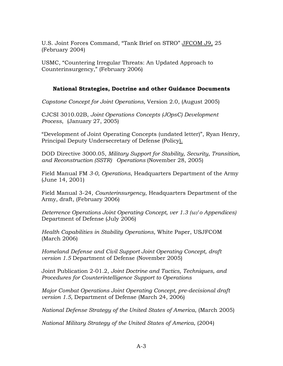U.S. Joint Forces Command, "Tank Brief on STRO" JFCOM J9, 25 (February 2004)

USMC, "Countering Irregular Threats: An Updated Approach to Counterinsurgency," (February 2006)

## **National Strategies, Doctrine and other Guidance Documents**

*Capstone Concept for Joint Operations,* Version 2.0, (August 2005)

CJCSI 3010.02B, *Joint Operations Concepts (JOpsC) Development Process*, (January 27, 2005)

"Development of Joint Operating Concepts (undated letter)", Ryan Henry, Principal Deputy Undersecretary of Defense (Policy).

DOD Directive 3000.05, *Military Support for Stability, Security, Transition, and Reconstruction (SSTR) Operations* (November 28, 2005)

Field Manual FM *3-0*, *Operations*, Headquarters Department of the Army (June 14, 2001)

Field Manual 3-24, *Counterinsurgency*, Headquarters Department of the Army, draft, (February 2006)

*Deterrence Operations Joint Operating Concept, ver 1.3 (w/o Appendices)*  Department of Defense (July 2006)

*Health Capabilities in Stability Operations,* White Paper, USJFCOM (March 2006)

*Homeland Defense and Civil Support Joint Operating Concept, draft version 1.5* Department of Defense (November 2005)

Joint Publication 2-01.2, *Joint Doctrine and Tactics, Techniques, and Procedures for Counterintelligence Support to Operations*

*Major Combat Operations Joint Operating Concept, pre-decisional draft version 1.5,* Department of Defense (March 24, 2006)

*National Defense Strategy of the United States of America*, (March 2005)

*National Military Strategy of the United States of America*, (2004)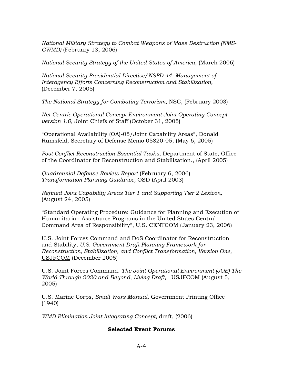*National Military Strategy to Combat Weapons of Mass Destruction (NMS-CWMD)* (February 13, 2006)

*National Security Strategy of the United States of America*, (March 2006)

*National Security Presidential Directive/NSPD-44- Management of Interagency Efforts Concerning Reconstruction and Stabilization,* (December 7, 2005)

*The National Strategy for Combating Terrorism*, NSC, (February 2003)

*Net-Centric Operational Concept Environment Joint Operating Concept version 1.0*, Joint Chiefs of Staff (October 31, 2005)

"Operational Availability (OA)-05/Joint Capability Areas", Donald Rumsfeld, Secretary of Defense Memo 05820-05, (May 6, 2005)

*Post Conflict Reconstruction Essential Tasks*, Department of State, Office of the Coordinator for Reconstruction and Stabilization., (April 2005)

*Quadrennial Defense Review Report* (February 6, 2006) *Transformation Planning Guidance,* OSD (April 2003)

*Refined Joint Capability Areas Tier 1 and Supporting Tier 2 Lexicon,*  (August 24, 2005)

*"*Standard Operating Procedure: Guidance for Planning and Execution of Humanitarian Assistance Programs in the United States Central Command Area of Responsibility", U.S. CENTCOM (January 23, 2006)

U.S. Joint Forces Command and DoS Coordinator for Reconstruction and Stability, *U.S. Government Draft Planning Framework for Reconstruction, Stabilization, and Conflict Transformation, Version One,*  USJFCOM (December 2005)

U.S. Joint Forces Command. *The Joint Operational Environment (JOE) The World Through 2020 and Beyond, Living Draft,* USJFCOM (August 5, 2005)

U.S. Marine Corps, *Small Wars Manual*, Government Printing Office (1940)

*WMD Elimination Joint Integrating Concept,* draft, (2006)

### **Selected Event Forums**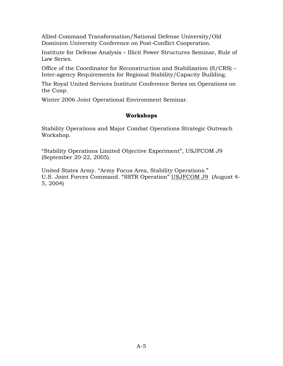Allied Command Transformation/National Defense University/Old Dominion University Conference on Post-Conflict Cooperation.

Institute for Defense Analysis – Illicit Power Structures Seminar, Rule of Law Series.

Office of the Coordinator for Reconstruction and Stabilization (S/CRS) – Inter-agency Requirements for Regional Stability/Capacity Building.

The Royal United Services Institute Conference Series on Operations on the Cusp.

Winter 2006 Joint Operational Environment Seminar.

### **Workshops**

Stability Operations and Major Combat Operations Strategic Outreach Workshop.

"Stability Operations Limited Objective Experiment", USJFCOM J9 (September 20-22, 2005).

United States Army. "Army Focus Area, Stability Operations." U.S. Joint Forces Command. "SSTR Operation" USJFCOM J9 (August 4- 5, 2004)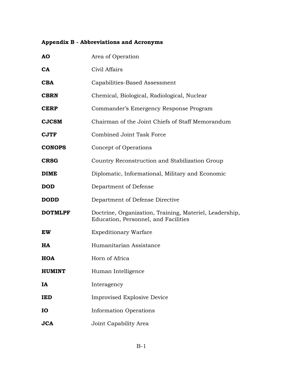# **Appendix B - Abbreviations and Acronyms**

| AO             | Area of Operation                                                                               |  |  |
|----------------|-------------------------------------------------------------------------------------------------|--|--|
| <b>CA</b>      | Civil Affairs                                                                                   |  |  |
| <b>CBA</b>     | Capabilities-Based Assessment                                                                   |  |  |
| <b>CBRN</b>    | Chemical, Biological, Radiological, Nuclear                                                     |  |  |
| <b>CERP</b>    | Commander's Emergency Response Program                                                          |  |  |
| <b>CJCSM</b>   | Chairman of the Joint Chiefs of Staff Memorandum                                                |  |  |
| <b>CJTF</b>    | <b>Combined Joint Task Force</b>                                                                |  |  |
| <b>CONOPS</b>  | Concept of Operations                                                                           |  |  |
| <b>CRSG</b>    | Country Reconstruction and Stabilization Group                                                  |  |  |
| <b>DIME</b>    | Diplomatic, Informational, Military and Economic                                                |  |  |
| <b>DOD</b>     | Department of Defense                                                                           |  |  |
| <b>DODD</b>    | Department of Defense Directive                                                                 |  |  |
| <b>DOTMLPF</b> | Doctrine, Organization, Training, Materiel, Leadership,<br>Education, Personnel, and Facilities |  |  |
| <b>EW</b>      | <b>Expeditionary Warfare</b>                                                                    |  |  |
| <b>HA</b>      | Humanitarian Assistance                                                                         |  |  |
| <b>HOA</b>     | Horn of Africa                                                                                  |  |  |
| <b>HUMINT</b>  | Human Intelligence                                                                              |  |  |
| IA             | Interagency                                                                                     |  |  |
| <b>IED</b>     | Improvised Explosive Device                                                                     |  |  |
| IO             | <b>Information Operations</b>                                                                   |  |  |
| <b>JCA</b>     | Joint Capability Area                                                                           |  |  |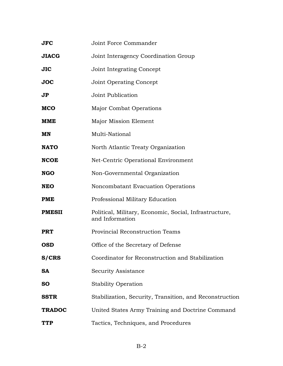| <b>JFC</b>              | Joint Force Commander                                                     |  |  |
|-------------------------|---------------------------------------------------------------------------|--|--|
| <b>JIACG</b>            | Joint Interagency Coordination Group                                      |  |  |
| <b>JIC</b>              | Joint Integrating Concept                                                 |  |  |
| <b>JOC</b>              | <b>Joint Operating Concept</b>                                            |  |  |
| $\mathbf{J} \mathbf{P}$ | Joint Publication                                                         |  |  |
| <b>MCO</b>              | <b>Major Combat Operations</b>                                            |  |  |
| <b>MME</b>              | Major Mission Element                                                     |  |  |
| MN                      | Multi-National                                                            |  |  |
| <b>NATO</b>             | North Atlantic Treaty Organization                                        |  |  |
| <b>NCOE</b>             | Net-Centric Operational Environment                                       |  |  |
| <b>NGO</b>              | Non-Governmental Organization                                             |  |  |
| <b>NEO</b>              | Noncombatant Evacuation Operations                                        |  |  |
| <b>PME</b>              | Professional Military Education                                           |  |  |
| <b>PMESII</b>           | Political, Military, Economic, Social, Infrastructure,<br>and Information |  |  |
| <b>PRT</b>              | Provincial Reconstruction Teams                                           |  |  |
| <b>OSD</b>              | Office of the Secretary of Defense                                        |  |  |
| <b>S/CRS</b>            | Coordinator for Reconstruction and Stabilization                          |  |  |
| <b>SA</b>               | Security Assistance                                                       |  |  |
| <b>SO</b>               | <b>Stability Operation</b>                                                |  |  |
| <b>SSTR</b>             | Stabilization, Security, Transition, and Reconstruction                   |  |  |
| <b>TRADOC</b>           | United States Army Training and Doctrine Command                          |  |  |
| <b>TTP</b>              | Tactics, Techniques, and Procedures                                       |  |  |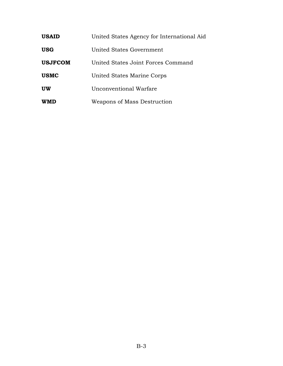| <b>USAID</b>   | United States Agency for International Aid |
|----------------|--------------------------------------------|
| <b>USG</b>     | United States Government                   |
| <b>USJFCOM</b> | United States Joint Forces Command         |
| <b>USMC</b>    | United States Marine Corps                 |
| <b>UW</b>      | Unconventional Warfare                     |
| <b>WMD</b>     | Weapons of Mass Destruction                |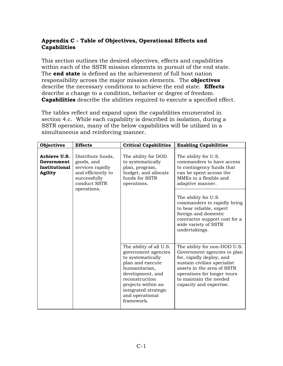# **Appendix C - Table of Objectives, Operational Effects and Capabilities**

This section outlines the desired objectives, effects and capabilities within each of the SSTR mission elements in pursuit of the end state. The **end state** is defined as the achievement of full host nation responsibility across the major mission elements. The **objectives**  describe the necessary conditions to achieve the end state. **Effects** describe a change to a condition, behavior or degree of freedom. **Capabilities** describe the abilities required to execute a specified effect.

The tables reflect and expand upon the capabilities enumerated in section 4.c. While each capability is described in isolation, during a SSTR operation, many of the below capabilities will be utilized in a simultaneous and reinforcing manner.

| <b>Objectives</b>                                             | <b>Effects</b>                                                                                                           | <b>Critical Capabilities</b>                                                                                                                                                                                                  | <b>Enabling Capabilities</b>                                                                                                                                                                                                             |
|---------------------------------------------------------------|--------------------------------------------------------------------------------------------------------------------------|-------------------------------------------------------------------------------------------------------------------------------------------------------------------------------------------------------------------------------|------------------------------------------------------------------------------------------------------------------------------------------------------------------------------------------------------------------------------------------|
| Achieve U.S.<br>Government<br>Institutional<br><b>Agility</b> | Distribute funds,<br>goods, and<br>services rapidly<br>and efficiently to<br>successfully<br>conduct SSTR<br>operations. | The ability for DOD<br>to systematically<br>plan, program,<br>budget, and allocate<br>funds for SSTR<br>operations.                                                                                                           | The ability for U.S.<br>commanders to have access<br>to contingency funds that<br>can be spent across the<br>MMEs in a flexible and<br>adaptive manner.                                                                                  |
|                                                               |                                                                                                                          |                                                                                                                                                                                                                               | The ability for U.S.<br>commanders to rapidly bring<br>to bear reliable, expert<br>foreign and domestic<br>contractor support cost for a<br>wide variety of SSTR<br>undertakings.                                                        |
|                                                               |                                                                                                                          | The ability of all U.S.<br>government agencies<br>to systematically<br>plan and execute<br>humanitarian,<br>development, and<br>reconstruction<br>projects within an<br>integrated strategic<br>and operational<br>framework. | The ability for non-DOD U.S.<br>Government agencies to plan<br>for, rapidly deploy, and<br>sustain civilian specialist<br>assets in the area of SSTR<br>operations for longer tours<br>to maintain the needed<br>capacity and expertise. |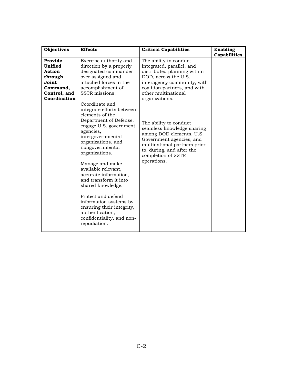| <b>Objectives</b>                                                                                   | <b>Effects</b>                                                                                                                                                                                                                                                                                                                                                                                                                                                                                                                                                                                                                                   | <b>Critical Capabilities</b>                                                                                                                                                                                                                                                                                                                                                                                                         | Enabling<br>Capabilities |
|-----------------------------------------------------------------------------------------------------|--------------------------------------------------------------------------------------------------------------------------------------------------------------------------------------------------------------------------------------------------------------------------------------------------------------------------------------------------------------------------------------------------------------------------------------------------------------------------------------------------------------------------------------------------------------------------------------------------------------------------------------------------|--------------------------------------------------------------------------------------------------------------------------------------------------------------------------------------------------------------------------------------------------------------------------------------------------------------------------------------------------------------------------------------------------------------------------------------|--------------------------|
| Provide<br>Unified<br><b>Action</b><br>through<br>Joint<br>Command,<br>Control, and<br>Coordination | Exercise authority and<br>direction by a properly<br>designated commander<br>over assigned and<br>attached forces in the<br>accomplishment of<br>SSTR missions.<br>Coordinate and<br>integrate efforts between<br>elements of the<br>Department of Defense,<br>engage U.S. government<br>agencies,<br>intergovernmental<br>organizations, and<br>nongovernmental<br>organizations.<br>Manage and make<br>available relevant,<br>accurate information,<br>and transform it into<br>shared knowledge.<br>Protect and defend<br>information systems by<br>ensuring their integrity,<br>authentication,<br>confidentiality, and non-<br>repudiation. | The ability to conduct<br>integrated, parallel, and<br>distributed planning within<br>DOD, across the U.S.<br>interagency community, with<br>coalition partners, and with<br>other multinational<br>organizations.<br>The ability to conduct<br>seamless knowledge sharing<br>among DOD elements, U.S.<br>Government agencies, and<br>multinational partners prior<br>to, during, and after the<br>completion of SSTR<br>operations. |                          |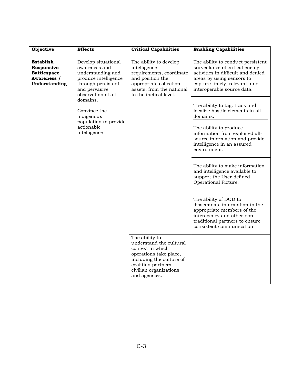| Objective                                                                            | <b>Effects</b>                                                                                                                                 | <b>Critical Capabilities</b>                                                                                                                                                          | <b>Enabling Capabilities</b>                                                                                                                                                                                                                                                                                                                                                                                                                                                                                                            |
|--------------------------------------------------------------------------------------|------------------------------------------------------------------------------------------------------------------------------------------------|---------------------------------------------------------------------------------------------------------------------------------------------------------------------------------------|-----------------------------------------------------------------------------------------------------------------------------------------------------------------------------------------------------------------------------------------------------------------------------------------------------------------------------------------------------------------------------------------------------------------------------------------------------------------------------------------------------------------------------------------|
| <b>Establish</b><br>Responsive<br><b>Battlespace</b><br>Awareness /<br>Understanding | Develop situational<br>awareness and<br>understanding and<br>produce intelligence<br>through persistent<br>and pervasive<br>observation of all | The ability to develop<br>intelligence<br>requirements, coordinate<br>and position the<br>appropriate collection<br>assets, from the national<br>to the tactical level.               | The ability to conduct persistent<br>surveillance of critical enemy<br>activities in difficult and denied<br>areas by using sensors to<br>capture timely, relevant, and<br>interoperable source data.                                                                                                                                                                                                                                                                                                                                   |
|                                                                                      | domains.<br>Convince the<br>indigenous<br>population to provide<br>actionable<br>intelligence                                                  |                                                                                                                                                                                       | The ability to tag, track and<br>localize hostile elements in all<br>domains.<br>The ability to produce<br>information from exploited all-<br>source information and provide<br>intelligence in an assured<br>environment.<br>The ability to make information<br>and intelligence available to<br>support the User-defined<br>Operational Picture.<br>The ability of DOD to<br>disseminate information to the<br>appropriate members of the<br>interagency and other non<br>traditional partners to ensure<br>consistent communication. |
|                                                                                      |                                                                                                                                                | The ability to<br>understand the cultural<br>context in which<br>operations take place,<br>including the culture of<br>coalition partners,<br>civilian organizations<br>and agencies. |                                                                                                                                                                                                                                                                                                                                                                                                                                                                                                                                         |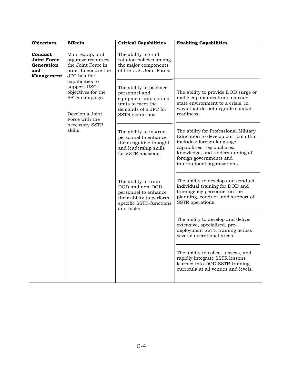| <b>Objectives</b>                                                       | <b>Effects</b>                                                                                              | <b>Critical Capabilities</b>                                                                                                         | <b>Enabling Capabilities</b>                                                                                                                                                                                                            |
|-------------------------------------------------------------------------|-------------------------------------------------------------------------------------------------------------|--------------------------------------------------------------------------------------------------------------------------------------|-----------------------------------------------------------------------------------------------------------------------------------------------------------------------------------------------------------------------------------------|
| Conduct<br><b>Joint Force</b><br>Generation<br>and<br><b>Management</b> | Man, equip, and<br>organize resources<br>the Joint Force in<br>order to ensure the<br>JFC has the           | The ability to craft<br>rotation policies among<br>the major components<br>of the U.S. Joint Force.                                  |                                                                                                                                                                                                                                         |
|                                                                         | capabilities to<br>support USG<br>objectives for the<br>SSTR campaign.<br>Develop a Joint<br>Force with the | The ability to package<br>personnel and<br>equipment into optimal<br>units to meet the<br>demands of a JFC for<br>SSTR operations.   | The ability to provide DOD surge or<br>niche capabilities from a steady<br>state environment to a crisis, in<br>ways that do not degrade combat<br>readiness.                                                                           |
|                                                                         | necessary SSTR<br>skills.                                                                                   | The ability to instruct<br>personnel to enhance<br>their cognitive thought<br>and leadership skills<br>for SSTR missions.            | The ability for Professional Military<br>Education to develop curricula that<br>includes: foreign language<br>capabilities, regional area<br>knowledge, and understanding of<br>foreign governments and<br>international organizations. |
|                                                                         |                                                                                                             | The ability to train<br>DOD and non-DOD<br>personnel to enhance<br>their ability to perform<br>specific SSTR-functions<br>and tasks. | The ability to develop and conduct<br>individual training for DOD and<br>Interagency personnel on the<br>planning, conduct, and support of<br>SSTR operations.                                                                          |
|                                                                         |                                                                                                             |                                                                                                                                      | The ability to develop and deliver<br>extensive, specialized, pre-<br>deployment SSTR training across<br>several operational areas.                                                                                                     |
|                                                                         |                                                                                                             |                                                                                                                                      | The ability to collect, assess, and<br>rapidly integrate SSTR lessons<br>learned into DOD SSTR training<br>curricula at all venues and levels.                                                                                          |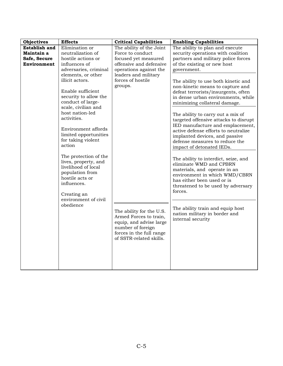| <b>Objectives</b>                                                 | <b>Effects</b>                                                                                                                                                                                                                                                                                                                                                                                                                                                                                                                            | <b>Critical Capabilities</b>                                                                                                                                                                                                                                                                                                                   | <b>Enabling Capabilities</b>                                                                                                                                                                                                                                                                                                                                                                                                                                                                                                                                                                                                                                                                                                                                                                                                                                                                                                |
|-------------------------------------------------------------------|-------------------------------------------------------------------------------------------------------------------------------------------------------------------------------------------------------------------------------------------------------------------------------------------------------------------------------------------------------------------------------------------------------------------------------------------------------------------------------------------------------------------------------------------|------------------------------------------------------------------------------------------------------------------------------------------------------------------------------------------------------------------------------------------------------------------------------------------------------------------------------------------------|-----------------------------------------------------------------------------------------------------------------------------------------------------------------------------------------------------------------------------------------------------------------------------------------------------------------------------------------------------------------------------------------------------------------------------------------------------------------------------------------------------------------------------------------------------------------------------------------------------------------------------------------------------------------------------------------------------------------------------------------------------------------------------------------------------------------------------------------------------------------------------------------------------------------------------|
| <b>Establish and</b><br>Maintain a<br>Safe, Secure<br>Environment | Elimination or<br>neutralization of<br>hostile actions or<br>influences of<br>adversaries, criminal<br>elements, or other<br>illicit actors.<br>Enable sufficient<br>security to allow the<br>conduct of large-<br>scale, civilian and<br>host nation-led<br>activities.<br>Environment affords<br>limited opportunities<br>for taking violent<br>action<br>The protection of the<br>lives, property, and<br>livelihood of local<br>population from<br>hostile acts or<br>influences.<br>Creating an<br>environment of civil<br>obedience | The ability of the Joint<br>Force to conduct<br>focused yet measured<br>offensive and defensive<br>operations against the<br>leaders and military<br>forces of hostile<br>groups.<br>The ability for the U.S.<br>Armed Forces to train,<br>equip, and advise large<br>number of foreign<br>forces in the full range<br>of SSTR-related skills. | The ability to plan and execute<br>security operations with coalition<br>partners and military police forces<br>of the existing or new host<br>government.<br>The ability to use both kinetic and<br>non-kinetic means to capture and<br>defeat terrorists/insurgents, often<br>in dense urban environments, while<br>minimizing collateral damage.<br>The ability to carry out a mix of<br>targeted offensive attacks to disrupt<br>IED manufacture and emplacement,<br>active defense efforts to neutralize<br>implanted devices, and passive<br>defense measures to reduce the<br>impact of detonated IEDs.<br>The ability to interdict, seize, and<br>eliminate WMD and CPBRN<br>materials, and operate in an<br>environment in which WMD/CBRN<br>has either been used or is<br>threatened to be used by adversary<br>forces.<br>The ability train and equip host<br>nation military in border and<br>internal security |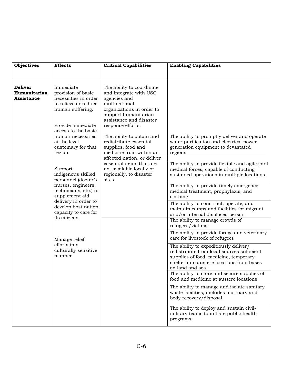| <b>Objectives</b>                                   | <b>Effects</b>                                                                                                           | <b>Critical Capabilities</b>                                                                                                                                                              | <b>Enabling Capabilities</b>                                                                                                                                                                  |
|-----------------------------------------------------|--------------------------------------------------------------------------------------------------------------------------|-------------------------------------------------------------------------------------------------------------------------------------------------------------------------------------------|-----------------------------------------------------------------------------------------------------------------------------------------------------------------------------------------------|
|                                                     |                                                                                                                          |                                                                                                                                                                                           |                                                                                                                                                                                               |
| <b>Deliver</b><br>Humanitarian<br><b>Assistance</b> | Immediate<br>provision of basic<br>necessities in order<br>to relieve or reduce<br>human suffering.<br>Provide immediate | The ability to coordinate<br>and integrate with USG<br>agencies and<br>multinational<br>organizations in order to<br>support humanitarian<br>assistance and disaster<br>response efforts. |                                                                                                                                                                                               |
|                                                     | access to the basic<br>human necessities<br>at the level<br>customary for that<br>region.                                | The ability to obtain and<br>redistribute essential<br>supplies, food and<br>medicine from within an<br>affected nation, or deliver<br>essential items that are                           | The ability to promptly deliver and operate<br>water purification and electrical power<br>generation equipment to devastated<br>regions.<br>The ability to provide flexible and agile joint   |
|                                                     | Support<br>indigenous skilled<br>personnel (doctor's                                                                     | not available locally or<br>regionally, to disaster<br>sites.                                                                                                                             | medical forces, capable of conducting<br>sustained operations in multiple locations.                                                                                                          |
|                                                     | nurses, engineers,<br>technicians, etc.) to<br>supplement aid<br>delivery in order to                                    |                                                                                                                                                                                           | The ability to provide timely emergency<br>medical treatment, prophylaxis, and<br>clothing.                                                                                                   |
|                                                     | develop host nation<br>capacity to care for<br>its citizens.                                                             |                                                                                                                                                                                           | The ability to construct, operate, and<br>maintain camps and facilities for migrant<br>and/or internal displaced person                                                                       |
|                                                     |                                                                                                                          |                                                                                                                                                                                           | The ability to manage crowds of<br>refugees/victims                                                                                                                                           |
|                                                     | Manage relief                                                                                                            |                                                                                                                                                                                           | The ability to provide forage and veterinary<br>care for livestock of refugees                                                                                                                |
|                                                     | efforts in a<br>culturally sensitive<br>manner                                                                           |                                                                                                                                                                                           | The ability to expeditiously deliver/<br>redistribute from local sources sufficient<br>supplies of food, medicine, temporary<br>shelter into austere locations from bases<br>on land and sea. |
|                                                     |                                                                                                                          |                                                                                                                                                                                           | The ability to store and secure supplies of<br>food and medicine at austere locations                                                                                                         |
|                                                     |                                                                                                                          |                                                                                                                                                                                           | The ability to manage and isolate sanitary<br>waste facilities; includes mortuary and<br>body recovery/disposal.                                                                              |
|                                                     |                                                                                                                          |                                                                                                                                                                                           | The ability to deploy and sustain civil-<br>military teams to initiate public health<br>programs.                                                                                             |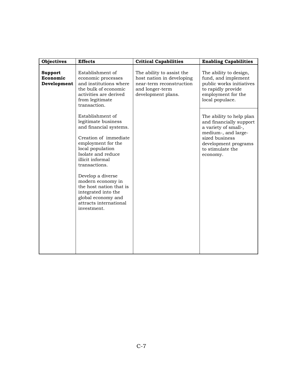| <b>Objectives</b>                         | <b>Effects</b>                                                                                                                                                                                  | <b>Critical Capabilities</b>                                                                                                | <b>Enabling Capabilities</b>                                                                                                                                                 |
|-------------------------------------------|-------------------------------------------------------------------------------------------------------------------------------------------------------------------------------------------------|-----------------------------------------------------------------------------------------------------------------------------|------------------------------------------------------------------------------------------------------------------------------------------------------------------------------|
| <b>Support</b><br>Economic<br>Development | Establishment of<br>economic processes<br>and institutions where<br>the bulk of economic<br>activities are derived<br>from legitimate<br>transaction.                                           | The ability to assist the<br>host nation in developing<br>near-term reconstruction<br>and longer-term<br>development plans. | The ability to design,<br>fund, and implement<br>public works initiatives<br>to rapidly provide<br>employment for the<br>local populace.                                     |
|                                           | Establishment of<br>legitimate business<br>and financial systems.<br>Creation of immediate<br>employment for the<br>local population<br>Isolate and reduce<br>illicit informal<br>transactions. |                                                                                                                             | The ability to help plan<br>and financially support<br>a variety of small-,<br>medium-, and large-<br>sized business<br>development programs<br>to stimulate the<br>economy. |
|                                           | Develop a diverse<br>modern economy in<br>the host nation that is<br>integrated into the<br>global economy and<br>attracts international<br>investment.                                         |                                                                                                                             |                                                                                                                                                                              |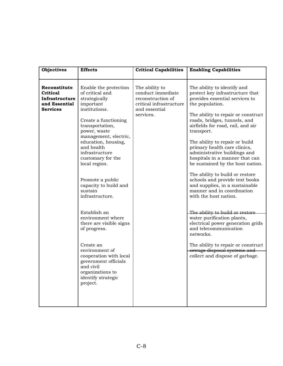|                                                                                                                                                                                                                                                                                                                                                                                                                                                                                                                                                                                                                                                                                                                                                                                                                                                                                                                                                                                                                                                                                                                                                                      | <b>Objectives</b> | <b>Effects</b> | <b>Critical Capabilities</b> | <b>Enabling Capabilities</b>                                                                                                                                                                                                                                                                                                                                                                                                                                            |
|----------------------------------------------------------------------------------------------------------------------------------------------------------------------------------------------------------------------------------------------------------------------------------------------------------------------------------------------------------------------------------------------------------------------------------------------------------------------------------------------------------------------------------------------------------------------------------------------------------------------------------------------------------------------------------------------------------------------------------------------------------------------------------------------------------------------------------------------------------------------------------------------------------------------------------------------------------------------------------------------------------------------------------------------------------------------------------------------------------------------------------------------------------------------|-------------------|----------------|------------------------------|-------------------------------------------------------------------------------------------------------------------------------------------------------------------------------------------------------------------------------------------------------------------------------------------------------------------------------------------------------------------------------------------------------------------------------------------------------------------------|
| Reconstitute<br>Enable the protection<br>The ability to<br>The ability to identify and<br>of critical and<br>conduct immediate<br><b>Critical</b><br>Infrastructure<br>strategically<br>reconstruction of<br>provides essential services to<br>critical infrastructure<br>and Essential<br>important<br>the population.<br>institutions.<br><b>Services</b><br>and essential<br>services.<br>roads, bridges, tunnels, and<br>Create a functioning<br>transportation,<br>power, waste<br>transport.<br>management, electric,<br>education, housing,<br>The ability to repair or build<br>and health<br>primary health care clinics,<br>infrastructure<br>administrative buildings and<br>customary for the<br>local region.<br>Promote a public<br>capacity to build and<br>sustain<br>manner and in coordination<br>infrastructure.<br>with the host nation.<br>Establish an<br>environment where<br>water purification plants,<br>there are visible signs<br>and telecommunication<br>of progress.<br>networks.<br>Create an<br>environment of<br>cooperation with local<br>government officials<br>and civil<br>organizations to<br>identify strategic<br>project. |                   |                |                              | protect key infrastructure that<br>The ability to repair or construct<br>airfields for road, rail, and air<br>hospitals in a manner that can<br>be sustained by the host nation.<br>The ability to build or restore<br>schools and provide text books<br>and supplies, in a sustainable<br>The ability to build or restore<br>electrical power generation grids<br>The ability to repair or construct<br>sewage disposal systems and<br>collect and dispose of garbage. |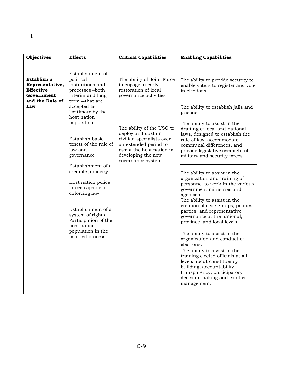1

| <b>Objectives</b>                                                                          | <b>Effects</b>                                                                                                                                                                                                                                                                      | <b>Critical Capabilities</b>                                                                                                                                                      | <b>Enabling Capabilities</b>                                                                                                                                                                                                                                                                                                                                                                                                                                                                                                                                                                                                                                                                               |
|--------------------------------------------------------------------------------------------|-------------------------------------------------------------------------------------------------------------------------------------------------------------------------------------------------------------------------------------------------------------------------------------|-----------------------------------------------------------------------------------------------------------------------------------------------------------------------------------|------------------------------------------------------------------------------------------------------------------------------------------------------------------------------------------------------------------------------------------------------------------------------------------------------------------------------------------------------------------------------------------------------------------------------------------------------------------------------------------------------------------------------------------------------------------------------------------------------------------------------------------------------------------------------------------------------------|
|                                                                                            |                                                                                                                                                                                                                                                                                     |                                                                                                                                                                                   |                                                                                                                                                                                                                                                                                                                                                                                                                                                                                                                                                                                                                                                                                                            |
| Establish a<br>Representative,<br><b>Effective</b><br>Government<br>and the Rule of<br>Law | Establishment of<br>political<br>institutions and<br>processes-both<br>interim and long<br>term --that are<br>accepted as<br>legitimate by the<br>host nation<br>population.<br>Establish basic                                                                                     | The ability of Joint Force<br>to engage in early<br>restoration of local<br>governance activities<br>The ability of the USG to<br>deploy and sustain<br>civilian specialists over | The ability to provide security to<br>enable voters to register and vote<br>in elections<br>The ability to establish jails and<br>prisons<br>The ability to assist in the<br>drafting of local and national<br>laws, designed to establish the<br>rule of law, accommodate                                                                                                                                                                                                                                                                                                                                                                                                                                 |
|                                                                                            | tenets of the rule of<br>law and<br>governance<br>Establishment of a<br>credible judiciary<br>Host nation police<br>forces capable of<br>enforcing law.<br>Establishment of a<br>system of rights<br>Participation of the<br>host nation<br>population in the<br>political process. | an extended period to<br>assist the host nation in<br>developing the new<br>governance system.                                                                                    | communal differences, and<br>provide legislative oversight of<br>military and security forces.<br>The ability to assist in the<br>organization and training of<br>personnel to work in the various<br>government ministries and<br>agencies.<br>The ability to assist in the<br>creation of civic groups, political<br>parties, and representative<br>governance at the national,<br>province, and local levels.<br>The ability to assist in the<br>organization and conduct of<br>elections.<br>The ability to assist in the<br>training elected officials at all<br>levels about constituency<br>building, accountability,<br>transparency, participatory<br>decision-making and conflict<br>management. |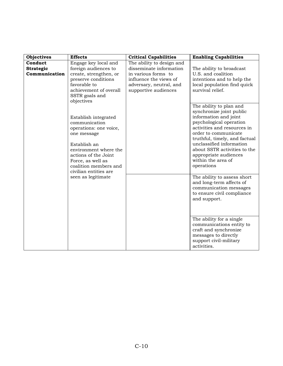| <b>Objectives</b>                            | <b>Effects</b>                                                                                                                                                                                                         | <b>Critical Capabilities</b>                                                                                                                             | <b>Enabling Capabilities</b>                                                                                                                                                                                                                                                                                             |
|----------------------------------------------|------------------------------------------------------------------------------------------------------------------------------------------------------------------------------------------------------------------------|----------------------------------------------------------------------------------------------------------------------------------------------------------|--------------------------------------------------------------------------------------------------------------------------------------------------------------------------------------------------------------------------------------------------------------------------------------------------------------------------|
| Conduct<br><b>Strategic</b><br>Communication | Engage key local and<br>foreign audiences to<br>create, strengthen, or<br>preserve conditions<br>favorable to<br>achievement of overall<br>SSTR goals and<br>objectives                                                | The ability to design and<br>disseminate information<br>in various forms to<br>influence the views of<br>adversary, neutral, and<br>supportive audiences | The ability to broadcast<br>U.S. and coalition<br>intentions and to help the<br>local population find quick<br>survival relief.                                                                                                                                                                                          |
|                                              | Establish integrated<br>communication<br>operations: one voice,<br>one message<br>Establish an<br>environment where the<br>actions of the Joint<br>Force, as well as<br>coalition members and<br>civilian entities are |                                                                                                                                                          | The ability to plan and<br>synchronize joint public<br>information and joint<br>psychological operation<br>activities and resources in<br>order to communicate<br>truthful, timely, and factual<br>unclassified information<br>about SSTR activities to the<br>appropriate audiences<br>within the area of<br>operations |
|                                              | seen as legitimate                                                                                                                                                                                                     |                                                                                                                                                          | The ability to assess short<br>and long-term affects of<br>communication messages<br>to ensure civil compliance<br>and support.                                                                                                                                                                                          |
|                                              |                                                                                                                                                                                                                        |                                                                                                                                                          | The ability for a single<br>communications entity to<br>craft and synchronize<br>messages to directly<br>support civil-military<br>activities.                                                                                                                                                                           |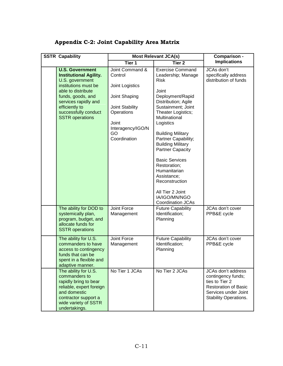# **Appendix C-2: Joint Capability Area Matrix**

| <b>SSTR Capability</b> |                                                                                                                                                                                                                                           |                                                                                                                                                     | <b>Most Relevant JCA(s)</b>                                                                                                                                                                                                                                                                                                                                                                                                                                     | Comparison -                                                                                                                                             |
|------------------------|-------------------------------------------------------------------------------------------------------------------------------------------------------------------------------------------------------------------------------------------|-----------------------------------------------------------------------------------------------------------------------------------------------------|-----------------------------------------------------------------------------------------------------------------------------------------------------------------------------------------------------------------------------------------------------------------------------------------------------------------------------------------------------------------------------------------------------------------------------------------------------------------|----------------------------------------------------------------------------------------------------------------------------------------------------------|
|                        |                                                                                                                                                                                                                                           | Tier 1                                                                                                                                              | Tier <sub>2</sub>                                                                                                                                                                                                                                                                                                                                                                                                                                               | <b>Implications</b>                                                                                                                                      |
|                        | <b>U.S. Government</b><br><b>Institutional Agility.</b><br>U.S. government<br>institutions must be<br>able to distribute<br>funds, goods, and<br>services rapidly and<br>efficiently to<br>successfully conduct<br><b>SSTR</b> operations | Joint Command &<br>Control<br>Joint Logistics<br>Joint Shaping<br>Joint Stability<br>Operations<br>Joint<br>Interagency/IGO/N<br>GO<br>Coordination | <b>Exercise Command</b><br>Leadership; Manage<br><b>Risk</b><br>Joint<br>Deployment/Rapid<br>Distribution; Agile<br>Sustainment; Joint<br>Theater Logistics;<br>Multinational<br>Logistics<br><b>Building Military</b><br>Partner Capability;<br><b>Building Military</b><br><b>Partner Capacity</b><br><b>Basic Services</b><br>Restoration;<br>Humanitarian<br>Assistance;<br>Reconstruction<br>All Tier 2 Joint<br>IA/IGO/MN/NGO<br><b>Coordination JCAs</b> | JCAs don't<br>specifically address<br>distribution of funds                                                                                              |
|                        | The ability for DOD to<br>systemically plan,<br>program, budget, and<br>allocate funds for<br><b>SSTR</b> operations                                                                                                                      | Joint Force<br>Management                                                                                                                           | <b>Future Capability</b><br>Identification;<br>Planning                                                                                                                                                                                                                                                                                                                                                                                                         | JCAs don't cover<br>PPB&E cycle                                                                                                                          |
|                        | The ability for U.S.<br>commanders to have<br>access to contingency<br>funds that can be<br>spent in a flexible and<br>adaptive manner.                                                                                                   | Joint Force<br>Management                                                                                                                           | <b>Future Capability</b><br>Identification;<br>Planning                                                                                                                                                                                                                                                                                                                                                                                                         | JCAs don't cover<br>PPB&E cycle                                                                                                                          |
|                        | The ability for U.S.<br>commanders to<br>rapidly bring to bear<br>reliable, expert foreign<br>and domestic<br>contractor support a<br>wide variety of SSTR<br>undertakings.                                                               | No Tier 1 JCAs                                                                                                                                      | No Tier 2 JCAs                                                                                                                                                                                                                                                                                                                                                                                                                                                  | <b>JCAs don't address</b><br>contingency funds;<br>ties to Tier 2<br><b>Restoration of Basic</b><br>Services under Joint<br><b>Stability Operations.</b> |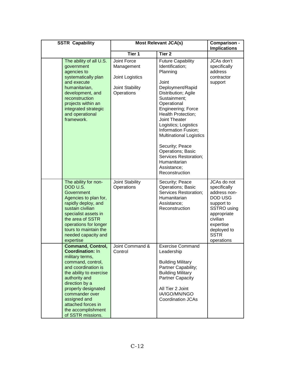| <b>SSTR Capability</b>                                                                                                                                                                                                                                                                                     | <b>Most Relevant JCA(s)</b>                                                   |                                                                                                                                                                                                                                                                                                                                                                                                                   | Comparison -<br><b>Implications</b>                                                                                                                                     |
|------------------------------------------------------------------------------------------------------------------------------------------------------------------------------------------------------------------------------------------------------------------------------------------------------------|-------------------------------------------------------------------------------|-------------------------------------------------------------------------------------------------------------------------------------------------------------------------------------------------------------------------------------------------------------------------------------------------------------------------------------------------------------------------------------------------------------------|-------------------------------------------------------------------------------------------------------------------------------------------------------------------------|
|                                                                                                                                                                                                                                                                                                            | Tier 1                                                                        | Tier <sub>2</sub>                                                                                                                                                                                                                                                                                                                                                                                                 |                                                                                                                                                                         |
| The ability of all U.S.<br>government<br>agencies to<br>systematically plan<br>and execute<br>humanitarian,<br>development, and<br>reconstruction<br>projects within an<br>integrated strategic<br>and operational<br>framework.                                                                           | Joint Force<br>Management<br>Joint Logistics<br>Joint Stability<br>Operations | <b>Future Capability</b><br>Identification;<br>Planning<br>Joint<br>Deployment/Rapid<br>Distribution; Agile<br>Sustainment;<br>Operational<br>Engineering; Force<br><b>Health Protection;</b><br>Joint Theater<br>Logistics; Logistics<br>Information Fusion;<br><b>Multinational Logistics</b><br>Security; Peace<br>Operations; Basic<br>Services Restoration;<br>Humanitarian<br>Assistance;<br>Reconstruction | JCAs don't<br>specifically<br>address<br>contractor<br>support                                                                                                          |
| The ability for non-<br>DOD U.S.<br>Government<br>Agencies to plan for,<br>rapidly deploy, and<br>sustain civilian<br>specialist assets in<br>the area of SSTR<br>operations for longer<br>tours to maintain the<br>needed capacity and<br>expertise                                                       | Joint Stability<br>Operations                                                 | Security; Peace<br>Operations; Basic<br>Services Restoration;<br>Humanitarian<br>Assistance;<br>Reconstruction                                                                                                                                                                                                                                                                                                    | JCAs do not<br>specifically<br>address non-<br>DOD USG<br>support to<br>SSTRO using<br>appropriate<br>civilian<br>expertise<br>deployed to<br><b>SSTR</b><br>operations |
| <b>Command, Control,</b><br><b>Coordination: In</b><br>military terms,<br>command, control,<br>and coordination is<br>the ability to exercise<br>authority and<br>direction by a<br>properly designated<br>commander over<br>assigned and<br>attached forces in<br>the accomplishment<br>of SSTR missions. | Joint Command &<br>Control                                                    | <b>Exercise Command</b><br>Leadership<br><b>Building Military</b><br>Partner Capability;<br><b>Building Military</b><br>Partner Capacity<br>All Tier 2 Joint<br>IA/IGO/MN/NGO<br>Coordination JCAs                                                                                                                                                                                                                |                                                                                                                                                                         |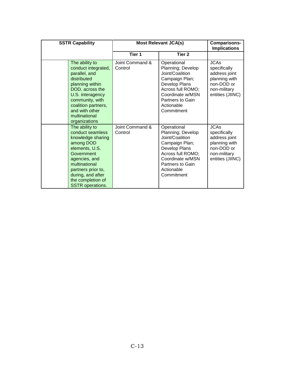| <b>SSTR Capability</b>                                                                                                                                                                                                            |                            | <b>Most Relevant JCA(s)</b>                                                                                                                                                     | Comparisons-<br><b>Implications</b>                                                                             |
|-----------------------------------------------------------------------------------------------------------------------------------------------------------------------------------------------------------------------------------|----------------------------|---------------------------------------------------------------------------------------------------------------------------------------------------------------------------------|-----------------------------------------------------------------------------------------------------------------|
|                                                                                                                                                                                                                                   | Tier 1                     | Tier <sub>2</sub>                                                                                                                                                               |                                                                                                                 |
| The ability to<br>conduct integrated,<br>parallel, and<br>distributed<br>planning within<br>DOD, across the<br>U.S. interagency<br>community, with<br>coalition partners,<br>and with other<br>multinational<br>organizations     | Joint Command &<br>Control | Operational<br>Planning; Develop<br>Joint/Coalition<br>Campaign Plan;<br>Develop Plans<br>Across full ROMO;<br>Coordinate w/MSN<br>Partners to Gain<br>Actionable<br>Commitment | <b>JCAs</b><br>specifically<br>address joint<br>planning with<br>non-DOD or<br>non-military<br>entities (JIINC) |
| The ability to<br>conduct seamless<br>knowledge sharing<br>among DOD<br>elements, U.S.<br>Government<br>agencies, and<br>multinational<br>partners prior to,<br>during, and after<br>the completion of<br><b>SSTR</b> operations. | Joint Command &<br>Control | Operational<br>Planning; Develop<br>Joint/Coalition<br>Campaign Plan;<br>Develop Plans<br>Across full ROMO;<br>Coordinate w/MSN<br>Partners to Gain<br>Actionable<br>Commitment | <b>JCAs</b><br>specifically<br>address joint<br>planning with<br>non-DOD or<br>non-military<br>entities (JIINC) |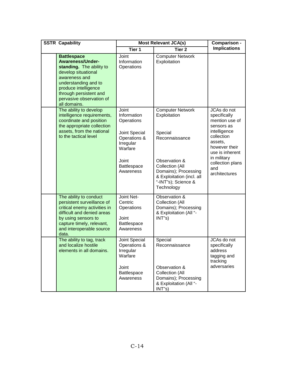| <b>SSTR Capability</b>                                                                                                                                                                                                                  | <b>Most Relevant JCA(s)</b>                                                                                                      |                                                                                                                                                                                                    | Comparison -                                                                                                                                                                                        |
|-----------------------------------------------------------------------------------------------------------------------------------------------------------------------------------------------------------------------------------------|----------------------------------------------------------------------------------------------------------------------------------|----------------------------------------------------------------------------------------------------------------------------------------------------------------------------------------------------|-----------------------------------------------------------------------------------------------------------------------------------------------------------------------------------------------------|
|                                                                                                                                                                                                                                         | Tier 1                                                                                                                           | Tier <sub>2</sub>                                                                                                                                                                                  | <b>Implications</b>                                                                                                                                                                                 |
| <b>Battlespace</b><br><b>Awareness/Under-</b><br>standing. The ability to<br>develop situational<br>awareness and<br>understanding and to<br>produce intelligence<br>through persistent and<br>pervasive observation of<br>all domains. | Joint<br>Information<br>Operations                                                                                               | <b>Computer Network</b><br>Exploitation                                                                                                                                                            |                                                                                                                                                                                                     |
| The ability to develop<br>intelligence requirements,<br>coordinate and position<br>the appropriate collection<br>assets, from the national<br>to the tactical level                                                                     | Joint<br>Information<br>Operations<br>Joint Special<br>Operations &<br>Irregular<br>Warfare<br>Joint<br>Battlespace<br>Awareness | <b>Computer Network</b><br>Exploitation<br>Special<br>Reconnaissance<br>Observation &<br>Collection (All<br>Domains); Processing<br>& Exploitation (incl. all<br>"-INT"s); Science &<br>Technology | JCAs do not<br>specifically<br>mention use of<br>sensors as<br>intelligence<br>collection<br>assets,<br>however their<br>use is inherent<br>in military<br>collection plans<br>and<br>architectures |
| The ability to conduct<br>persistent surveillance of<br>critical enemy activities in<br>difficult and denied areas<br>by using sensors to<br>capture timely, relevant,<br>and interoperable source<br>data.                             | Joint Net-<br>Centric<br>Operations<br>Joint<br><b>Battlespace</b><br>Awareness                                                  | Observation &<br>Collection (All<br>Domains); Processing<br>& Exploitation (All "-<br>INT's)                                                                                                       |                                                                                                                                                                                                     |
| The ability to tag, track<br>and localize hostile<br>elements in all domains.                                                                                                                                                           | Joint Special<br>Operations &<br>Irregular<br>Warfare<br>Joint<br>Battlespace<br>Awareness                                       | Special<br>Reconnaissance<br>Observation &<br>Collection (All<br>Domains); Processing<br>& Exploitation (All "-<br>INT"s)                                                                          | JCAs do not<br>specifically<br>address<br>tagging and<br>tracking<br>adversaries                                                                                                                    |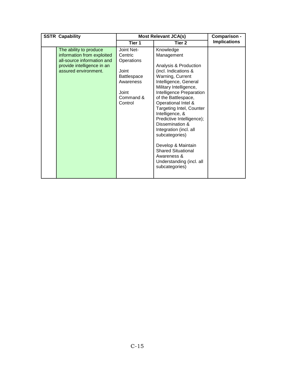| <b>SSTR Capability</b>                                                                                                                   |                                                                                                           | <b>Most Relevant JCA(s)</b>                                                                                                                                                                                                                                                                                                                                                                                                                                                                 | Comparison -        |
|------------------------------------------------------------------------------------------------------------------------------------------|-----------------------------------------------------------------------------------------------------------|---------------------------------------------------------------------------------------------------------------------------------------------------------------------------------------------------------------------------------------------------------------------------------------------------------------------------------------------------------------------------------------------------------------------------------------------------------------------------------------------|---------------------|
|                                                                                                                                          | Tier 1                                                                                                    | Tier 2                                                                                                                                                                                                                                                                                                                                                                                                                                                                                      | <b>Implications</b> |
| The ability to produce<br>information from exploited<br>all-source information and<br>provide intelligence in an<br>assured environment. | Joint Net-<br>Centric<br>Operations<br>Joint<br>Battlespace<br>Awareness<br>Joint<br>Command &<br>Control | Knowledge<br>Management<br>Analysis & Production<br>(incl. Indications &<br>Warning, Current<br>Intelligence, General<br>Military Intelligence,<br>Intelligence Preparation<br>of the Battlespace,<br>Operational Intel &<br><b>Targeting Intel, Counter</b><br>Intelligence, &<br>Predictive Intelligence);<br>Dissemination &<br>Integration (incl. all<br>subcategories)<br>Develop & Maintain<br><b>Shared Situational</b><br>Awareness &<br>Understanding (incl. all<br>subcategories) |                     |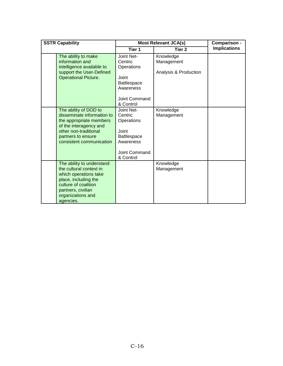| <b>SSTR Capability</b>                                                                                                                                                                |                                                                                                               | <b>Most Relevant JCA(s)</b>                      |                     |
|---------------------------------------------------------------------------------------------------------------------------------------------------------------------------------------|---------------------------------------------------------------------------------------------------------------|--------------------------------------------------|---------------------|
|                                                                                                                                                                                       | Tier 1                                                                                                        | Tier 2                                           | <b>Implications</b> |
| The ability to make<br>information and<br>intelligence available to<br>support the User-Defined<br><b>Operational Picture.</b>                                                        | Joint Net-<br>Centric<br>Operations<br>Joint<br><b>Battlespace</b><br>Awareness<br>Joint Command<br>& Control | Knowledge<br>Management<br>Analysis & Production |                     |
| The ability of DOD to<br>disseminate information to<br>the appropriate members<br>of the interagency and<br>other non-traditional<br>partners to ensure<br>consistent communication   | Joint Net-<br>Centric<br>Operations<br>Joint<br><b>Battlespace</b><br>Awareness<br>Joint Command<br>& Control | Knowledge<br>Management                          |                     |
| The ability to understand<br>the cultural context in<br>which operations take<br>place, including the<br>culture of coalition<br>partners, civilian<br>organizations and<br>agencies. |                                                                                                               | Knowledge<br>Management                          |                     |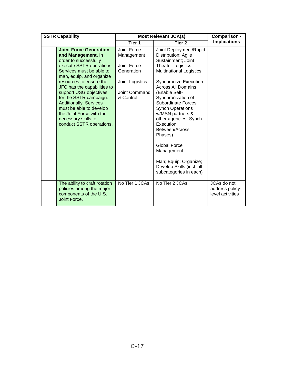| <b>SSTR Capability</b>                                                                                                                                                                                                                                                                                                                                                                                                    |                                                                                                         | <b>Most Relevant JCA(s)</b>                                                                                                                                                                                                                                                                                                                                                                                                                                                                   |                                                    |
|---------------------------------------------------------------------------------------------------------------------------------------------------------------------------------------------------------------------------------------------------------------------------------------------------------------------------------------------------------------------------------------------------------------------------|---------------------------------------------------------------------------------------------------------|-----------------------------------------------------------------------------------------------------------------------------------------------------------------------------------------------------------------------------------------------------------------------------------------------------------------------------------------------------------------------------------------------------------------------------------------------------------------------------------------------|----------------------------------------------------|
|                                                                                                                                                                                                                                                                                                                                                                                                                           | Tier 1                                                                                                  | Tier <sub>2</sub>                                                                                                                                                                                                                                                                                                                                                                                                                                                                             | <b>Implications</b>                                |
| <b>Joint Force Generation</b><br>and Management. In<br>order to successfully<br>execute SSTR operations,<br>Services must be able to<br>man, equip, and organize<br>resources to ensure the<br>JFC has the capabilities to<br>support USG objectives<br>for the SSTR campaign.<br><b>Additionally, Services</b><br>must be able to develop<br>the Joint Force with the<br>necessary skills to<br>conduct SSTR operations. | Joint Force<br>Management<br>Joint Force<br>Generation<br>Joint Logistics<br>Joint Command<br>& Control | Joint Deployment/Rapid<br>Distribution; Agile<br>Sustainment; Joint<br>Theater Logistics;<br><b>Multinational Logistics</b><br><b>Synchronize Execution</b><br><b>Across All Domains</b><br>(Enable Self-<br>Synchronization of<br>Subordinate Forces,<br><b>Synch Operations</b><br>w/MSN partners &<br>other agencies, Synch<br>Execution<br>Between/Across<br>Phases)<br><b>Global Force</b><br>Management<br>Man; Equip; Organize;<br>Develop Skills (incl. all<br>subcategories in each) |                                                    |
|                                                                                                                                                                                                                                                                                                                                                                                                                           |                                                                                                         |                                                                                                                                                                                                                                                                                                                                                                                                                                                                                               |                                                    |
| The ability to craft rotation<br>policies among the major<br>components of the U.S.<br>Joint Force.                                                                                                                                                                                                                                                                                                                       | No Tier 1 JCAs                                                                                          | No Tier 2 JCAs                                                                                                                                                                                                                                                                                                                                                                                                                                                                                | JCAs do not<br>address policy-<br>level activities |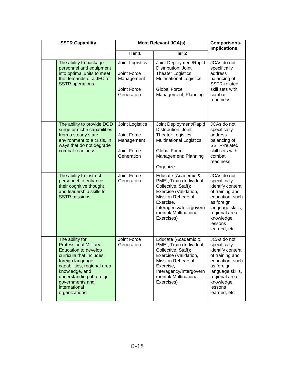| <b>SSTR Capability</b>                                                                                                                                                                                                                                            |                                                                                  | <b>Most Relevant JCA(s)</b>                                                                                                                                                                                | <b>Comparisons-</b><br><b>Implications</b>                                                                                                                                         |
|-------------------------------------------------------------------------------------------------------------------------------------------------------------------------------------------------------------------------------------------------------------------|----------------------------------------------------------------------------------|------------------------------------------------------------------------------------------------------------------------------------------------------------------------------------------------------------|------------------------------------------------------------------------------------------------------------------------------------------------------------------------------------|
|                                                                                                                                                                                                                                                                   | Tier <sub>1</sub>                                                                | <b>Tier 2</b>                                                                                                                                                                                              |                                                                                                                                                                                    |
| The ability to package<br>personnel and equipment<br>into optimal units to meet<br>the demands of a JFC for<br><b>SSTR</b> operations.                                                                                                                            | Joint Logistics<br>Joint Force<br>Management<br>Joint Force<br>Generation        | Joint Deployment/Rapid<br>Distribution; Joint<br>Theater Logistics;<br><b>Multinational Logistics</b><br><b>Global Force</b><br>Management; Planning                                                       | JCAs do not<br>specifically<br>address<br>balancing of<br><b>SSTR-related</b><br>skill sets with<br>combat<br>readiness                                                            |
| The ability to provide DOD<br>surge or niche capabilities<br>from a steady state<br>environment to a crisis, in<br>ways that do not degrade<br>combat readiness.                                                                                                  | Joint Logistics<br>Joint Force<br>Management<br><b>Joint Force</b><br>Generation | Joint Deployment/Rapid<br>Distribution; Joint<br>Theater Logistics;<br><b>Multinational Logistics</b><br><b>Global Force</b><br>Management; Planning<br>Organize                                           | JCAs do not<br>specifically<br>address<br>balancing of<br><b>SSTR-related</b><br>skill sets with<br>combat<br>readiness                                                            |
| The ability to instruct<br>personnel to enhance<br>their cognitive thought<br>and leadership skills for<br><b>SSTR</b> missions.                                                                                                                                  | Joint Force<br>Generation                                                        | Educate (Academic &<br>PME); Train (Individual,<br>Collective, Staff);<br>Exercise (Validation,<br><b>Mission Rehearsal</b><br>Exercise,<br>Interagency/Intergovern<br>mental/ Multinational<br>Exercises) | JCAs do not<br>specifically<br>identify content<br>of training and<br>education, such<br>as foreign<br>language skills,<br>regional area<br>knowledge,<br>lessons<br>learned, etc. |
| The ability for<br><b>Professional Military</b><br><b>Education to develop</b><br>curricula that includes:<br>foreign language<br>capabilities, regional area<br>knowledge, and<br>understanding of foreign<br>governments and<br>international<br>organizations. | Joint Force<br>Generation                                                        | Educate (Academic &<br>PME); Train (Individual,<br>Collective, Staff);<br>Exercise (Validation,<br><b>Mission Rehearsal</b><br>Exercise,<br>Interagency/Intergovern<br>mental/ Multinational<br>Exercises) | JCAs do not<br>specifically<br>identify content<br>of training and<br>education, such<br>as foreign<br>language skills,<br>regional area<br>knowledge,<br>lessons<br>learned, etc  |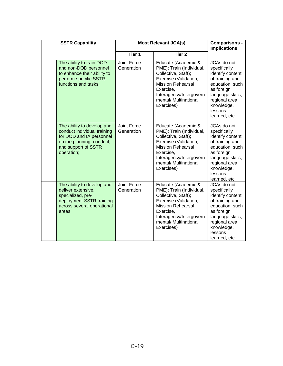| <b>SSTR Capability</b>                                                                                                                                  |                                  | <b>Most Relevant JCA(s)</b>                                                                                                                                                                                | <b>Comparisons -</b><br><b>Implications</b>                                                                                                                                       |
|---------------------------------------------------------------------------------------------------------------------------------------------------------|----------------------------------|------------------------------------------------------------------------------------------------------------------------------------------------------------------------------------------------------------|-----------------------------------------------------------------------------------------------------------------------------------------------------------------------------------|
|                                                                                                                                                         | Tier 1                           | Tier <sub>2</sub>                                                                                                                                                                                          |                                                                                                                                                                                   |
| The ability to train DOD<br>and non-DOD personnel<br>to enhance their ability to<br>perform specific SSTR-<br>functions and tasks.                      | Joint Force<br>Generation        | Educate (Academic &<br>PME); Train (Individual,<br>Collective, Staff);<br>Exercise (Validation,<br><b>Mission Rehearsal</b><br>Exercise,<br>Interagency/Intergovern<br>mental/ Multinational<br>Exercises) | JCAs do not<br>specifically<br>identify content<br>of training and<br>education, such<br>as foreign<br>language skills,<br>regional area<br>knowledge,<br>lessons<br>learned, etc |
| The ability to develop and<br>conduct individual training<br>for DOD and IA personnel<br>on the planning, conduct,<br>and support of SSTR<br>operation; | <b>Joint Force</b><br>Generation | Educate (Academic &<br>PME); Train (Individual,<br>Collective, Staff);<br>Exercise (Validation,<br><b>Mission Rehearsal</b><br>Exercise,<br>Interagency/Intergovern<br>mental/ Multinational<br>Exercises) | JCAs do not<br>specifically<br>identify content<br>of training and<br>education, such<br>as foreign<br>language skills,<br>regional area<br>knowledge,<br>lessons<br>learned, etc |
| The ability to develop and<br>deliver extensive,<br>specialized, pre-<br>deployment SSTR training<br>across several operational<br>areas                | <b>Joint Force</b><br>Generation | Educate (Academic &<br>PME); Train (Individual,<br>Collective, Staff);<br>Exercise (Validation,<br><b>Mission Rehearsal</b><br>Exercise,<br>Interagency/Intergovern<br>mental/ Multinational<br>Exercises) | JCAs do not<br>specifically<br>identify content<br>of training and<br>education, such<br>as foreign<br>language skills,<br>regional area<br>knowledge,<br>lessons<br>learned, etc |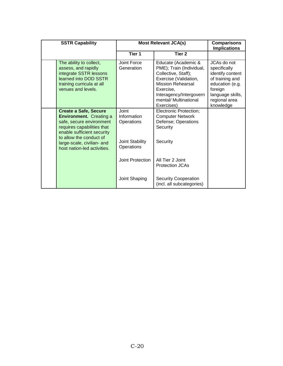| <b>SSTR Capability</b>                                                                                                                                                                                                                         |                                                                            | <b>Most Relevant JCA(s)</b>                                                                                                                                                                                | <b>Comparisons</b><br><b>Implications</b>                                                                                                          |
|------------------------------------------------------------------------------------------------------------------------------------------------------------------------------------------------------------------------------------------------|----------------------------------------------------------------------------|------------------------------------------------------------------------------------------------------------------------------------------------------------------------------------------------------------|----------------------------------------------------------------------------------------------------------------------------------------------------|
|                                                                                                                                                                                                                                                | Tier 1                                                                     | Tier <sub>2</sub>                                                                                                                                                                                          |                                                                                                                                                    |
| The ability to collect,<br>assess, and rapidly<br>integrate SSTR lessons<br>learned into DOD SSTR<br>training curricula at all<br>venues and levels.                                                                                           | Joint Force<br>Generation                                                  | Educate (Academic &<br>PME); Train (Individual,<br>Collective, Staff);<br>Exercise (Validation,<br><b>Mission Rehearsal</b><br>Exercise.<br>Interagency/Intergovern<br>mental/ Multinational<br>Exercises) | JCAs do not<br>specifically<br>identify content<br>of training and<br>education (e.g.<br>foreign<br>language skills,<br>regional area<br>knowledge |
| <b>Create a Safe, Secure</b><br><b>Environment.</b> Creating a<br>safe, secure environment<br>requires capabilities that<br>enable sufficient security<br>to allow the conduct of<br>large-scale, civilian- and<br>host nation-led activities. | Joint<br>Information<br>Operations<br><b>Joint Stability</b><br>Operations | <b>Electronic Protection;</b><br><b>Computer Network</b><br>Defense; Operations<br>Security<br>Security                                                                                                    |                                                                                                                                                    |
|                                                                                                                                                                                                                                                | Joint Protection                                                           | All Tier 2 Joint<br>Protection JCAs                                                                                                                                                                        |                                                                                                                                                    |
|                                                                                                                                                                                                                                                | Joint Shaping                                                              | <b>Security Cooperation</b><br>(incl. all subcategories)                                                                                                                                                   |                                                                                                                                                    |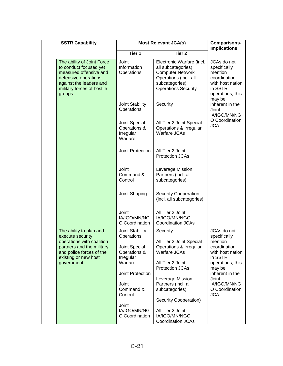| <b>SSTR Capability</b>                                                                                                                                                     |                                                       | <b>Most Relevant JCA(s)</b>                                                                                                                           | <b>Comparisons-</b><br><b>Implications</b>                                                                |
|----------------------------------------------------------------------------------------------------------------------------------------------------------------------------|-------------------------------------------------------|-------------------------------------------------------------------------------------------------------------------------------------------------------|-----------------------------------------------------------------------------------------------------------|
|                                                                                                                                                                            | <b>Tier 1</b>                                         | Tier <sub>2</sub>                                                                                                                                     |                                                                                                           |
| The ability of Joint Force<br>to conduct focused yet<br>measured offensive and<br>defensive operations<br>against the leaders and<br>military forces of hostile<br>groups. | Joint<br>Information<br>Operations                    | Electronic Warfare (incl.<br>all subcategories);<br><b>Computer Network</b><br>Operations (incl. all<br>subcategories);<br><b>Operations Security</b> | JCAs do not<br>specifically<br>mention<br>coordination<br>with host nation<br>in SSTR<br>operations; this |
|                                                                                                                                                                            | Joint Stability<br>Operations                         | Security                                                                                                                                              | may be<br>inherent in the<br>Joint<br>IA/IGO/MN/NG                                                        |
|                                                                                                                                                                            | Joint Special<br>Operations &<br>Irregular<br>Warfare | All Tier 2 Joint Special<br>Operations & Irregular<br><b>Warfare JCAs</b>                                                                             | O Coordination<br><b>JCA</b>                                                                              |
|                                                                                                                                                                            | Joint Protection                                      | All Tier 2 Joint<br><b>Protection JCAs</b>                                                                                                            |                                                                                                           |
|                                                                                                                                                                            | Joint<br>Command &<br>Control                         | Leverage Mission<br>Partners (incl. all<br>subcategories)                                                                                             |                                                                                                           |
|                                                                                                                                                                            | Joint Shaping                                         | <b>Security Cooperation</b><br>(incl. all subcategories)                                                                                              |                                                                                                           |
|                                                                                                                                                                            | Joint<br>IA/IGO/MN/NG<br>O Coordination               | All Tier 2 Joint<br>IA/IGO/MN/NGO<br>Coordination JCAs                                                                                                |                                                                                                           |
| The ability to plan and<br>execute security                                                                                                                                | Joint Stability<br>Operations                         | Security                                                                                                                                              | JCAs do not<br>specifically                                                                               |
| operations with coalition<br>partners and the military<br>and police forces of the<br>existing or new host                                                                 | Joint Special<br>Operations &<br>Irregular            | All Tier 2 Joint Special<br>Operations & Irregular<br>Warfare JCAs                                                                                    | mention<br>coordination<br>with host nation<br>in SSTR                                                    |
| government.                                                                                                                                                                | Warfare                                               | All Tier 2 Joint<br>Protection JCAs                                                                                                                   | operations; this<br>may be                                                                                |
|                                                                                                                                                                            | Joint Protection                                      | Leverage Mission                                                                                                                                      | inherent in the<br>Joint                                                                                  |
|                                                                                                                                                                            | Joint<br>Command &<br>Control                         | Partners (incl. all<br>subcategories)                                                                                                                 | IA/IGO/MN/NG<br>O Coordination<br><b>JCA</b>                                                              |
|                                                                                                                                                                            | Joint                                                 | Security Cooperation)                                                                                                                                 |                                                                                                           |
|                                                                                                                                                                            | IA/IGO/MN/NG<br>O Coordination                        | All Tier 2 Joint<br>IA/IGO/MN/NGO<br><b>Coordination JCAs</b>                                                                                         |                                                                                                           |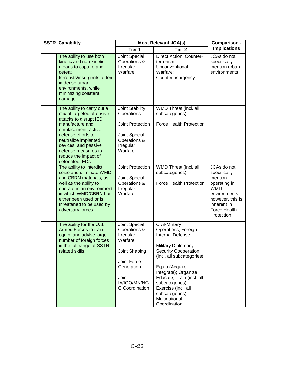| <b>SSTR Capability</b>                                                                                                                                                                                                                                              | <b>Most Relevant JCA(s)</b>                                                                                                                    | Comparison -                                                                                                                                                                                                                                                                                                              |                                                                                                                                                        |
|---------------------------------------------------------------------------------------------------------------------------------------------------------------------------------------------------------------------------------------------------------------------|------------------------------------------------------------------------------------------------------------------------------------------------|---------------------------------------------------------------------------------------------------------------------------------------------------------------------------------------------------------------------------------------------------------------------------------------------------------------------------|--------------------------------------------------------------------------------------------------------------------------------------------------------|
|                                                                                                                                                                                                                                                                     | Tier 1                                                                                                                                         | Tier <sub>2</sub>                                                                                                                                                                                                                                                                                                         | <b>Implications</b>                                                                                                                                    |
| The ability to use both<br>kinetic and non-kinetic<br>means to capture and<br>defeat<br>terrorists/insurgents, often<br>in dense urban<br>environments, while<br>minimizing collateral<br>damage.                                                                   | Joint Special<br>Operations &<br>Irregular<br>Warfare                                                                                          | Direct Action; Counter-<br>terrorism;<br>Unconventional<br>Warfare;<br>Counterinsurgency                                                                                                                                                                                                                                  | JCAs do not<br>specifically<br>mention urban<br>environments                                                                                           |
| The ability to carry out a<br>mix of targeted offensive<br>attacks to disrupt IED<br>manufacture and<br>emplacement, active<br>defense efforts to<br>neutralize implanted<br>devices, and passive<br>defense measures to<br>reduce the impact of<br>detonated IEDs. | Joint Stability<br>Operations<br>Joint Protection<br>Joint Special<br>Operations &<br>Irregular<br>Warfare                                     | WMD Threat (incl. all<br>subcategories)<br>Force Health Protection                                                                                                                                                                                                                                                        |                                                                                                                                                        |
| The ability to interdict,<br>seize and eliminate WMD<br>and CBRN materials, as<br>well as the ability to<br>operate in an environment<br>in which WMD/CBRN has<br>either been used or is<br>threatened to be used by<br>adversary forces.                           | Joint Protection<br>Joint Special<br>Operations &<br>Irregular<br>Warfare                                                                      | WMD Threat (incl. all<br>subcategories)<br>Force Health Protection                                                                                                                                                                                                                                                        | JCAs do not<br>specifically<br>mention<br>operating in<br><b>WMD</b><br>environments;<br>however, this is<br>inherent in<br>Force Health<br>Protection |
| The ability for the U.S.<br>Armed Forces to train,<br>equip, and advise large<br>number of foreign forces<br>in the full range of SSTR-<br>related skills.                                                                                                          | Joint Special<br>Operations &<br>Irregular<br>Warfare<br>Joint Shaping<br>Joint Force<br>Generation<br>Joint<br>IA/IGO/MN/NG<br>O Coordination | Civil-Military<br>Operations; Foreign<br><b>Internal Defense</b><br>Military Diplomacy;<br><b>Security Cooperation</b><br>(incl. all subcategories)<br>Equip (Acquire,<br>Integrate); Organize;<br>Educate; Train (incl. all<br>subcategories);<br>Exercise (incl. all<br>subcategories)<br>Multinational<br>Coordination |                                                                                                                                                        |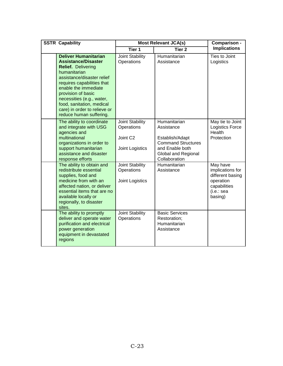| <b>SSTR Capability</b>                                                                                                                                                                                                                                                                                                                |  | <b>Most Relevant JCA(s)</b>                                              |                                                                                                                                       | Comparison -                                                                                           |
|---------------------------------------------------------------------------------------------------------------------------------------------------------------------------------------------------------------------------------------------------------------------------------------------------------------------------------------|--|--------------------------------------------------------------------------|---------------------------------------------------------------------------------------------------------------------------------------|--------------------------------------------------------------------------------------------------------|
|                                                                                                                                                                                                                                                                                                                                       |  | Tier <sub>1</sub>                                                        | Tier <sub>2</sub>                                                                                                                     | <b>Implications</b>                                                                                    |
| <b>Deliver Humanitarian</b><br><b>Assistance/Disaster</b><br><b>Relief.</b> Delivering<br>humanitarian<br>assistance/disaster relief<br>requires capabilities that<br>enable the immediate<br>provision of basic<br>necessities (e.g., water,<br>food, sanitation, medical<br>care) in order to relieve or<br>reduce human suffering. |  | <b>Joint Stability</b><br>Operations                                     | Humanitarian<br>Assistance                                                                                                            | Ties to Joint<br>Logistics                                                                             |
| The ability to coordinate<br>and integrate with USG<br>agencies and<br>multinational<br>organizations in order to<br>support humanitarian<br>assistance and disaster<br>response efforts                                                                                                                                              |  | Joint Stability<br>Operations<br>Joint C <sub>2</sub><br>Joint Logistics | Humanitarian<br>Assistance<br>Establish/Adapt<br><b>Command Structures</b><br>and Enable both<br>Global and Regional<br>Collaboration | May tie to Joint<br><b>Logistics Force</b><br>Health<br>Protection                                     |
| The ability to obtain and<br>redistribute essential<br>supplies, food and<br>medicine from with an<br>affected nation, or deliver<br>essential items that are no<br>available locally or<br>regionally, to disaster<br>sites.                                                                                                         |  | Joint Stability<br>Operations<br>Joint Logistics                         | Humanitarian<br>Assistance                                                                                                            | May have<br>implications for<br>different basing<br>operation<br>capabilities<br>(i.e.: sea<br>basing) |
| The ability to promptly<br>deliver and operate water<br>purification and electrical<br>power generation<br>equipment in devastated<br>regions                                                                                                                                                                                         |  | Joint Stability<br>Operations                                            | <b>Basic Services</b><br>Restoration;<br>Humanitarian<br>Assistance                                                                   |                                                                                                        |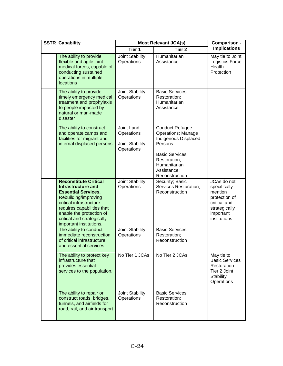| <b>SSTR Capability</b>                                                                                                                                                                                                                                 | <b>Most Relevant JCA(s)</b>                               | Comparison -                                                                                                                                                                     |                                                                                                                       |
|--------------------------------------------------------------------------------------------------------------------------------------------------------------------------------------------------------------------------------------------------------|-----------------------------------------------------------|----------------------------------------------------------------------------------------------------------------------------------------------------------------------------------|-----------------------------------------------------------------------------------------------------------------------|
|                                                                                                                                                                                                                                                        | Tier <sub>1</sub>                                         | Tier <sub>2</sub>                                                                                                                                                                | <b>Implications</b>                                                                                                   |
| The ability to provide<br>flexible and agile joint<br>medical forces, capable of<br>conducting sustained<br>operations in multiple<br>locations                                                                                                        | Joint Stability<br>Operations                             | Humanitarian<br>Assistance                                                                                                                                                       | May tie to Joint<br>Logistics Force<br>Health<br>Protection                                                           |
| The ability to provide<br>timely emergency medical<br>treatment and prophylaxis<br>to people impacted by<br>natural or man-made<br>disaster                                                                                                            | Joint Stability<br>Operations                             | <b>Basic Services</b><br>Restoration;<br>Humanitarian<br>Assistance                                                                                                              |                                                                                                                       |
| The ability to construct<br>and operate camps and<br>facilities for migrant and<br>internal displaced persons                                                                                                                                          | Joint Land<br>Operations<br>Joint Stability<br>Operations | <b>Conduct Refugee</b><br><b>Operations; Manage</b><br>Indigenous Displaced<br>Persons<br><b>Basic Services</b><br>Restoration;<br>Humanitarian<br>Assistance;<br>Reconstruction |                                                                                                                       |
| <b>Reconstitute Critical</b><br>Infrastructure and<br><b>Essential Services.</b><br>Rebuilding/improving<br>critical infrastructure<br>requires capabilities that<br>enable the protection of<br>critical and strategically<br>important institutions. | Joint Stability<br>Operations                             | Security; Basic<br>Services Restoration;<br>Reconstruction                                                                                                                       | JCAs do not<br>specifically<br>mention<br>protection of<br>critical and<br>strategically<br>important<br>institutions |
| The ability to conduct<br>immediate reconstruction<br>of critical infrastructure<br>and essential services.                                                                                                                                            | Joint Stability<br>Operations                             | <b>Basic Services</b><br>Restoration;<br>Reconstruction                                                                                                                          |                                                                                                                       |
| The ability to protect key<br>infrastructure that<br>provides essential<br>services to the population.                                                                                                                                                 | No Tier 1 JCAs                                            | No Tier 2 JCAs                                                                                                                                                                   | May tie to<br><b>Basic Services</b><br>Restoration<br>Tier 2 Joint<br>Stability<br>Operations                         |
| The ability to repair or<br>construct roads, bridges,<br>tunnels, and airfields for<br>road, rail, and air transport                                                                                                                                   | Joint Stability<br>Operations                             | <b>Basic Services</b><br>Restoration;<br>Reconstruction                                                                                                                          |                                                                                                                       |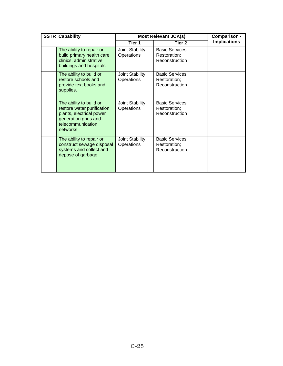| <b>SSTR Capability</b> |                                                                                                                                            | <b>Most Relevant JCA(s)</b>   |                                                         | Comparison -        |
|------------------------|--------------------------------------------------------------------------------------------------------------------------------------------|-------------------------------|---------------------------------------------------------|---------------------|
|                        |                                                                                                                                            | Tier 1                        | Tier 2                                                  | <b>Implications</b> |
|                        | The ability to repair or<br>build primary health care<br>clinics, administrative<br>buildings and hospitals                                | Joint Stability<br>Operations | <b>Basic Services</b><br>Restoration;<br>Reconstruction |                     |
|                        | The ability to build or<br>restore schools and<br>provide text books and<br>supplies.                                                      | Joint Stability<br>Operations | <b>Basic Services</b><br>Restoration;<br>Reconstruction |                     |
|                        | The ability to build or<br>restore water purification<br>plants, electrical power<br>generation grids and<br>telecommunication<br>networks | Joint Stability<br>Operations | <b>Basic Services</b><br>Restoration;<br>Reconstruction |                     |
|                        | The ability to repair or<br>construct sewage disposal<br>systems and collect and<br>depose of garbage.                                     | Joint Stability<br>Operations | <b>Basic Services</b><br>Restoration;<br>Reconstruction |                     |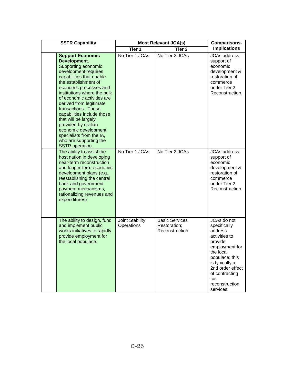| <b>SSTR Capability</b>                                                                                                                                                                                                                                                                                                                                                                                                                                                    | <b>Most Relevant JCA(s)</b>   |                                                         | <b>Comparisons-</b>                                                                                                                                                                                              |
|---------------------------------------------------------------------------------------------------------------------------------------------------------------------------------------------------------------------------------------------------------------------------------------------------------------------------------------------------------------------------------------------------------------------------------------------------------------------------|-------------------------------|---------------------------------------------------------|------------------------------------------------------------------------------------------------------------------------------------------------------------------------------------------------------------------|
|                                                                                                                                                                                                                                                                                                                                                                                                                                                                           | Tier 1                        | Tier <sub>2</sub>                                       | <b>Implications</b>                                                                                                                                                                                              |
| <b>Support Economic</b><br>Development.<br>Supporting economic<br>development requires<br>capabilities that enable<br>the establishment of<br>economic processes and<br>institutions where the bulk<br>of economic activities are<br>derived from legitimate<br>transactions. These<br>capabilities include those<br>that will be largely<br>provided by civilian<br>economic development<br>specialists from the IA,<br>who are supporting the<br><b>SSTR</b> operation. | No Tier 1 JCAs                | No Tier 2 JCAs                                          | <b>JCAs address</b><br>support of<br>economic<br>development &<br>restoration of<br>commerce<br>under Tier 2<br>Reconstruction.                                                                                  |
| The ability to assist the<br>host nation in developing<br>near-term reconstruction<br>and longer-term economic<br>development plans (e.g.,<br>reestablishing the central<br>bank and government<br>payment mechanisms,<br>rationalizing revenues and<br>expenditures)                                                                                                                                                                                                     | No Tier 1 JCAs                | No Tier 2 JCAs                                          | <b>JCAs address</b><br>support of<br>economic<br>development &<br>restoration of<br>commerce<br>under Tier 2<br>Reconstruction.                                                                                  |
| The ability to design, fund<br>and implement public<br>works initiatives to rapidly<br>provide employment for<br>the local populace.                                                                                                                                                                                                                                                                                                                                      | Joint Stability<br>Operations | <b>Basic Services</b><br>Restoration;<br>Reconstruction | JCAs do not<br>specifically<br>address<br>activities to<br>provide<br>employment for<br>the local<br>populace; this<br>is typically a<br>2nd order effect<br>of contracting<br>for<br>reconstruction<br>services |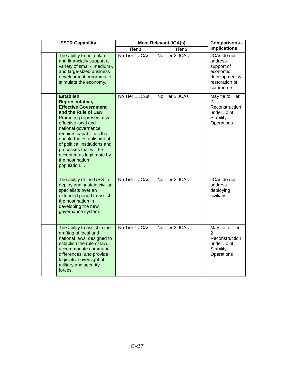| <b>SSTR Capability</b>                                                                                                                                                                                                                                                                                                                                   | <b>Most Relevant JCA(s)</b> |                   | <b>Comparisons -</b>                                                                            |
|----------------------------------------------------------------------------------------------------------------------------------------------------------------------------------------------------------------------------------------------------------------------------------------------------------------------------------------------------------|-----------------------------|-------------------|-------------------------------------------------------------------------------------------------|
|                                                                                                                                                                                                                                                                                                                                                          | Tier 1                      | Tier <sub>2</sub> | <b>Implications</b>                                                                             |
| The ability to help plan<br>and financially support a<br>variety of small-, medium-,<br>and large-sized business<br>development programs to<br>stimulate the economy.                                                                                                                                                                                    | No Tier 1 JCAs              | No Tier 2 JCAs    | JCAs do not<br>address<br>support of<br>economic<br>development &<br>restoration of<br>commerce |
| <b>Establish</b><br>Representative,<br><b>Effective Government</b><br>and the Rule of Law.<br>Promoting representative,<br>effective local and<br>national governance<br>requires capabilities that<br>enable the establishment<br>of political institutions and<br>processes that will be<br>accepted as legitimate by<br>the host nation<br>population | No Tier 1 JCAs              | No Tier 2 JCAs    | May tie to Tier<br>2<br>Reconstruction<br>under Joint<br><b>Stability</b><br>Operations         |
| The ability of the USG to<br>deploy and sustain civilian<br>specialists over an<br>extended period to assist<br>the host nation in<br>developing the new<br>governance system.                                                                                                                                                                           | No Tier 1 JCAs              | No Tier 2 JCAs    | JCAs do not<br>address<br>deploying<br>civilians.                                               |
| The ability to assist in the<br>drafting of local and<br>national laws, designed to<br>establish the rule of law,<br>accommodate communal<br>differences, and provide<br>legislative oversight of<br>military and security<br>forces.                                                                                                                    | No Tier 1 JCAs              | No Tier 2 JCAs    | May tie to Tier<br>2<br>Reconstruction<br>under Joint<br><b>Stability</b><br>Operations         |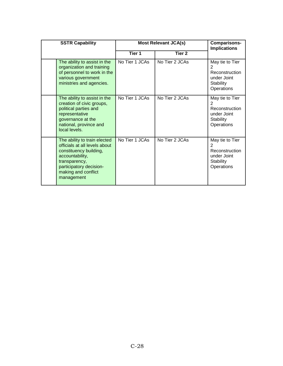| <b>SSTR Capability</b> |                                                                                                                                                                                             | <b>Most Relevant JCA(s)</b> |                   | <b>Comparisons-</b><br><b>Implications</b>                                                   |
|------------------------|---------------------------------------------------------------------------------------------------------------------------------------------------------------------------------------------|-----------------------------|-------------------|----------------------------------------------------------------------------------------------|
|                        |                                                                                                                                                                                             | Tier 1                      | Tier <sub>2</sub> |                                                                                              |
|                        | The ability to assist in the<br>organization and training<br>of personnel to work in the<br>various government<br>ministries and agencies.                                                  | No Tier 1 JCAs              | No Tier 2 JCAs    | May tie to Tier<br>2<br>Reconstruction<br>under Joint<br>Stability<br>Operations             |
|                        | The ability to assist in the<br>creation of civic groups,<br>political parties and<br>representative<br>governance at the<br>national, province and<br>local levels.                        | No Tier 1 JCAs              | No Tier 2 JCAs    | May tie to Tier<br>$\mathcal{P}$<br>Reconstruction<br>under Joint<br>Stability<br>Operations |
|                        | The ability to train elected<br>officials at all levels about<br>constituency building,<br>accountability,<br>transparency,<br>participatory decision-<br>making and conflict<br>management | No Tier 1 JCAs              | No Tier 2 JCAs    | May tie to Tier<br>$\mathcal{P}$<br>Reconstruction<br>under Joint<br>Stability<br>Operations |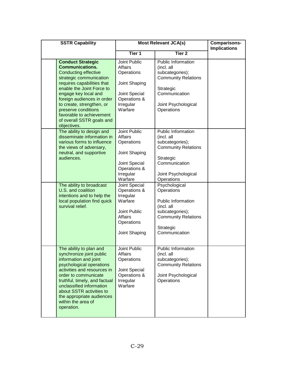| <b>SSTR Capability</b>                                                                                                                                                                                                                                                                                                                                    | <b>Most Relevant JCA(s)</b>                                                                                                      |                                                                                                                                                                       | <b>Comparisons-</b><br><b>Implications</b> |
|-----------------------------------------------------------------------------------------------------------------------------------------------------------------------------------------------------------------------------------------------------------------------------------------------------------------------------------------------------------|----------------------------------------------------------------------------------------------------------------------------------|-----------------------------------------------------------------------------------------------------------------------------------------------------------------------|--------------------------------------------|
|                                                                                                                                                                                                                                                                                                                                                           | Tier <sub>1</sub>                                                                                                                | Tier <sub>2</sub>                                                                                                                                                     |                                            |
| <b>Conduct Strategic</b><br><b>Communications.</b><br><b>Conducting effective</b><br>strategic communication<br>requires capabilities that<br>enable the Joint Force to<br>engage key local and<br>foreign audiences in order<br>to create, strengthen, or<br>preserve conditions<br>favorable to achievement<br>of overall SSTR goals and<br>objectives. | Joint Public<br>Affairs<br>Operations<br>Joint Shaping<br>Joint Special<br>Operations &<br>Irregular<br>Warfare                  | Public Information<br>(incl. all<br>subcategories);<br><b>Community Relations</b><br>Strategic<br>Communication<br>Joint Psychological<br>Operations                  |                                            |
| The ability to design and<br>disseminate information in<br>various forms to influence<br>the views of adversary,<br>neutral, and supportive<br>audiences.<br>The ability to broadcast                                                                                                                                                                     | Joint Public<br>Affairs<br>Operations<br>Joint Shaping<br>Joint Special<br>Operations &<br>Irregular<br>Warfare<br>Joint Special | Public Information<br>(incl. all<br>subcategories);<br><b>Community Relations</b><br>Strategic<br>Communication<br>Joint Psychological<br>Operations<br>Psychological |                                            |
| U.S. and coalition<br>intentions and to help the<br>local population find quick<br>survival relief.                                                                                                                                                                                                                                                       | Operations &<br>Irregular<br>Warfare<br>Joint Public<br>Affairs<br>Operations<br>Joint Shaping                                   | Operations<br><b>Public Information</b><br>(incl. all<br>subcategories);<br><b>Community Relations</b><br>Strategic<br>Communication                                  |                                            |
| The ability to plan and<br>synchronize joint public<br>information and joint<br>psychological operations<br>activities and resources in<br>order to communicate<br>truthful, timely, and factual<br>unclassified information<br>about SSTR activities to<br>the appropriate audiences<br>within the area of<br>operation.                                 | Joint Public<br>Affairs<br>Operations<br>Joint Special<br>Operations &<br>Irregular<br>Warfare                                   | Public Information<br>(incl. all<br>subcategories);<br><b>Community Relations</b><br>Joint Psychological<br>Operations                                                |                                            |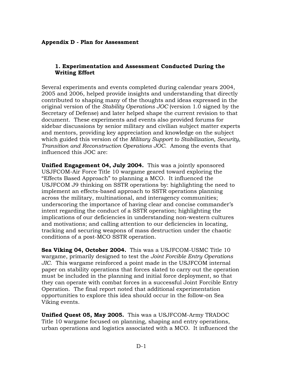## **1. Experimentation and Assessment Conducted During the Writing Effort**

Several experiments and events completed during calendar years 2004, 2005 and 2006, helped provide insights and understanding that directly contributed to shaping many of the thoughts and ideas expressed in the original version of the *Stability Operations JOC* (version 1.0 signed by the Secretary of Defense) and later helped shape the current revision to that document. These experiments and events also provided forums for sidebar discussions by senior military and civilian subject matter experts and mentors, providing key appreciation and knowledge on the subject which guided this version of the *Military Support to Stabilization, Security, Transition and Reconstruction Operations JOC*. Among the events that influenced this JOC are:

**Unified Engagement 04, July 2004.** This was a jointly sponsored USJFCOM-Air Force Title 10 wargame geared toward exploring the "Effects Based Approach" to planning a MCO. It influenced the USJFCOM J9 thinking on SSTR operations by: highlighting the need to implement an effects-based approach to SSTR operations planning across the military, multinational, and interagency communities; underscoring the importance of having clear and concise commander's intent regarding the conduct of a SSTR operation; highlighting the implications of our deficiencies in understanding non-western cultures and motivations; and calling attention to our deficiencies in locating, tracking and securing weapons of mass destruction under the chaotic conditions of a post-MCO SSTR operation.

**Sea Viking 04, October 2004.** This was a USJFCOM-USMC Title 10 wargame, primarily designed to test the *Joint Forcible Entry Operations JIC*. This wargame reinforced a point made in the USJFCOM internal paper on stability operations that forces slated to carry out the operation must be included in the planning and initial force deployment, so that they can operate with combat forces in a successful Joint Forcible Entry Operation. The final report noted that additional experimentation opportunities to explore this idea should occur in the follow-on Sea Viking events.

**Unified Quest 05, May 2005.** This was a USJFCOM-Army TRADOC Title 10 wargame focused on planning, shaping and entry operations, urban operations and logistics associated with a MCO. It influenced the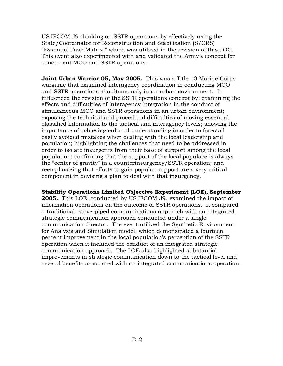USJFCOM J9 thinking on SSTR operations by effectively using the State/Coordinator for Reconstruction and Stabilization (S/CRS) "Essential Task Matrix," which was utilized in the revision of this JOC. This event also experimented with and validated the Army's concept for concurrent MCO and SSTR operations.

**Joint Urban Warrior 05, May 2005.** This was a Title 10 Marine Corps wargame that examined interagency coordination in conducting MCO and SSTR operations simultaneously in an urban environment. It influenced the revision of the SSTR operations concept by: examining the effects and difficulties of interagency integration in the conduct of simultaneous MCO and SSTR operations in an urban environment; exposing the technical and procedural difficulties of moving essential classified information to the tactical and interagency levels; showing the importance of achieving cultural understanding in order to forestall easily avoided mistakes when dealing with the local leadership and population; highlighting the challenges that need to be addressed in order to isolate insurgents from their base of support among the local population; confirming that the support of the local populace is always the "center of gravity" in a counterinsurgency/SSTR operation; and reemphasizing that efforts to gain popular support are a very critical component in devising a plan to deal with that insurgency.

**Stability Operations Limited Objective Experiment (LOE), September 2005.** This LOE, conducted by USJFCOM J9, examined the impact of information operations on the outcome of SSTR operations. It compared a traditional, stove-piped communications approach with an integrated strategic communication approach conducted under a single communication director. The event utilized the Synthetic Environment for Analysis and Simulation model, which demonstrated a fourteen percent improvement in the local population's perception of the SSTR operation when it included the conduct of an integrated strategic communication approach. The LOE also highlighted substantial improvements in strategic communication down to the tactical level and several benefits associated with an integrated communications operation.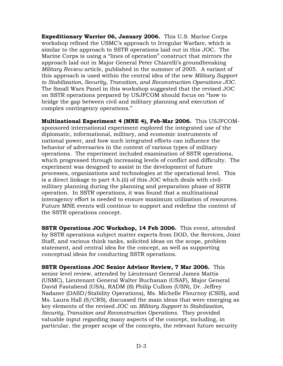**Expeditionary Warrior 06, January 2006.** This U.S. Marine Corps workshop refined the USMC's approach to Irregular Warfare, which is similar to the approach to SSTR operations laid out in this JOC. The Marine Corps is using a "lines of operation" construct that mirrors the approach laid out in Major General Peter Chiarelli's groundbreaking *Military Review* article, published in the summer of 2005. A variant of this approach is used within the central idea of the new *Military Support to Stabilization, Security, Transition, and Reconstruction Operations JOC.* The Small Wars Panel in this workshop suggested that the revised JOC on SSTR operations prepared by USJFCOM should focus on "how to bridge the gap between civil and military planning and execution of complex contingency operations."

**Multinational Experiment 4 (MNE 4), Feb-Mar 2006.** This USJFCOMsponsored international experiment explored the integrated use of the diplomatic, informational, military, and economic instruments of national power, and how such integrated efforts can influence the behavior of adversaries in the context of various types of military operations. The experiment included examination of SSTR operations, which progressed through increasing levels of conflict and difficulty. The experiment was designed to assist in the development of future processes, organizations and technologies at the operational level. This is a direct linkage to part 4.b.(ii) of this JOC which deals with civilmilitary planning during the planning and preparation phase of SSTR operation. In SSTR operations, it was found that a multinational interagency effort is needed to ensure maximum utilization of resources. Future MNE events will continue to support and redefine the content of the SSTR operations concept.

**SSTR Operations JOC Workshop, 14 Feb 2006.** This event, attended by SSTR operations subject matter experts from DOD, the Services, Joint Staff, and various think tanks, solicited ideas on the scope, problem statement, and central idea for the concept, as well as supporting conceptual ideas for conducting SSTR operations.

**SSTR Operations JOC Senior Advisor Review, 7 Mar 2006.** This senior level review, attended by Lieutenant General James Mattis (USMC), Lieutenant General Walter Buchanan (USAF), Major General David Fastabend (USA), RADM (S) Philip Cullom (USN), Dr. Jeffrey Nadaner (DASD/Stability Operations), Ms. Michelle Flournoy (CSIS), and Ms. Laura Hall (S/CRS), discussed the main ideas that were emerging as key elements of the revised JOC on *Military Support to Stabilization, Security, Transition and Reconstruction Operations.* They provided valuable input regarding many aspects of the concept, including, in particular, the proper scope of the concepts, the relevant future security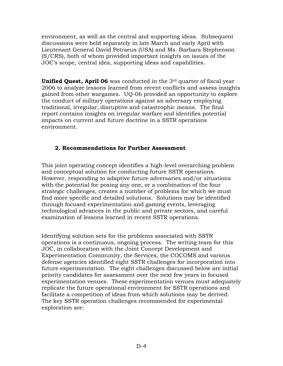environment, as well as the central and supporting ideas. Subsequent discussions were held separately in late March and early April with Lieutenant General David Petraeus (USA) and Ms. Barbara Stephenson (S/CRS), both of whom provided important insights on issues of the JOC's scope, central idea, supporting ideas and capabilities.

**Unified Quest, April 06** was conducted in the 3<sup>rd</sup> quarter of fiscal year 2006 to analyze lessons learned from recent conflicts and assess insights gained from other wargames. UQ-06 provided an opportunity to explore the conduct of military operations against an adversary employing traditional, irregular, disruptive and catastrophic means. The final report contains insights on irregular warfare and identifies potential impacts on current and future doctrine in a SSTR operations environment.

## **2. Recommendations for Further Assessment**

This joint operating concept identifies a high-level overarching problem and conceptual solution for conducting future SSTR operations. However, responding to adaptive future adversaries and/or situations with the potential for posing any one, or a combination of the four strategic challenges, creates a number of problems for which we must find more specific and detailed solutions. Solutions may be identified through focused experimentation and gaming events, leveraging technological advances in the public and private sectors, and careful examination of lessons learned in recent SSTR operations.

Identifying solution sets for the problems associated with SSTR operations is a continuous, ongoing process. The writing team for this JOC, in collaboration with the Joint Concept Development and Experimentation Community, the Services, the COCOMS and various defense agencies identified eight SSTR challenges for incorporation into future experimentation. The eight challenges discussed below are initial priority candidates for assessment over the next few years in focused experimentation venues. These experimentation venues must adequately replicate the future operational environment for SSTR operations and facilitate a competition of ideas from which solutions may be derived. The key SSTR operation challenges recommended for experimental exploration are: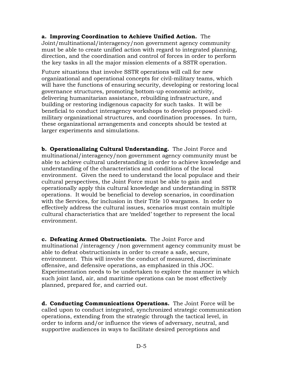**a. Improving Coordination to Achieve Unified Action.** The Joint/multinational/interagency/non government agency community must be able to create unified action with regard to integrated planning, direction, and the coordination and control of forces in order to perform the key tasks in all the major mission elements of a SSTR operation.

Future situations that involve SSTR operations will call for new organizational and operational concepts for civil-military teams, which will have the functions of ensuring security, developing or restoring local governance structures, promoting bottom-up economic activity, delivering humanitarian assistance, rebuilding infrastructure, and building or restoring indigenous capacity for such tasks. It will be beneficial to conduct interagency workshops to develop proposed civilmilitary organizational structures, and coordination processes. In turn, these organizational arrangements and concepts should be tested at larger experiments and simulations.

**b. Operationalizing Cultural Understanding.** The Joint Force and multinational/interagency/non government agency community must be able to achieve cultural understanding in order to achieve knowledge and understanding of the characteristics and conditions of the local environment. Given the need to understand the local populace and their cultural perspectives, the Joint Force must be able to gain and operationally apply this cultural knowledge and understanding in SSTR operations. It would be beneficial to develop scenarios, in coordination with the Services, for inclusion in their Title 10 wargames. In order to effectively address the cultural issues, scenarios must contain multiple cultural characteristics that are 'melded' together to represent the local environment.

**c. Defeating Armed Obstructionists.** The Joint Force and multinational /interagency /non government agency community must be able to defeat obstructionists in order to create a safe, secure, environment. This will involve the conduct of measured, discriminate offensive, and defensive operations, as emphasized in this JOC. Experimentation needs to be undertaken to explore the manner in which such joint land, air, and maritime operations can be most effectively planned, prepared for, and carried out.

**d. Conducting Communications Operations.** The Joint Force will be called upon to conduct integrated, synchronized strategic communication operations, extending from the strategic through the tactical level, in order to inform and/or influence the views of adversary, neutral, and supportive audiences in ways to facilitate desired perceptions and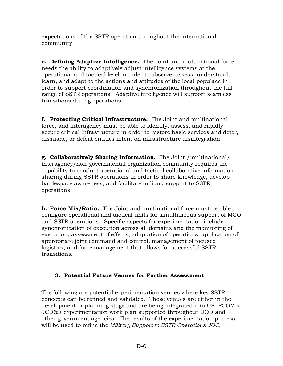expectations of the SSTR operation throughout the international community.

**e. Defining Adaptive Intelligence.** The Joint and multinational force needs the ability to adaptively adjust intelligence systems at the operational and tactical level in order to observe, assess, understand, learn, and adapt to the actions and attitudes of the local populace in order to support coordination and synchronization throughout the full range of SSTR operations. Adaptive intelligence will support seamless transitions during operations.

**f. Protecting Critical Infrastructure.** The Joint and multinational force, and interagency must be able to identify, assess, and rapidly secure critical infrastructure in order to restore basic services and deter, dissuade, or defeat entities intent on infrastructure disintegration.

**g. Collaboratively Sharing Information.** The Joint /multinational/ interagency/non-governmental organization community requires the capability to conduct operational and tactical collaborative information sharing during SSTR operations in order to share knowledge, develop battlespace awareness, and facilitate military support to SSTR operations.

**h. Force Mix/Ratio.** The Joint and multinational force must be able to configure operational and tactical units for simultaneous support of MCO and SSTR operations. Specific aspects for experimentation include synchronization of execution across all domains and the monitoring of execution, assessment of effects, adaptation of operations, application of appropriate joint command and control, management of focused logistics, and force management that allows for successful SSTR transitions.

## **3. Potential Future Venues for Further Assessment**

The following are potential experimentation venues where key SSTR concepts can be refined and validated. These venues are either in the development or planning stage and are being integrated into USJFCOM's JCD&E experimentation work plan supported throughout DOD and other government agencies. The results of the experimentation process will be used to refine the *Military Support to SSTR Operations JOC*,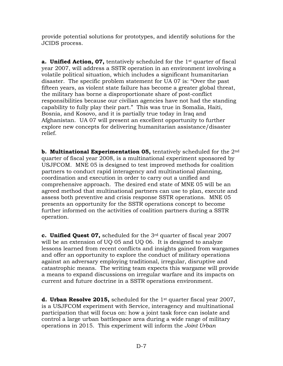provide potential solutions for prototypes, and identify solutions for the JCIDS process.

**a. Unified Action, 07,** tentatively scheduled for the 1<sup>st</sup> quarter of fiscal year 2007, will address a SSTR operation in an environment involving a volatile political situation, which includes a significant humanitarian disaster. The specific problem statement for UA 07 is: "Over the past fifteen years, as violent state failure has become a greater global threat, the military has borne a disproportionate share of post-conflict responsibilities because our civilian agencies have not had the standing capability to fully play their part." This was true in Somalia, Haiti, Bosnia, and Kosovo, and it is partially true today in Iraq and Afghanistan. UA 07 will present an excellent opportunity to further explore new concepts for delivering humanitarian assistance/disaster relief.

**b. Multinational Experimentation 05,** tentatively scheduled for the 2nd quarter of fiscal year 2008, is a multinational experiment sponsored by USJFCOM. MNE 05 is designed to test improved methods for coalition partners to conduct rapid interagency and multinational planning, coordination and execution in order to carry out a unified and comprehensive approach. The desired end state of MNE 05 will be an agreed method that multinational partners can use to plan, execute and assess both preventive and crisis response SSTR operations. MNE 05 presents an opportunity for the SSTR operations concept to become further informed on the activities of coalition partners during a SSTR operation.

**c. Unified Quest 07,** scheduled for the 3rd quarter of fiscal year 2007 will be an extension of UQ 05 and UQ 06. It is designed to analyze lessons learned from recent conflicts and insights gained from wargames and offer an opportunity to explore the conduct of military operations against an adversary employing traditional, irregular, disruptive and catastrophic means. The writing team expects this wargame will provide a means to expand discussions on irregular warfare and its impacts on current and future doctrine in a SSTR operations environment.

**d. Urban Resolve 2015,** scheduled for the 1st quarter fiscal year 2007, is a USJFCOM experiment with Service, interagency and multinational participation that will focus on: how a joint task force can isolate and control a large urban battlespace area during a wide range of military operations in 2015. This experiment will inform the *Joint Urban*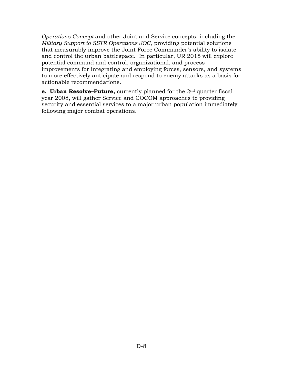*Operations Concept* and other Joint and Service concepts, including the *Military Support to SSTR Operations JOC*, providing potential solutions that measurably improve the Joint Force Commander's ability to isolate and control the urban battlespace. In particular, UR 2015 will explore potential command and control, organizational, and process improvements for integrating and employing forces, sensors, and systems to more effectively anticipate and respond to enemy attacks as a basis for actionable recommendations.

**e. Urban Resolve–Future,** currently planned for the 2nd quarter fiscal year 2008, will gather Service and COCOM approaches to providing security and essential services to a major urban population immediately following major combat operations.